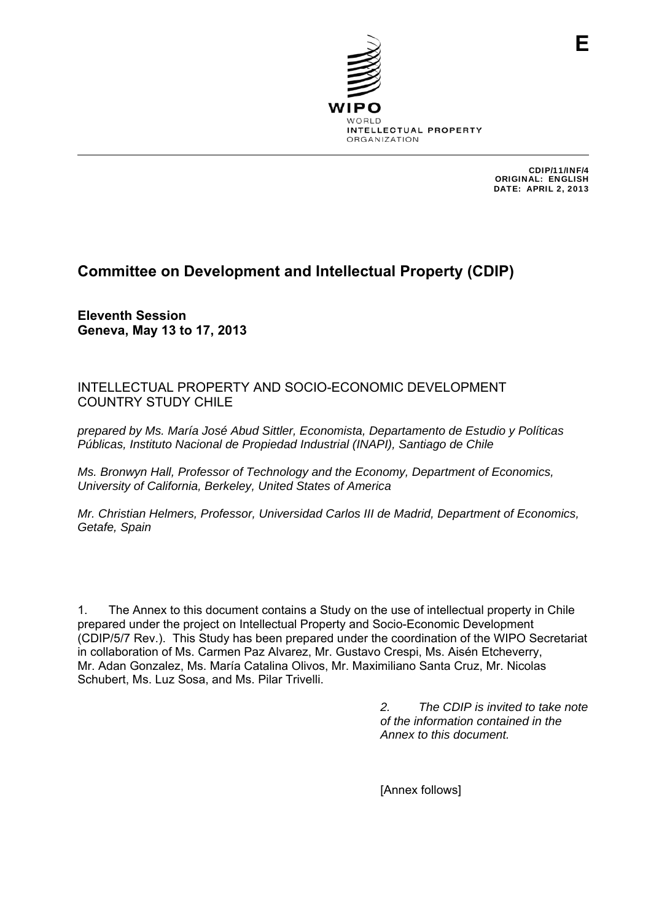

CDIP/11/INF/4 ORIGINAL: ENGLISH DATE: APRIL 2, 2013

**E**

# **Committee on Development and Intellectual Property (CDIP)**

**Eleventh Session Geneva, May 13 to 17, 2013** 

## INTELLECTUAL PROPERTY AND SOCIO-ECONOMIC DEVELOPMENT COUNTRY STUDY CHILE

*prepared by Ms. María José Abud Sittler, Economista, Departamento de Estudio y Políticas Públicas, Instituto Nacional de Propiedad Industrial (INAPI), Santiago de Chile* 

*Ms. Bronwyn Hall, Professor of Technology and the Economy, Department of Economics, University of California, Berkeley, United States of America* 

*Mr. Christian Helmers, Professor, Universidad Carlos III de Madrid, Department of Economics, Getafe, Spain* 

1. The Annex to this document contains a Study on the use of intellectual property in Chile prepared under the project on Intellectual Property and Socio-Economic Development (CDIP/5/7 Rev.). This Study has been prepared under the coordination of the WIPO Secretariat in collaboration of Ms. Carmen Paz Alvarez, Mr. Gustavo Crespi, Ms. Aisén Etcheverry, Mr. Adan Gonzalez, Ms. María Catalina Olivos, Mr. Maximiliano Santa Cruz, Mr. Nicolas Schubert, Ms. Luz Sosa, and Ms. Pilar Trivelli.

> *2. The CDIP is invited to take note of the information contained in the Annex to this document.*

[Annex follows]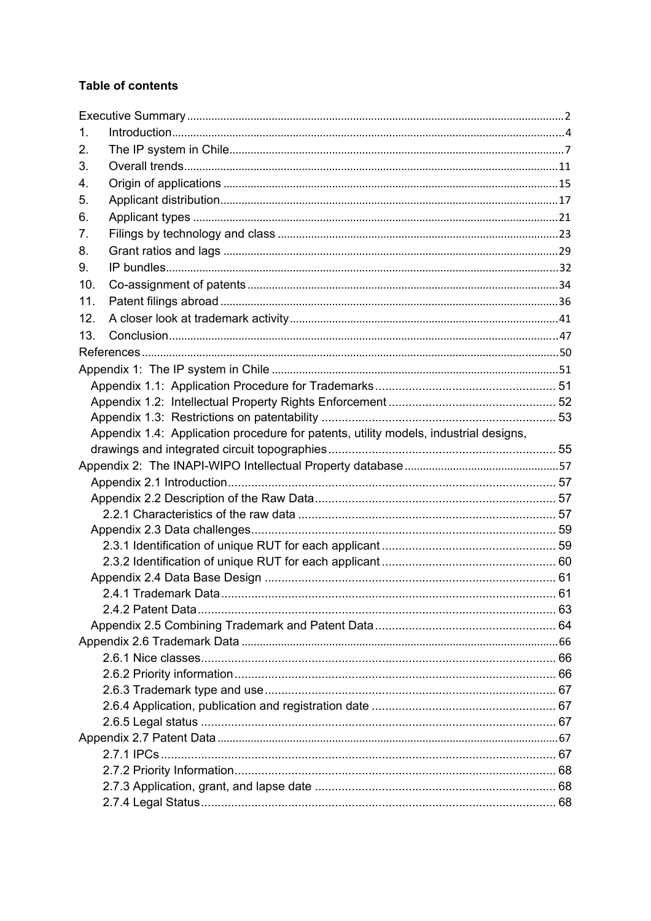# **Table of contents**

| 1.  |                                                                                      |  |
|-----|--------------------------------------------------------------------------------------|--|
| 2.  |                                                                                      |  |
| 3.  |                                                                                      |  |
| 4.  |                                                                                      |  |
| 5.  |                                                                                      |  |
| 6.  |                                                                                      |  |
| 7.  |                                                                                      |  |
| 8.  |                                                                                      |  |
| 9.  |                                                                                      |  |
| 10. |                                                                                      |  |
| 11. |                                                                                      |  |
| 12. |                                                                                      |  |
| 13. |                                                                                      |  |
|     |                                                                                      |  |
|     |                                                                                      |  |
|     |                                                                                      |  |
|     |                                                                                      |  |
|     |                                                                                      |  |
|     | Appendix 1.4: Application procedure for patents, utility models, industrial designs, |  |
|     |                                                                                      |  |
|     |                                                                                      |  |
|     |                                                                                      |  |
|     |                                                                                      |  |
|     |                                                                                      |  |
|     |                                                                                      |  |
|     |                                                                                      |  |
|     |                                                                                      |  |
|     |                                                                                      |  |
|     |                                                                                      |  |
|     |                                                                                      |  |
|     |                                                                                      |  |
|     |                                                                                      |  |
|     |                                                                                      |  |
|     |                                                                                      |  |
|     |                                                                                      |  |
|     |                                                                                      |  |
|     |                                                                                      |  |
|     |                                                                                      |  |
|     |                                                                                      |  |
|     |                                                                                      |  |
|     |                                                                                      |  |
|     |                                                                                      |  |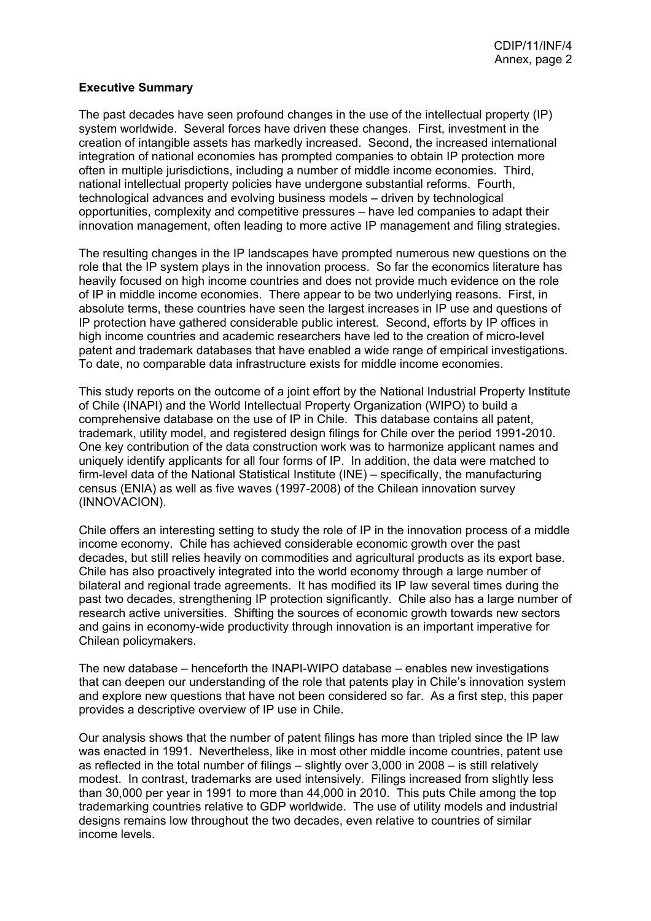#### <span id="page-2-0"></span>**Executive Summary**

The past decades have seen profound changes in the use of the intellectual property (IP) system worldwide. Several forces have driven these changes. First, investment in the creation of intangible assets has markedly increased. Second, the increased international integration of national economies has prompted companies to obtain IP protection more often in multiple jurisdictions, including a number of middle income economies. Third, national intellectual property policies have undergone substantial reforms. Fourth, technological advances and evolving business models – driven by technological opportunities, complexity and competitive pressures – have led companies to adapt their innovation management, often leading to more active IP management and filing strategies.

The resulting changes in the IP landscapes have prompted numerous new questions on the role that the IP system plays in the innovation process. So far the economics literature has heavily focused on high income countries and does not provide much evidence on the role of IP in middle income economies. There appear to be two underlying reasons. First, in absolute terms, these countries have seen the largest increases in IP use and questions of IP protection have gathered considerable public interest. Second, efforts by IP offices in high income countries and academic researchers have led to the creation of micro-level patent and trademark databases that have enabled a wide range of empirical investigations. To date, no comparable data infrastructure exists for middle income economies.

This study reports on the outcome of a joint effort by the National Industrial Property Institute of Chile (INAPI) and the World Intellectual Property Organization (WIPO) to build a comprehensive database on the use of IP in Chile. This database contains all patent, trademark, utility model, and registered design filings for Chile over the period 1991-2010. One key contribution of the data construction work was to harmonize applicant names and uniquely identify applicants for all four forms of IP. In addition, the data were matched to firm-level data of the National Statistical Institute (INE) – specifically, the manufacturing census (ENIA) as well as five waves (1997-2008) of the Chilean innovation survey (INNOVACION).

Chile offers an interesting setting to study the role of IP in the innovation process of a middle income economy. Chile has achieved considerable economic growth over the past decades, but still relies heavily on commodities and agricultural products as its export base. Chile has also proactively integrated into the world economy through a large number of bilateral and regional trade agreements. It has modified its IP law several times during the past two decades, strengthening IP protection significantly. Chile also has a large number of research active universities. Shifting the sources of economic growth towards new sectors and gains in economy-wide productivity through innovation is an important imperative for Chilean policymakers.

The new database – henceforth the INAPI-WIPO database – enables new investigations that can deepen our understanding of the role that patents play in Chile's innovation system and explore new questions that have not been considered so far. As a first step, this paper provides a descriptive overview of IP use in Chile.

Our analysis shows that the number of patent filings has more than tripled since the IP law was enacted in 1991. Nevertheless, like in most other middle income countries, patent use as reflected in the total number of filings – slightly over 3,000 in 2008 – is still relatively modest. In contrast, trademarks are used intensively. Filings increased from slightly less than 30,000 per year in 1991 to more than 44,000 in 2010. This puts Chile among the top trademarking countries relative to GDP worldwide. The use of utility models and industrial designs remains low throughout the two decades, even relative to countries of similar income levels.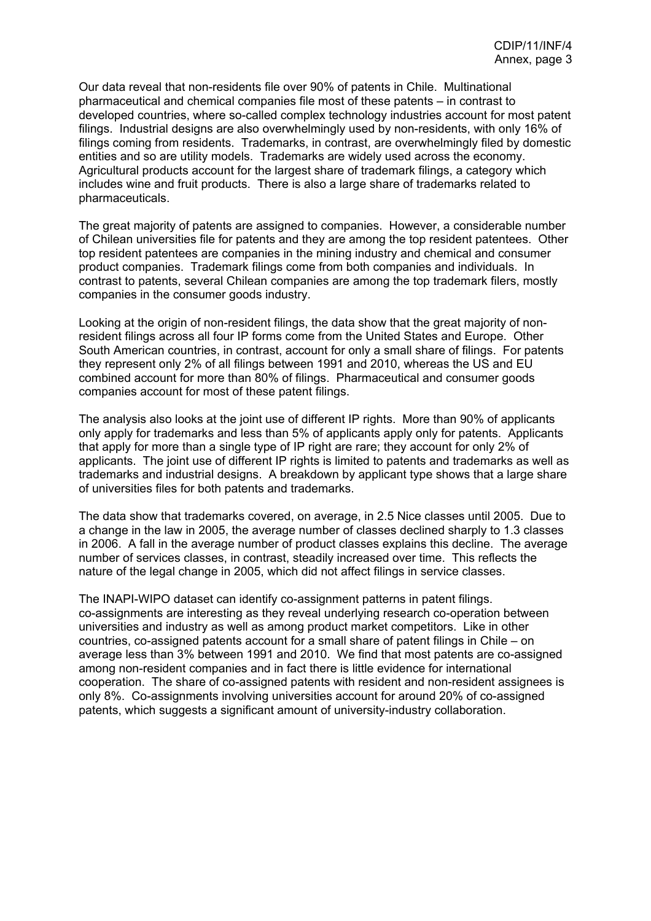Our data reveal that non-residents file over 90% of patents in Chile. Multinational pharmaceutical and chemical companies file most of these patents – in contrast to developed countries, where so-called complex technology industries account for most patent filings. Industrial designs are also overwhelmingly used by non-residents, with only 16% of filings coming from residents. Trademarks, in contrast, are overwhelmingly filed by domestic entities and so are utility models. Trademarks are widely used across the economy. Agricultural products account for the largest share of trademark filings, a category which includes wine and fruit products. There is also a large share of trademarks related to pharmaceuticals.

The great majority of patents are assigned to companies. However, a considerable number of Chilean universities file for patents and they are among the top resident patentees. Other top resident patentees are companies in the mining industry and chemical and consumer product companies. Trademark filings come from both companies and individuals. In contrast to patents, several Chilean companies are among the top trademark filers, mostly companies in the consumer goods industry.

Looking at the origin of non-resident filings, the data show that the great majority of nonresident filings across all four IP forms come from the United States and Europe. Other South American countries, in contrast, account for only a small share of filings. For patents they represent only 2% of all filings between 1991 and 2010, whereas the US and EU combined account for more than 80% of filings. Pharmaceutical and consumer goods companies account for most of these patent filings.

The analysis also looks at the joint use of different IP rights. More than 90% of applicants only apply for trademarks and less than 5% of applicants apply only for patents. Applicants that apply for more than a single type of IP right are rare; they account for only 2% of applicants. The joint use of different IP rights is limited to patents and trademarks as well as trademarks and industrial designs. A breakdown by applicant type shows that a large share of universities files for both patents and trademarks.

The data show that trademarks covered, on average, in 2.5 Nice classes until 2005. Due to a change in the law in 2005, the average number of classes declined sharply to 1.3 classes in 2006. A fall in the average number of product classes explains this decline. The average number of services classes, in contrast, steadily increased over time. This reflects the nature of the legal change in 2005, which did not affect filings in service classes.

The INAPI-WIPO dataset can identify co-assignment patterns in patent filings. co-assignments are interesting as they reveal underlying research co-operation between universities and industry as well as among product market competitors. Like in other countries, co-assigned patents account for a small share of patent filings in Chile – on average less than 3% between 1991 and 2010. We find that most patents are co-assigned among non-resident companies and in fact there is little evidence for international cooperation. The share of co-assigned patents with resident and non-resident assignees is only 8%. Co-assignments involving universities account for around 20% of co-assigned patents, which suggests a significant amount of university-industry collaboration.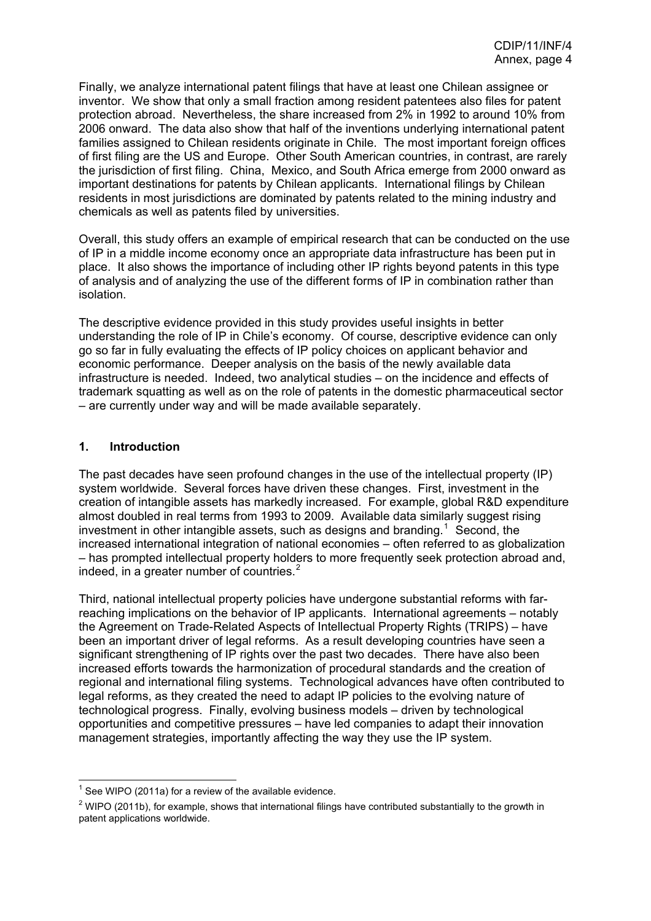<span id="page-4-0"></span>Finally, we analyze international patent filings that have at least one Chilean assignee or inventor. We show that only a small fraction among resident patentees also files for patent protection abroad. Nevertheless, the share increased from 2% in 1992 to around 10% from 2006 onward. The data also show that half of the inventions underlying international patent families assigned to Chilean residents originate in Chile. The most important foreign offices of first filing are the US and Europe. Other South American countries, in contrast, are rarely the jurisdiction of first filing. China, Mexico, and South Africa emerge from 2000 onward as important destinations for patents by Chilean applicants. International filings by Chilean residents in most jurisdictions are dominated by patents related to the mining industry and chemicals as well as patents filed by universities.

Overall, this study offers an example of empirical research that can be conducted on the use of IP in a middle income economy once an appropriate data infrastructure has been put in place. It also shows the importance of including other IP rights beyond patents in this type of analysis and of analyzing the use of the different forms of IP in combination rather than isolation.

The descriptive evidence provided in this study provides useful insights in better understanding the role of IP in Chile's economy. Of course, descriptive evidence can only go so far in fully evaluating the effects of IP policy choices on applicant behavior and economic performance. Deeper analysis on the basis of the newly available data infrastructure is needed. Indeed, two analytical studies – on the incidence and effects of trademark squatting as well as on the role of patents in the domestic pharmaceutical sector – are currently under way and will be made available separately.

#### **1. Introduction**

The past decades have seen profound changes in the use of the intellectual property (IP) system worldwide. Several forces have driven these changes. First, investment in the creation of intangible assets has markedly increased. For example, global R&D expenditure almost doubled in real terms from 1993 to 2009. Available data similarly suggest rising investment in other intangible assets, such as designs and branding.<sup>[1](#page-4-1)</sup> Second, the increased international integration of national economies – often referred to as globalization – has prompted intellectual property holders to more frequently seek protection abroad and, indeed, in a greater number of countries. $2$ 

Third, national intellectual property policies have undergone substantial reforms with farreaching implications on the behavior of IP applicants. International agreements – notably the Agreement on Trade-Related Aspects of Intellectual Property Rights (TRIPS) – have been an important driver of legal reforms. As a result developing countries have seen a significant strengthening of IP rights over the past two decades. There have also been increased efforts towards the harmonization of procedural standards and the creation of regional and international filing systems. Technological advances have often contributed to legal reforms, as they created the need to adapt IP policies to the evolving nature of technological progress. Finally, evolving business models – driven by technological opportunities and competitive pressures – have led companies to adapt their innovation management strategies, importantly affecting the way they use the IP system.

<span id="page-4-1"></span> $1$  See WIPO (2011a) for a review of the available evidence.

<span id="page-4-2"></span> $^2$  WIPO (2011b), for example, shows that international filings have contributed substantially to the growth in patent applications worldwide.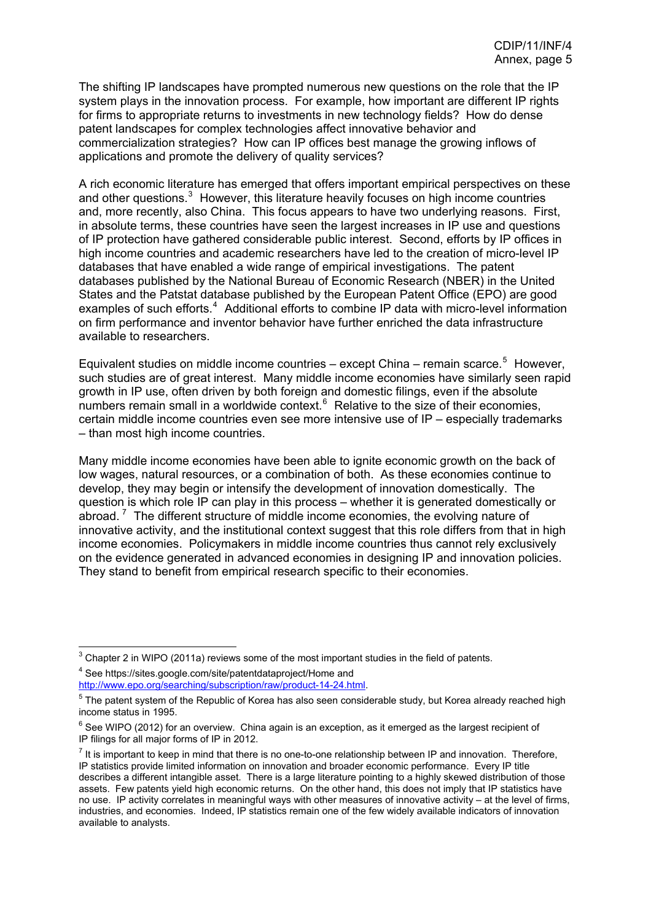The shifting IP landscapes have prompted numerous new questions on the role that the IP system plays in the innovation process. For example, how important are different IP rights for firms to appropriate returns to investments in new technology fields? How do dense patent landscapes for complex technologies affect innovative behavior and commercialization strategies? How can IP offices best manage the growing inflows of applications and promote the delivery of quality services?

and, more recently, also China. This focus appears to have two underlying reasons. First, of IP protection have gathered considerable public interest. Second, efforts by IP offices in A rich economic literature has emerged that offers important empirical perspectives on these and other questions. $3$  However, this literature heavily focuses on high income countries in absolute terms, these countries have seen the largest increases in IP use and questions high income countries and academic researchers have led to the creation of micro-level IP databases that have enabled a wide range of empirical investigations. The patent databases published by the National Bureau of Economic Research (NBER) in the United States and the Patstat database published by the European Patent Office (EPO) are good examples of such efforts.<sup>[4](#page-5-1)</sup> Additional efforts to combine IP data with micro-level information on firm performance and inventor behavior have further enriched the data infrastructure available to researchers.

Equivalent studies on middle income countries  $-$  except China  $-$  remain scarce.<sup>[5](#page-5-2)</sup> However, such studies are of great interest. Many middle income economies have similarly seen rapid growth in IP use, often driven by both foreign and domestic filings, even if the absolute numbers remain small in a worldwide context. $6$  Relative to the size of their economies, certain middle income countries even see more intensive use of IP – especially trademarks – than most high income countries.

Many middle income economies have been able to ignite economic growth on the back of low wages, natural resources, or a combination of both. As these economies continue to develop, they may begin or intensify the development of innovation domestically. The question is which role IP can play in this process – whether it is generated domestically or abroad.<sup>[7](#page-5-4)</sup> The different structure of middle income economies, the evolving nature of innovative activity, and the institutional context suggest that this role differs from that in high income economies. Policymakers in middle income countries thus cannot rely exclusively on the evidence generated in advanced economies in designing IP and innovation policies. They stand to benefit from empirical research specific to their economies.

<sup>4</sup> See https://sites.google.com/site/patentdataproject/Home and <http://www.epo.org/searching/subscription/raw/product-14-24.html>.

<sup>&</sup>lt;u>Chapter 2</u> in WIPO (2011a) reviews some of the most important studies in the field of patents.

 $<sup>5</sup>$  The patent system of the Republic of Korea has also seen considerable study, but Korea already reached high</sup> income status in 1995.

 $6$  See WIPO (2012) for an overview. China again is an exception, as it emerged as the largest recipient of IP filings for all major forms of IP in 2012.

<span id="page-5-4"></span><span id="page-5-3"></span><span id="page-5-2"></span><span id="page-5-1"></span><span id="page-5-0"></span> $<sup>7</sup>$  It is important to keep in mind that there is no one-to-one relationship between IP and innovation. Therefore,</sup> IP statistics provide limited information on innovation and broader economic performance. Every IP title describes a different intangible asset. There is a large literature pointing to a highly skewed distribution of those assets. Few patents yield high economic returns. On the other hand, this does not imply that IP statistics have no use. IP activity correlates in meaningful ways with other measures of innovative activity – at the level of firms, industries, and economies. Indeed, IP statistics remain one of the few widely available indicators of innovation available to analysts.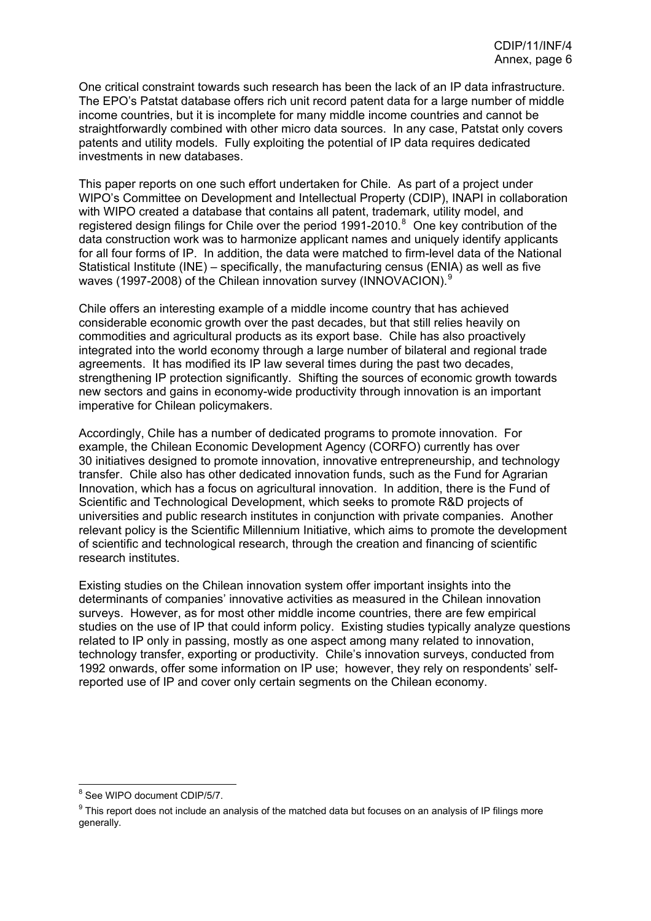One critical constraint towards such research has been the lack of an IP data infrastructure. The EPO's Patstat database offers rich unit record patent data for a large number of middle income countries, but it is incomplete for many middle income countries and cannot be straightforwardly combined with other micro data sources. In any case, Patstat only covers patents and utility models. Fully exploiting the potential of IP data requires dedicated investments in new databases.

This paper reports on one such effort undertaken for Chile. As part of a project under WIPO's Committee on Development and Intellectual Property (CDIP), INAPI in collaboration with WIPO created a database that contains all patent, trademark, utility model, and registered design filings for Chile over the period 1991-2010.<sup>[8](#page-6-0)</sup> One key contribution of the data construction work was to harmonize applicant names and uniquely identify applicants for all four forms of IP. In addition, the data were matched to firm-level data of the National Statistical Institute (INE) – specifically, the manufacturing census (ENIA) as well as five waves (1[9](#page-6-1)97-2008) of the Chilean innovation survey (INNOVACION).<sup>9</sup>

Chile offers an interesting example of a middle income country that has achieved considerable economic growth over the past decades, but that still relies heavily on commodities and agricultural products as its export base. Chile has also proactively integrated into the world economy through a large number of bilateral and regional trade agreements. It has modified its IP law several times during the past two decades, strengthening IP protection significantly. Shifting the sources of economic growth towards new sectors and gains in economy-wide productivity through innovation is an important imperative for Chilean policymakers.

Accordingly, Chile has a number of dedicated programs to promote innovation. For example, the Chilean Economic Development Agency (CORFO) currently has over 30 initiatives designed to promote innovation, innovative entrepreneurship, and technology transfer. Chile also has other dedicated innovation funds, such as the Fund for Agrarian Innovation, which has a focus on agricultural innovation. In addition, there is the Fund of Scientific and Technological Development, which seeks to promote R&D projects of universities and public research institutes in conjunction with private companies. Another relevant policy is the Scientific Millennium Initiative, which aims to promote the development of scientific and technological research, through the creation and financing of scientific research institutes.

Existing studies on the Chilean innovation system offer important insights into the determinants of companies' innovative activities as measured in the Chilean innovation surveys. However, as for most other middle income countries, there are few empirical studies on the use of IP that could inform policy. Existing studies typically analyze questions related to IP only in passing, mostly as one aspect among many related to innovation, technology transfer, exporting or productivity. Chile's innovation surveys, conducted from 1992 onwards, offer some information on IP use; however, they rely on respondents' selfreported use of IP and cover only certain segments on the Chilean economy.

es<br><sup>8</sup> See WIPO document CDIP/5/7.

<span id="page-6-1"></span><span id="page-6-0"></span> $9$  This report does not include an analysis of the matched data but focuses on an analysis of IP filings more generally.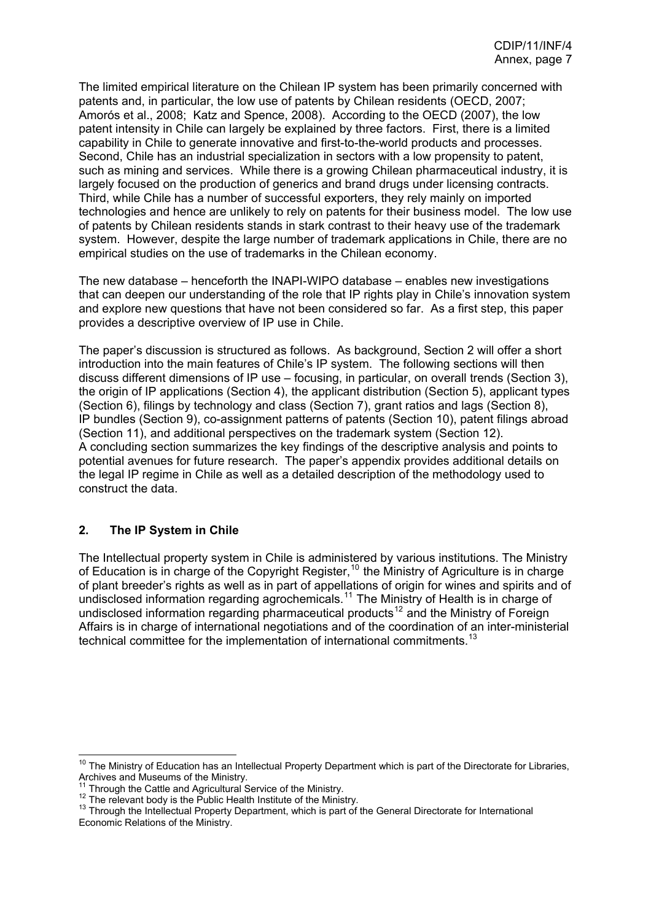<span id="page-7-0"></span>The limited empirical literature on the Chilean IP system has been primarily concerned with patents and, in particular, the low use of patents by Chilean residents (OECD, 2007; Amorós et al., 2008; Katz and Spence, 2008). According to the OECD (2007), the low patent intensity in Chile can largely be explained by three factors. First, there is a limited capability in Chile to generate innovative and first-to-the-world products and processes. Second, Chile has an industrial specialization in sectors with a low propensity to patent, such as mining and services. While there is a growing Chilean pharmaceutical industry, it is largely focused on the production of generics and brand drugs under licensing contracts. Third, while Chile has a number of successful exporters, they rely mainly on imported technologies and hence are unlikely to rely on patents for their business model. The low use of patents by Chilean residents stands in stark contrast to their heavy use of the trademark system. However, despite the large number of trademark applications in Chile, there are no empirical studies on the use of trademarks in the Chilean economy.

The new database – henceforth the INAPI-WIPO database – enables new investigations that can deepen our understanding of the role that IP rights play in Chile's innovation system and explore new questions that have not been considered so far. As a first step, this paper provides a descriptive overview of IP use in Chile.

The paper's discussion is structured as follows. As background, Section 2 will offer a short introduction into the main features of Chile's IP system. The following sections will then discuss different dimensions of IP use – focusing, in particular, on overall trends (Section 3), the origin of IP applications (Section 4), the applicant distribution (Section 5), applicant types (Section 6), filings by technology and class (Section 7), grant ratios and lags (Section 8), IP bundles (Section 9), co-assignment patterns of patents (Section 10), patent filings abroad (Section 11), and additional perspectives on the trademark system (Section 12). A concluding section summarizes the key findings of the descriptive analysis and points to potential avenues for future research. The paper's appendix provides additional details on the legal IP regime in Chile as well as a detailed description of the methodology used to construct the data.

### **2. The IP System in Chile**

The Intellectual property system in Chile is administered by various institutions. The Ministry of Education is in charge of the Copyright Register,<sup>[10](#page-7-1)</sup> the Ministry of Agriculture is in charge of plant breeder's rights as well as in part of appellations of origin for wines and spirits and of undisclosed information regarding agrochemicals.<sup>[11](#page-7-2)</sup> The Ministry of Health is in charge of undisclosed information regarding pharmaceutical products<sup>[12](#page-7-3)</sup> and the Ministry of Foreign Affairs is in charge of international negotiations and of the coordination of an inter-ministerial technical committee for the implementation of international commitments.<sup>[13](#page-7-4)</sup>

<span id="page-7-1"></span> $\overline{\phantom{a}}$ <sup>10</sup> The Ministry of Education has an Intellectual Property Department which is part of the Directorate for Libraries, Archives and Museums of the Ministry.<br><sup>11</sup> Through the Cattle and Agricultural Service of the Ministry.

<span id="page-7-4"></span><span id="page-7-3"></span><span id="page-7-2"></span>Through the Gatue and Agnoditular Service of the Immary.<br><sup>12</sup> The relevant body is the Public Health Institute of the Ministry.<br><sup>13</sup> Through the Intellectual Property Department, which is part of the General Directorate fo Economic Relations of the Ministry.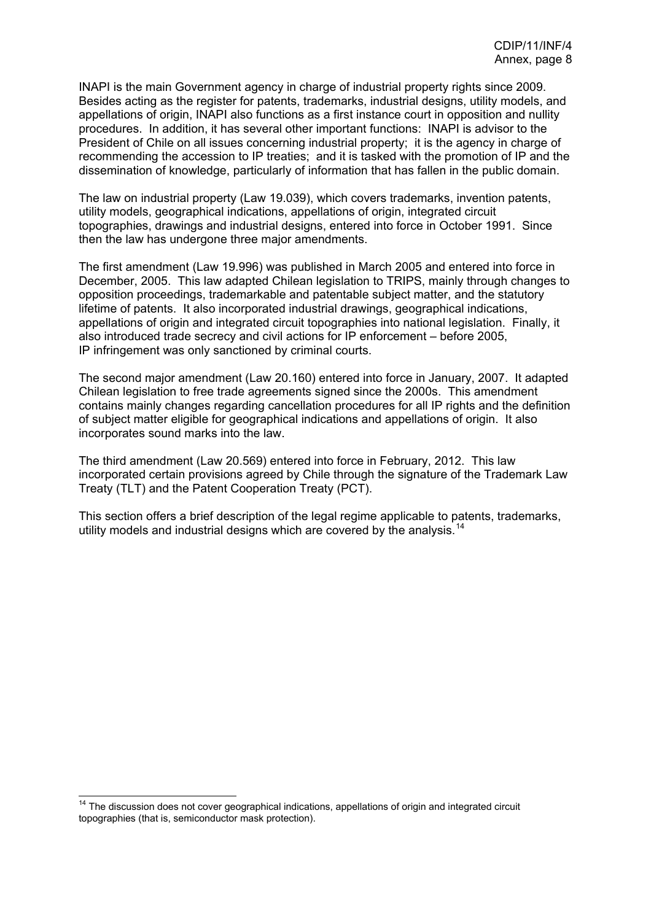INAPI is the main Government agency in charge of industrial property rights since 2009. Besides acting as the register for patents, trademarks, industrial designs, utility models, and appellations of origin, INAPI also functions as a first instance court in opposition and nullity procedures. In addition, it has several other important functions: INAPI is advisor to the President of Chile on all issues concerning industrial property; it is the agency in charge of recommending the accession to IP treaties; and it is tasked with the promotion of IP and the dissemination of knowledge, particularly of information that has fallen in the public domain.

The law on industrial property (Law 19.039), which covers trademarks, invention patents, utility models, geographical indications, appellations of origin, integrated circuit topographies, drawings and industrial designs, entered into force in October 1991. Since then the law has undergone three major amendments.

The first amendment (Law 19.996) was published in March 2005 and entered into force in December, 2005. This law adapted Chilean legislation to TRIPS, mainly through changes to opposition proceedings, trademarkable and patentable subject matter, and the statutory lifetime of patents. It also incorporated industrial drawings, geographical indications, appellations of origin and integrated circuit topographies into national legislation. Finally, it also introduced trade secrecy and civil actions for IP enforcement – before 2005, IP infringement was only sanctioned by criminal courts.

The second major amendment (Law 20.160) entered into force in January, 2007. It adapted Chilean legislation to free trade agreements signed since the 2000s. This amendment contains mainly changes regarding cancellation procedures for all IP rights and the definition of subject matter eligible for geographical indications and appellations of origin. It also incorporates sound marks into the law.

The third amendment (Law 20.569) entered into force in February, 2012. This law incorporated certain provisions agreed by Chile through the signature of the Trademark Law Treaty (TLT) and the Patent Cooperation Treaty (PCT).

This section offers a brief description of the legal regime applicable to patents, trademarks, utility models and industrial designs which are covered by the analysis.<sup>[14](#page-8-0)</sup>

<span id="page-8-0"></span><sup>&</sup>lt;sup>14</sup> The discussion does not cover geographical indications, appellations of origin and integrated circuit topographies (that is, semiconductor mask protection).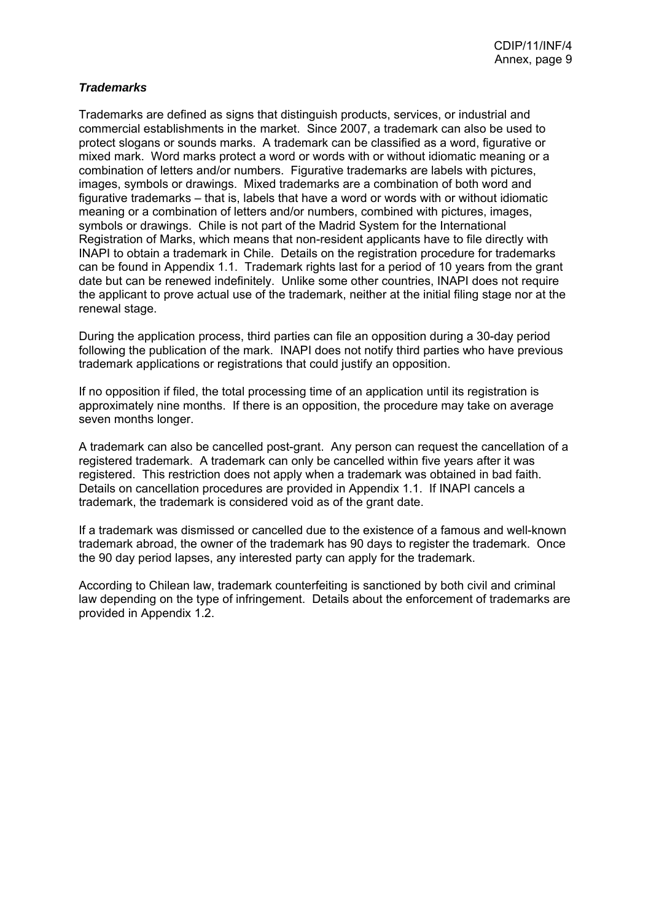## *Trademarks*

Trademarks are defined as signs that distinguish products, services, or industrial and commercial establishments in the market. Since 2007, a trademark can also be used to protect slogans or sounds marks. A trademark can be classified as a word, figurative or mixed mark. Word marks protect a word or words with or without idiomatic meaning or a combination of letters and/or numbers. Figurative trademarks are labels with pictures, images, symbols or drawings. Mixed trademarks are a combination of both word and figurative trademarks – that is, labels that have a word or words with or without idiomatic meaning or a combination of letters and/or numbers, combined with pictures, images, symbols or drawings. Chile is not part of the Madrid System for the International Registration of Marks, which means that non-resident applicants have to file directly with INAPI to obtain a trademark in Chile. Details on the registration procedure for trademarks can be found in Appendix 1.1. Trademark rights last for a period of 10 years from the grant date but can be renewed indefinitely. Unlike some other countries, INAPI does not require the applicant to prove actual use of the trademark, neither at the initial filing stage nor at the renewal stage.

During the application process, third parties can file an opposition during a 30-day period following the publication of the mark. INAPI does not notify third parties who have previous trademark applications or registrations that could justify an opposition.

If no opposition if filed, the total processing time of an application until its registration is approximately nine months. If there is an opposition, the procedure may take on average seven months longer.

A trademark can also be cancelled post-grant. Any person can request the cancellation of a registered trademark. A trademark can only be cancelled within five years after it was registered. This restriction does not apply when a trademark was obtained in bad faith. Details on cancellation procedures are provided in Appendix 1.1. If INAPI cancels a trademark, the trademark is considered void as of the grant date.

If a trademark was dismissed or cancelled due to the existence of a famous and well-known trademark abroad, the owner of the trademark has 90 days to register the trademark. Once the 90 day period lapses, any interested party can apply for the trademark.

According to Chilean law, trademark counterfeiting is sanctioned by both civil and criminal law depending on the type of infringement. Details about the enforcement of trademarks are provided in Appendix 1.2.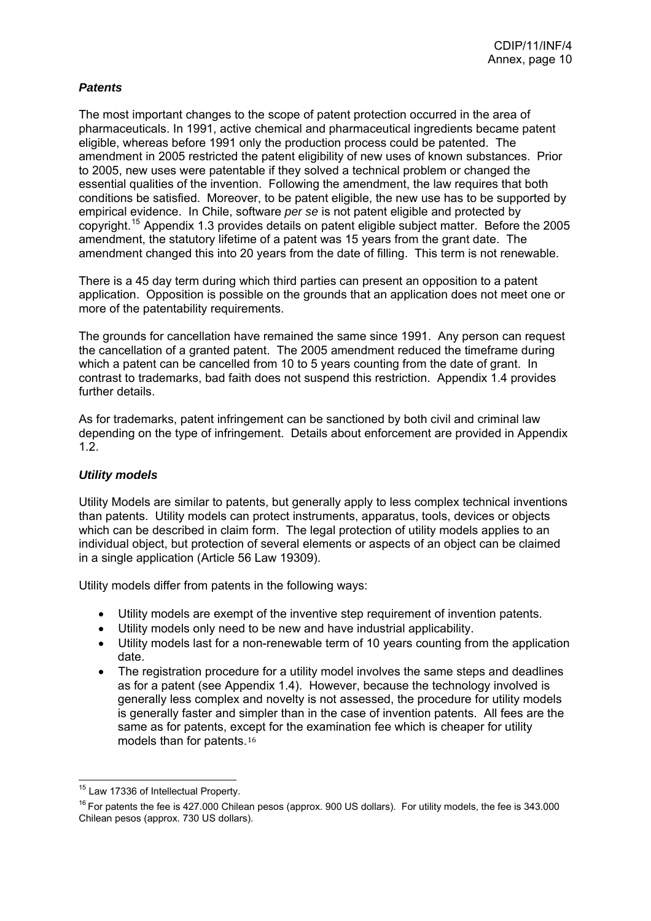## <span id="page-10-0"></span>*Patents*

The most important changes to the scope of patent protection occurred in the area of pharmaceuticals. In 1991, active chemical and pharmaceutical ingredients became patent eligible, whereas before 1991 only the production process could be patented. The amendment in 2005 restricted the patent eligibility of new uses of known substances. Prior to 2005, new uses were patentable if they solved a technical problem or changed the essential qualities of the invention. Following the amendment, the law requires that both conditions be satisfied. Moreover, to be patent eligible, the new use has to be supported by empirical evidence. In Chile, software *per se* is not patent eligible and protected by copyright.[15](#page-10-0) Appendix 1.3 provides details on patent eligible subject matter. Before the 2005 amendment, the statutory lifetime of a patent was 15 years from the grant date. The amendment changed this into 20 years from the date of filling. This term is not renewable.

There is a 45 day term during which third parties can present an opposition to a patent application. Opposition is possible on the grounds that an application does not meet one or more of the patentability requirements.

The grounds for cancellation have remained the same since 1991. Any person can request the cancellation of a granted patent. The 2005 amendment reduced the timeframe during which a patent can be cancelled from 10 to 5 years counting from the date of grant. In contrast to trademarks, bad faith does not suspend this restriction. Appendix 1.4 provides further details.

As for trademarks, patent infringement can be sanctioned by both civil and criminal law depending on the type of infringement. Details about enforcement are provided in Appendix 1.2.

### *Utility models*

Utility Models are similar to patents, but generally apply to less complex technical inventions than patents. Utility models can protect instruments, apparatus, tools, devices or objects which can be described in claim form. The legal protection of utility models applies to an individual object, but protection of several elements or aspects of an object can be claimed in a single application (Article 56 Law 19309).

Utility models differ from patents in the following ways:

- Utility models are exempt of the inventive step requirement of invention patents.
- Utility models only need to be new and have industrial applicability.
- Utility models last for a non-renewable term of 10 years counting from the application date.
- The registration procedure for a utility model involves the same steps and deadlines as for a patent (see Appendix 1.4). However, because the technology involved is generally less complex and novelty is not assessed, the procedure for utility models is generally faster and simpler than in the case of invention patents. All fees are the same as for patents, ex[cep](#page-10-0)t for the examination fee which is cheaper for utility models than for patents.<sup>16</sup>

<sup>&</sup>lt;sup>15</sup> Law 17336 of Intellectual Property.

 $16$  For patents the fee is 427.000 Chilean pesos (approx. 900 US dollars). For utility models, the fee is 343.000 Chilean pesos (approx. 730 US dollars).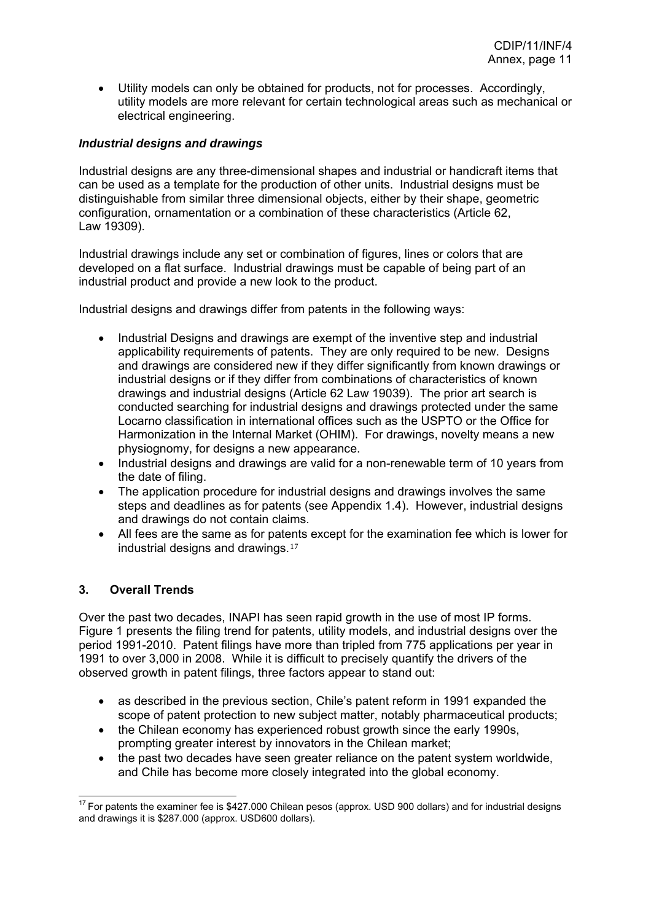<span id="page-11-0"></span>• Utility models can only be obtained for products, not for processes. Accordingly, utility models are more relevant for certain technological areas such as mechanical or electrical engineering.

### *Industrial designs and drawings*

Industrial designs are any three-dimensional shapes and industrial or handicraft items that can be used as a template for the production of other units. Industrial designs must be distinguishable from similar three dimensional objects, either by their shape, geometric configuration, ornamentation or a combination of these characteristics (Article 62, Law 19309).

Industrial drawings include any set or combination of figures, lines or colors that are developed on a flat surface. Industrial drawings must be capable of being part of an industrial product and provide a new look to the product.

Industrial designs and drawings differ from patents in the following ways:

- Industrial Designs and drawings are exempt of the inventive step and industrial applicability requirements of patents. They are only required to be new. Designs and drawings are considered new if they differ significantly from known drawings or industrial designs or if they differ from combinations of characteristics of known drawings and industrial designs (Article 62 Law 19039). The prior art search is conducted searching for industrial designs and drawings protected under the same Locarno classification in international offices such as the USPTO or the Office for Harmonization in the Internal Market (OHIM). For drawings, novelty means a new physiognomy, for designs a new appearance.
- Industrial designs and drawings are valid for a non-renewable term of 10 years from the date of filing.
- The application procedure for industrial designs and drawings involves the same steps and deadlines as for patents (see Appendix 1.4). However, industrial designs and drawings do not contain claims.
- All fees are the same as for pat[ents](#page-11-0) except for the examination fee which is lower for industrial designs and drawings.<sup>17</sup>

### **3. Overall Trends**

Over the past two decades, INAPI has seen rapid growth in the use of most IP forms. Figure 1 presents the filing trend for patents, utility models, and industrial designs over the period 1991-2010. Patent filings have more than tripled from 775 applications per year in 1991 to over 3,000 in 2008. While it is difficult to precisely quantify the drivers of the observed growth in patent filings, three factors appear to stand out:

- as described in the previous section, Chile's patent reform in 1991 expanded the scope of patent protection to new subject matter, notably pharmaceutical products;
- the Chilean economy has experienced robust growth since the early 1990s, prompting greater interest by innovators in the Chilean market;
- the past two decades have seen greater reliance on the patent system worldwide, and Chile has become more closely integrated into the global economy.

  $17$  For patents the examiner fee is \$427.000 Chilean pesos (approx. USD 900 dollars) and for industrial designs and drawings it is \$287.000 (approx. USD600 dollars).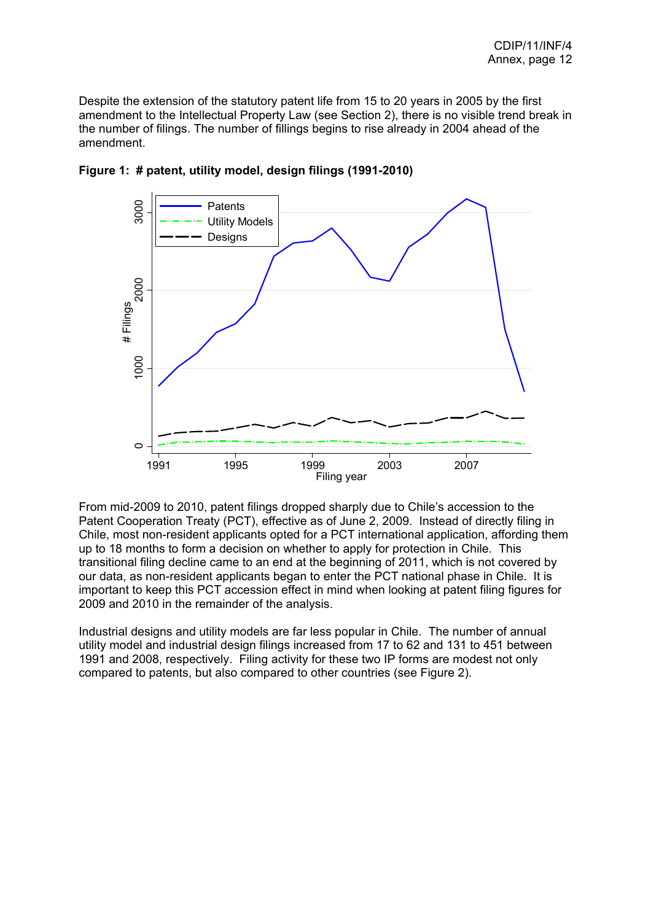Despite the extension of the statutory patent life from 15 to 20 years in 2005 by the first amendment to the Intellectual Property Law (see Section 2), there is no visible trend break in the number of filings. The number of fillings begins to rise already in 2004 ahead of the amendment.



**Figure 1: # patent, utility model, design filings (1991-2010)** 

From mid-2009 to 2010, patent filings dropped sharply due to Chile's accession to the Patent Cooperation Treaty (PCT), effective as of June 2, 2009. Instead of directly filing in Chile, most non-resident applicants opted for a PCT international application, affording them up to 18 months to form a decision on whether to apply for protection in Chile. This transitional filing decline came to an end at the beginning of 2011, which is not covered by our data, as non-resident applicants began to enter the PCT national phase in Chile. It is important to keep this PCT accession effect in mind when looking at patent filing figures for 2009 and 2010 in the remainder of the analysis.

Industrial designs and utility models are far less popular in Chile. The number of annual utility model and industrial design filings increased from 17 to 62 and 131 to 451 between 1991 and 2008, respectively. Filing activity for these two IP forms are modest not only compared to patents, but also compared to other countries (see Figure 2).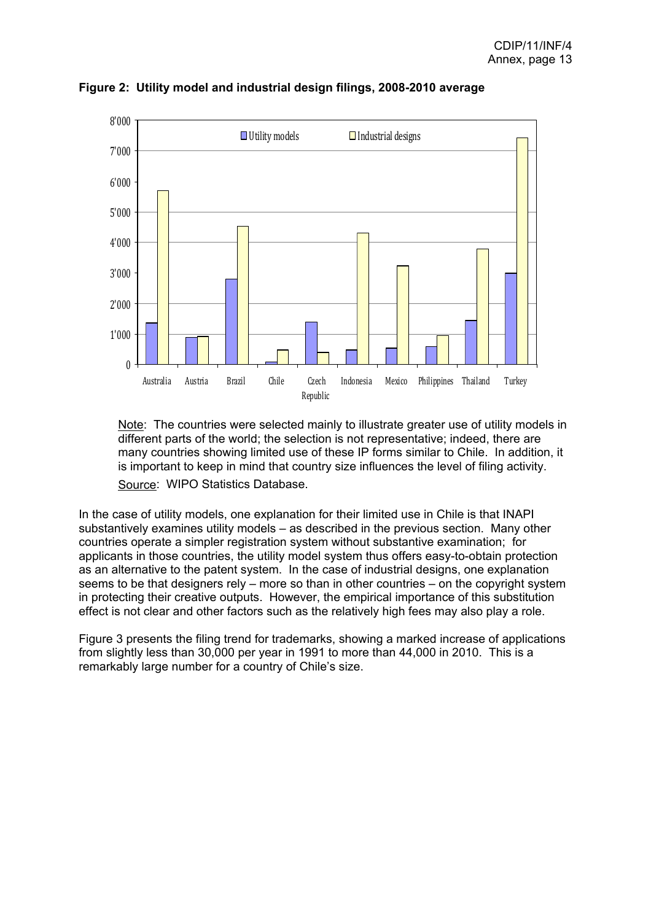

**Figure 2: Utility model and industrial design filings, 2008-2010 average** 

Note: The countries were selected mainly to illustrate greater use of utility models in different parts of the world; the selection is not representative; indeed, there are many countries showing limited use of these IP forms similar to Chile. In addition, it is important to keep in mind that country size influences the level of filing activity. Source: WIPO Statistics Database.

In the case of utility models, one explanation for their limited use in Chile is that INAPI substantively examines utility models – as described in the previous section. Many other countries operate a simpler registration system without substantive examination; for applicants in those countries, the utility model system thus offers easy-to-obtain protection as an alternative to the patent system. In the case of industrial designs, one explanation seems to be that designers rely – more so than in other countries – on the copyright system in protecting their creative outputs. However, the empirical importance of this substitution effect is not clear and other factors such as the relatively high fees may also play a role.

Figure 3 presents the filing trend for trademarks, showing a marked increase of applications from slightly less than 30,000 per year in 1991 to more than 44,000 in 2010. This is a remarkably large number for a country of Chile's size.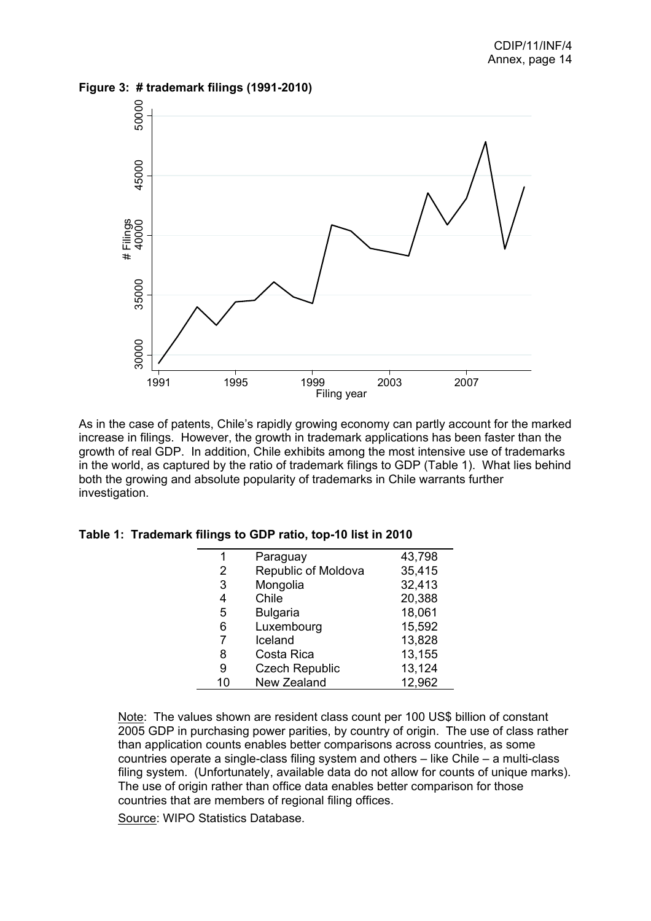**Figure 3: # trademark filings (1991-2010)**



As in the case of patents, Chile's rapidly growing economy can partly account for the marked increase in filings. However, the growth in trademark applications has been faster than the growth of real GDP. In addition, Chile exhibits among the most intensive use of trademarks in the world, as captured by the ratio of trademark filings to GDP (Table 1). What lies behind both the growing and absolute popularity of trademarks in Chile warrants further investigation.

| 1  | Paraguay              | 43,798 |
|----|-----------------------|--------|
| 2  | Republic of Moldova   | 35,415 |
| 3  | Mongolia              | 32,413 |
| 4  | Chile                 | 20,388 |
| 5  | <b>Bulgaria</b>       | 18,061 |
| 6  | Luxembourg            | 15,592 |
| 7  | Iceland               | 13,828 |
| 8  | Costa Rica            | 13,155 |
| 9  | <b>Czech Republic</b> | 13,124 |
| 10 | New Zealand           | 12,962 |

**Table 1: Trademark filings to GDP ratio, top-10 list in 2010** 

Note: The values shown are resident class count per 100 US\$ billion of constant 2005 GDP in purchasing power parities, by country of origin. The use of class rather than application counts enables better comparisons across countries, as some countries operate a single-class filing system and others – like Chile – a multi-class filing system. (Unfortunately, available data do not allow for counts of unique marks). The use of origin rather than office data enables better comparison for those countries that are members of regional filing offices.

Source: WIPO Statistics Database.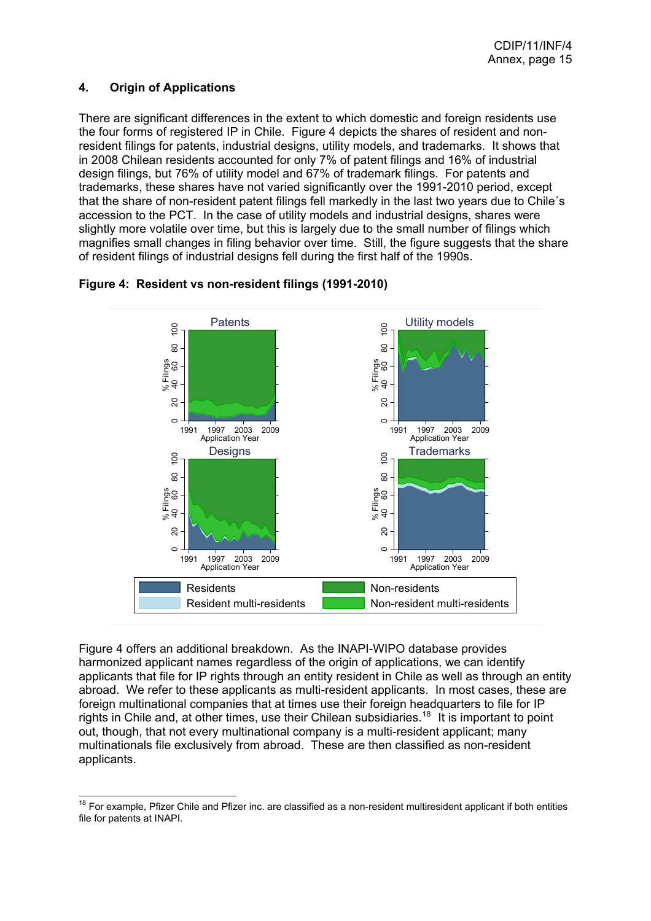## <span id="page-15-0"></span>**4. Origin of Applications**

There are significant differences in the extent to which domestic and foreign residents use the four forms of registered IP in Chile. Figure 4 depicts the shares of resident and nonresident filings for patents, industrial designs, utility models, and trademarks. It shows that in 2008 Chilean residents accounted for only 7% of patent filings and 16% of industrial design filings, but 76% of utility model and 67% of trademark filings. For patents and trademarks, these shares have not varied significantly over the 1991-2010 period, except that the share of non-resident patent filings fell markedly in the last two years due to Chile´s accession to the PCT. In the case of utility models and industrial designs, shares were slightly more volatile over time, but this is largely due to the small number of filings which magnifies small changes in filing behavior over time. Still, the figure suggests that the share of resident filings of industrial designs fell during the first half of the 1990s.



### **Figure 4: Resident vs non-resident filings (1991-2010)**

Figure 4 offers an additional breakdown. As the INAPI-WIPO database provides harmonized applicant names regardless of the origin of applications, we can identify applicants that file for IP rights through an entity resident in Chile as well as through an entity abroad. We refer to these applicants as multi-resident applicants. In most cases, these are foreign multinational companies that at times use their foreign headquarters to file for IP rights in Chile and, at other times, use their Chilean subsidiaries.<sup>[18](#page-15-0)</sup> It is important to point out, though, that not every multinational company is a multi-resident applicant; many multinationals file exclusively from abroad. These are then classified as non-resident applicants.

  $18$  For example, Pfizer Chile and Pfizer inc. are classified as a non-resident multiresident applicant if both entities file for patents at INAPI.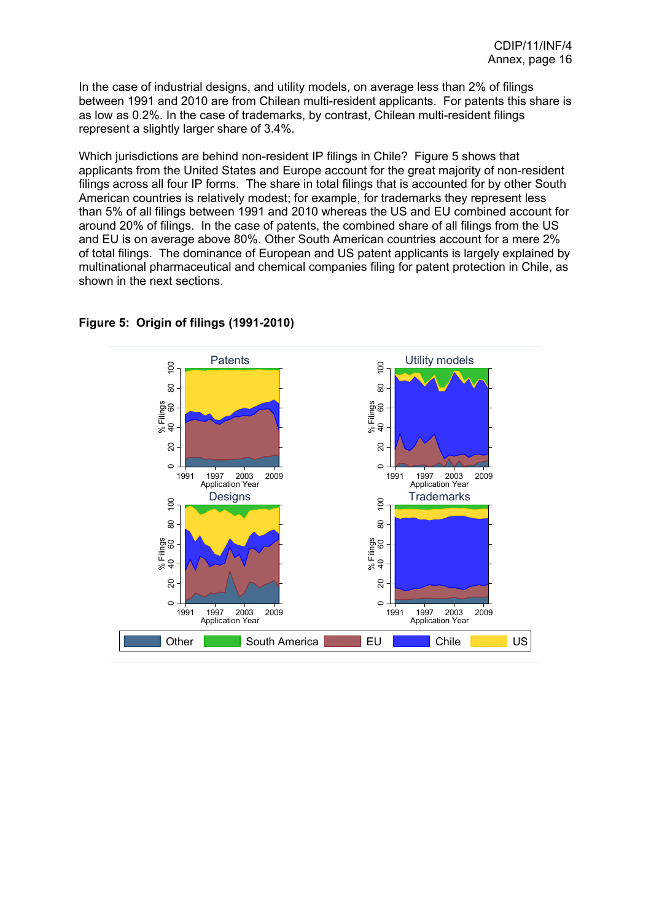In the case of industrial designs, and utility models, on average less than 2% of filings between 1991 and 2010 are from Chilean multi-resident applicants. For patents this share is as low as 0.2%. In the case of trademarks, by contrast, Chilean multi-resident filings represent a slightly larger share of 3.4%.

Which jurisdictions are behind non-resident IP filings in Chile? Figure 5 shows that applicants from the United States and Europe account for the great majority of non-resident filings across all four IP forms. The share in total filings that is accounted for by other South American countries is relatively modest; for example, for trademarks they represent less than 5% of all filings between 1991 and 2010 whereas the US and EU combined account for around 20% of filings. In the case of patents, the combined share of all filings from the US and EU is on average above 80%. Other South American countries account for a mere 2% of total filings. The dominance of European and US patent applicants is largely explained by multinational pharmaceutical and chemical companies filing for patent protection in Chile, as shown in the next sections.



#### **Figure 5: Origin of filings (1991-2010)**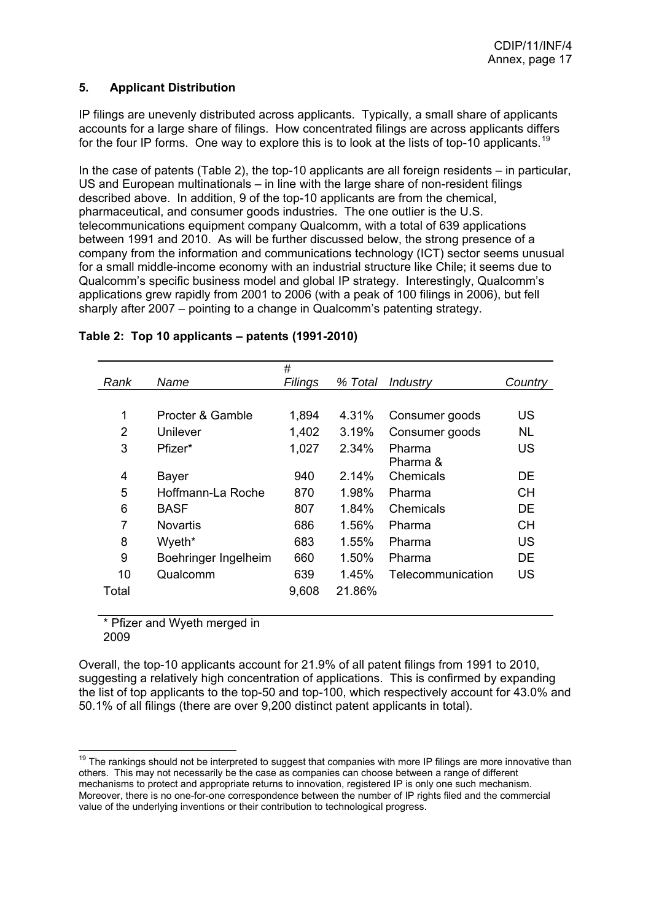## <span id="page-17-0"></span>**5. Applicant Distribution**

IP filings are unevenly distributed across applicants. Typically, a small share of applicants accounts for a large share of filings. How concentrated filings are across applicants differs for the four IP forms. One way to explore this is to look at the lists of top-10 applicants.<sup>[19](#page-17-0)</sup>

In the case of patents (Table 2), the top-10 applicants are all foreign residents – in particular, US and European multinationals – in line with the large share of non-resident filings described above. In addition, 9 of the top-10 applicants are from the chemical, pharmaceutical, and consumer goods industries. The one outlier is the U.S. telecommunications equipment company Qualcomm, with a total of 639 applications between 1991 and 2010. As will be further discussed below, the strong presence of a company from the information and communications technology (ICT) sector seems unusual for a small middle-income economy with an industrial structure like Chile; it seems due to Qualcomm's specific business model and global IP strategy. Interestingly, Qualcomm's applications grew rapidly from 2001 to 2006 (with a peak of 100 filings in 2006), but fell sharply after 2007 – pointing to a change in Qualcomm's patenting strategy.

|                |                      | #       |         |                   |           |
|----------------|----------------------|---------|---------|-------------------|-----------|
| Rank           | Name                 | Filings | % Total | Industry          | Country   |
|                |                      |         |         |                   |           |
| 1              | Procter & Gamble     | 1,894   | 4.31%   | Consumer goods    | US        |
| 2              | Unilever             | 1,402   | 3.19%   | Consumer goods    | <b>NL</b> |
| 3              | Pfizer*              | 1,027   | 2.34%   | Pharma            | <b>US</b> |
|                |                      |         |         | Pharma &          |           |
| 4              | <b>Bayer</b>         | 940     | 2.14%   | Chemicals         | DE.       |
| 5              | Hoffmann-La Roche    | 870     | 1.98%   | Pharma            | <b>CH</b> |
| 6              | <b>BASF</b>          | 807     | 1.84%   | Chemicals         | DE        |
| $\overline{7}$ | <b>Novartis</b>      | 686     | 1.56%   | Pharma            | <b>CH</b> |
| 8              | Wyeth*               | 683     | 1.55%   | Pharma            | <b>US</b> |
| 9              | Boehringer Ingelheim | 660     | 1.50%   | Pharma            | DE        |
| 10             | Qualcomm             | 639     | 1.45%   | Telecommunication | <b>US</b> |
| Total          |                      | 9,608   | 21.86%  |                   |           |
|                |                      |         |         |                   |           |

## **Table 2: Top 10 applicants – patents (1991-2010)**

\* Pfizer and Wyeth merged in 2009

Overall, the top-10 applicants account for 21.9% of all patent filings from 1991 to 2010, suggesting a relatively high concentration of applications. This is confirmed by expanding the list of top applicants to the top-50 and top-100, which respectively account for 43.0% and 50.1% of all filings (there are over 9,200 distinct patent applicants in total).

<sup>&</sup>lt;sup>19</sup> The rankings should not be interpreted to suggest that companies with more IP filings are more innovative than others. This may not necessarily be the case as companies can choose between a range of different mechanisms to protect and appropriate returns to innovation, registered IP is only one such mechanism. Moreover, there is no one-for-one correspondence between the number of IP rights filed and the commercial value of the underlying inventions or their contribution to technological progress.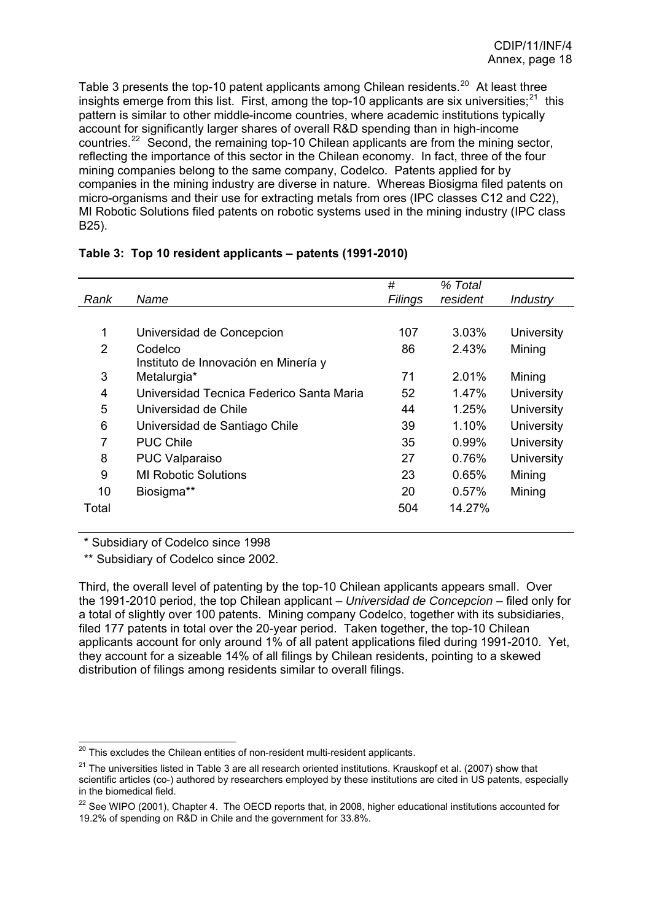<span id="page-18-0"></span>Table 3 presents the top-10 patent applicants among Chilean residents.<sup>[20](#page-18-0)</sup> At least three insights emerge from this list. First, among the top-10 applicants are six universities;  $21$  this pattern is similar to other middle-income countries, where academic institutions typically account for significantly larger shares of overall R&D spending than in high-income countries.[22](#page-18-0) Second, the remaining top-10 Chilean applicants are from the mining sector, reflecting the importance of this sector in the Chilean economy. In fact, three of the four mining companies belong to the same company, Codelco. Patents applied for by companies in the mining industry are diverse in nature. Whereas Biosigma filed patents on micro-organisms and their use for extracting metals from ores (IPC classes C12 and C22), MI Robotic Solutions filed patents on robotic systems used in the mining industry (IPC class B25).

|                |                                          | #       | % Total  |                   |
|----------------|------------------------------------------|---------|----------|-------------------|
| Rank           | Name                                     | Filings | resident | Industry          |
|                |                                          |         |          |                   |
| 1              | Universidad de Concepcion                | 107     | 3.03%    | University        |
| $\overline{2}$ | Codelco                                  | 86      | 2.43%    | Mining            |
|                | Instituto de Innovación en Minería y     |         |          |                   |
| 3              | Metalurgia*                              | 71      | 2.01%    | Mining            |
| 4              | Universidad Tecnica Federico Santa Maria | 52      | 1.47%    | University        |
| 5              | Universidad de Chile                     | 44      | 1.25%    | <b>University</b> |
| 6              | Universidad de Santiago Chile            | 39      | 1.10%    | <b>University</b> |
| 7              | <b>PUC Chile</b>                         | 35      | 0.99%    | <b>University</b> |
| 8              | <b>PUC Valparaiso</b>                    | 27      | 0.76%    | <b>University</b> |
| 9              | <b>MI Robotic Solutions</b>              | 23      | 0.65%    | Mining            |
| 10             | Biosigma**                               | 20      | 0.57%    | Mining            |
| Total          |                                          | 504     | 14.27%   |                   |

|  | Table 3: Top 10 resident applicants - patents (1991-2010) |  |
|--|-----------------------------------------------------------|--|
|  |                                                           |  |

\* Subsidiary of Codelco since 1998

\*\* Subsidiary of Codelco since 2002.

Third, the overall level of patenting by the top-10 Chilean applicants appears small. Over the 1991-2010 period, the top Chilean applicant – *Universidad de Concepcion* – filed only for a total of slightly over 100 patents. Mining company Codelco, together with its subsidiaries, filed 177 patents in total over the 20-year period. Taken together, the top-10 Chilean applicants account for only around 1% of all patent applications filed during 1991-2010. Yet, they account for a sizeable 14% of all filings by Chilean residents, pointing to a skewed distribution of filings among residents similar to overall filings.

 $\overline{a}$  $^{20}$  This excludes the Chilean entities of non-resident multi-resident applicants.

 $21$  The universities listed in Table 3 are all research oriented institutions. Krauskopf et al. (2007) show that scientific articles (co-) authored by researchers employed by these institutions are cited in US patents, especially in the biomedical field.

 $22$  See WIPO (2001), Chapter 4. The OECD reports that, in 2008, higher educational institutions accounted for 19.2% of spending on R&D in Chile and the government for 33.8%.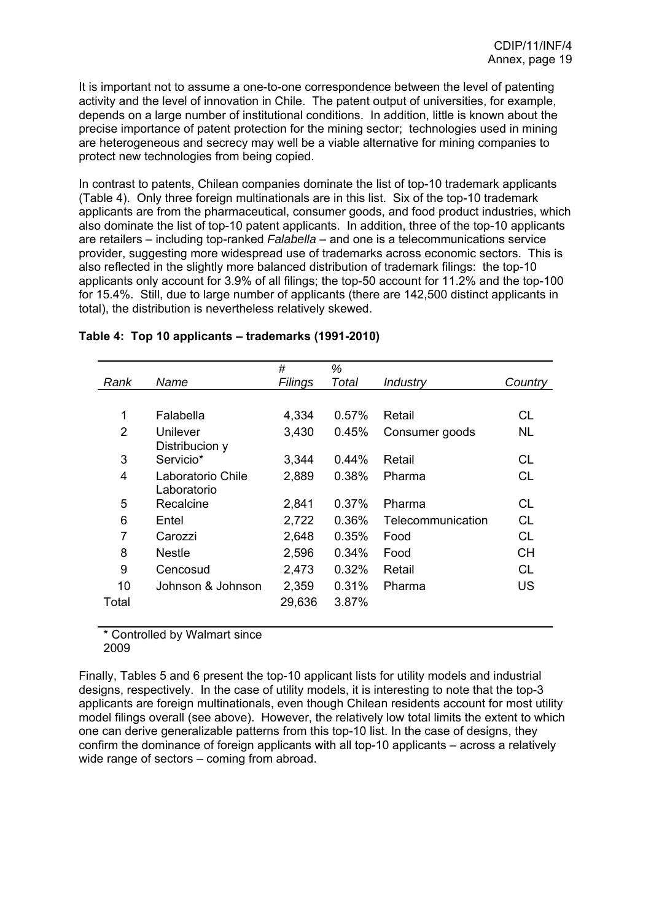It is important not to assume a one-to-one correspondence between the level of patenting activity and the level of innovation in Chile. The patent output of universities, for example, depends on a large number of institutional conditions. In addition, little is known about the precise importance of patent protection for the mining sector; technologies used in mining are heterogeneous and secrecy may well be a viable alternative for mining companies to protect new technologies from being copied.

In contrast to patents, Chilean companies dominate the list of top-10 trademark applicants (Table 4). Only three foreign multinationals are in this list. Six of the top-10 trademark applicants are from the pharmaceutical, consumer goods, and food product industries, which also dominate the list of top-10 patent applicants. In addition, three of the top-10 applicants are retailers – including top-ranked *Falabella* – and one is a telecommunications service provider, suggesting more widespread use of trademarks across economic sectors. This is also reflected in the slightly more balanced distribution of trademark filings: the top-10 applicants only account for 3.9% of all filings; the top-50 account for 11.2% and the top-100 for 15.4%. Still, due to large number of applicants (there are 142,500 distinct applicants in total), the distribution is nevertheless relatively skewed.

|                |                   | #       | %     |                   |           |
|----------------|-------------------|---------|-------|-------------------|-----------|
| Rank           | Name              | Filings | Total | <b>Industry</b>   | Country   |
|                |                   |         |       |                   |           |
| 1              | Falabella         | 4,334   | 0.57% | Retail            | СL        |
| $\overline{2}$ | Unilever          | 3,430   | 0.45% | Consumer goods    | NL.       |
|                | Distribucion y    |         |       |                   |           |
| 3              | Servicio*         | 3,344   | 0.44% | Retail            | СL        |
| $\overline{4}$ | Laboratorio Chile | 2,889   | 0.38% | Pharma            | <b>CL</b> |
|                | Laboratorio       |         |       |                   |           |
| 5              | Recalcine         | 2,841   | 0.37% | Pharma            | CL        |
| 6              | Entel             | 2,722   | 0.36% | Telecommunication | <b>CL</b> |
| $\overline{7}$ | Carozzi           | 2,648   | 0.35% | Food              | СL        |
| 8              | <b>Nestle</b>     | 2,596   | 0.34% | Food              | <b>CH</b> |
| 9              | Cencosud          | 2,473   | 0.32% | Retail            | CL.       |
| 10             | Johnson & Johnson | 2,359   | 0.31% | Pharma            | <b>US</b> |
| Total          |                   | 29,636  | 3.87% |                   |           |
|                |                   |         |       |                   |           |

## **Table 4: Top 10 applicants – trademarks (1991-2010)**

\* Controlled by Walmart since 2009

Finally, Tables 5 and 6 present the top-10 applicant lists for utility models and industrial designs, respectively. In the case of utility models, it is interesting to note that the top-3 applicants are foreign multinationals, even though Chilean residents account for most utility model filings overall (see above). However, the relatively low total limits the extent to which one can derive generalizable patterns from this top-10 list. In the case of designs, they confirm the dominance of foreign applicants with all top-10 applicants – across a relatively wide range of sectors – coming from abroad.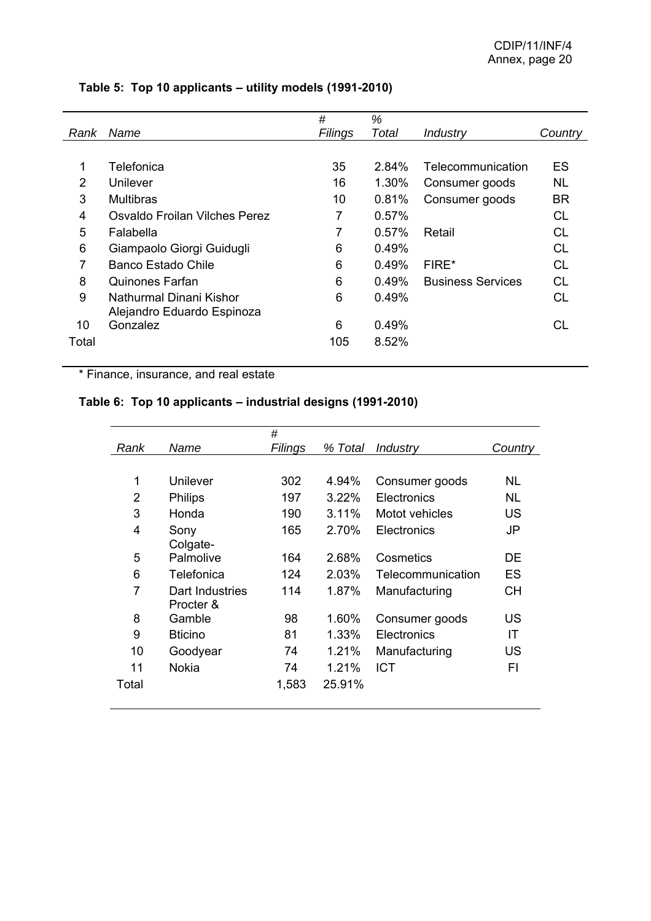|       |                               | #       | %        |                          |           |
|-------|-------------------------------|---------|----------|--------------------------|-----------|
| Rank  | Name                          | Filings | Total    | Industry                 | Country   |
|       |                               |         |          |                          |           |
|       | Telefonica                    | 35      | $2.84\%$ | Telecommunication        | ES        |
| 2     | Unilever                      | 16      | 1.30%    | Consumer goods           | <b>NL</b> |
| 3     | <b>Multibras</b>              | 10      | 0.81%    | Consumer goods           | <b>BR</b> |
| 4     | Osvaldo Froilan Vilches Perez | 7       | 0.57%    |                          | СL        |
| 5     | Falabella                     |         | $0.57\%$ | Retail                   | СL        |
| 6     | Giampaolo Giorgi Guidugli     | 6       | 0.49%    |                          | СL        |
| 7     | Banco Estado Chile            | 6       | 0.49%    | FIRE*                    | СL        |
| 8     | Quinones Farfan               | 6       | 0.49%    | <b>Business Services</b> | CL        |
| 9     | Nathurmal Dinani Kishor       | 6       | 0.49%    |                          | CL        |
|       | Alejandro Eduardo Espinoza    |         |          |                          |           |
| 10    | Gonzalez                      | 6       | 0.49%    |                          | CL        |
| Total |                               | 105     | 8.52%    |                          |           |
|       |                               |         |          |                          |           |

## **Table 5: Top 10 applicants – utility models (1991-2010)**

\* Finance, insurance, and real estate

## **Table 6: Top 10 applicants – industrial designs (1991-2010)**

|       |                 | #       |         |                   |           |
|-------|-----------------|---------|---------|-------------------|-----------|
| Rank  | Name            | Filings | % Total | Industry          | Country   |
|       |                 |         |         |                   |           |
| 1     | Unilever        | 302     | 4.94%   | Consumer goods    | NL        |
| 2     | <b>Philips</b>  | 197     | 3.22%   | Electronics       | NL        |
| 3     | Honda           | 190     | 3.11%   | Motot vehicles    | <b>US</b> |
| 4     | Sony            | 165     | 2.70%   | Electronics       | JP        |
|       | Colgate-        |         |         |                   |           |
| 5     | Palmolive       | 164     | 2.68%   | Cosmetics         | DE        |
| 6     | Telefonica      | 124     | 2.03%   | Telecommunication | <b>ES</b> |
| 7     | Dart Industries | 114     | 1.87%   | Manufacturing     | <b>CH</b> |
|       | Procter &       |         |         |                   |           |
| 8     | Gamble          | 98      | 1.60%   | Consumer goods    | US        |
| 9     | <b>Bticino</b>  | 81      | 1.33%   | Electronics       | IT        |
| 10    | Goodyear        | 74      | 1.21%   | Manufacturing     | US        |
| 11    | <b>Nokia</b>    | 74      | 1.21%   | <b>ICT</b>        | FI        |
| Total |                 | 1,583   | 25.91%  |                   |           |
|       |                 |         |         |                   |           |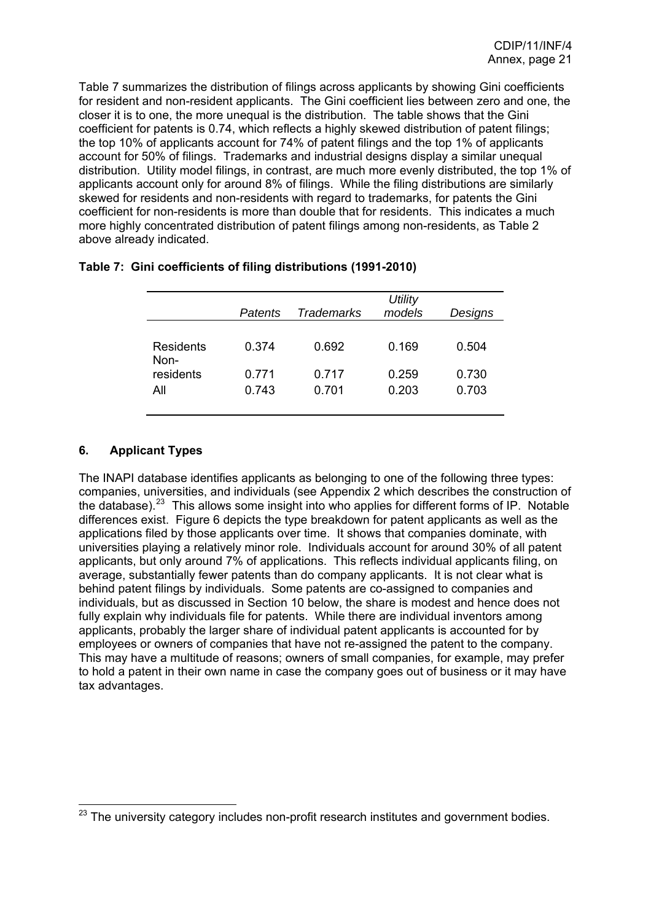<span id="page-21-0"></span>Table 7 summarizes the distribution of filings across applicants by showing Gini coefficients for resident and non-resident applicants. The Gini coefficient lies between zero and one, the closer it is to one, the more unequal is the distribution. The table shows that the Gini coefficient for patents is 0.74, which reflects a highly skewed distribution of patent filings; the top 10% of applicants account for 74% of patent filings and the top 1% of applicants account for 50% of filings. Trademarks and industrial designs display a similar unequal distribution. Utility model filings, in contrast, are much more evenly distributed, the top 1% of applicants account only for around 8% of filings. While the filing distributions are similarly skewed for residents and non-residents with regard to trademarks, for patents the Gini coefficient for non-residents is more than double that for residents. This indicates a much more highly concentrated distribution of patent filings among non-residents, as Table 2 above already indicated.

|                          | Patents        | <b>Trademarks</b> | <b>Utility</b><br>models | Designs        |
|--------------------------|----------------|-------------------|--------------------------|----------------|
| <b>Residents</b><br>Non- | 0.374          | 0.692             | 0.169                    | 0.504          |
| residents<br>All         | 0.771<br>0.743 | 0.717<br>0.701    | 0.259<br>0.203           | 0.730<br>0.703 |

### **Table 7: Gini coefficients of filing distributions (1991-2010)**

## **6. Applicant Types**

The INAPI database identifies applicants as belonging to one of the following three types: companies, universities, and individuals (see Appendix 2 which describes the construction of the database).<sup>[23](#page-21-0)</sup> This allows some insight into who applies for different forms of IP. Notable differences exist. Figure 6 depicts the type breakdown for patent applicants as well as the applications filed by those applicants over time. It shows that companies dominate, with universities playing a relatively minor role. Individuals account for around 30% of all patent applicants, but only around 7% of applications. This reflects individual applicants filing, on average, substantially fewer patents than do company applicants. It is not clear what is behind patent filings by individuals. Some patents are co-assigned to companies and individuals, but as discussed in Section 10 below, the share is modest and hence does not fully explain why individuals file for patents. While there are individual inventors among applicants, probably the larger share of individual patent applicants is accounted for by employees or owners of companies that have not re-assigned the patent to the company. This may have a multitude of reasons; owners of small companies, for example, may prefer to hold a patent in their own name in case the company goes out of business or it may have tax advantages.

  $^{23}$  The university category includes non-profit research institutes and government bodies.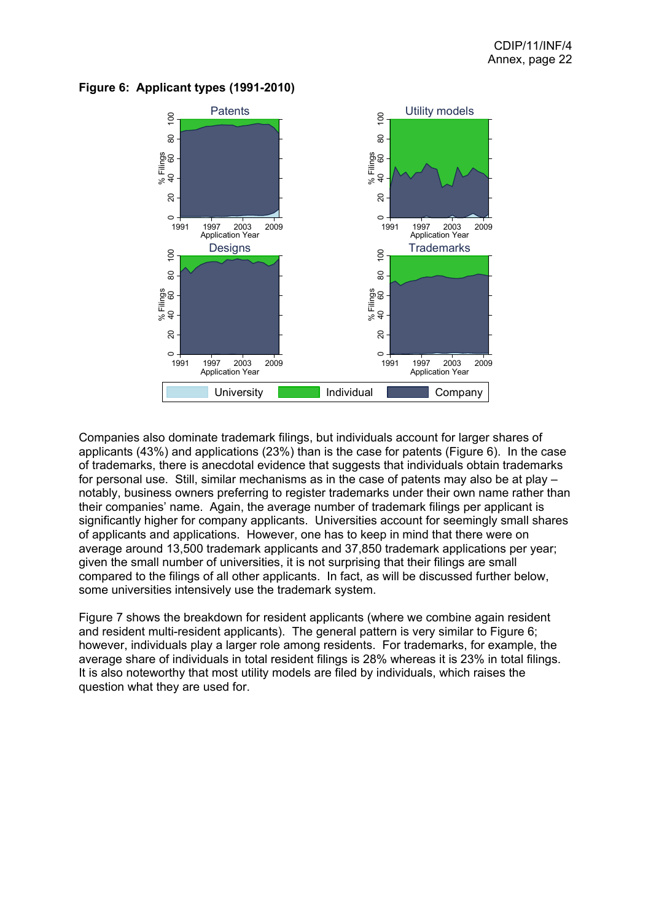

#### **Figure 6: Applicant types (1991-2010)**

Companies also dominate trademark filings, but individuals account for larger shares of applicants (43%) and applications (23%) than is the case for patents (Figure 6). In the case of trademarks, there is anecdotal evidence that suggests that individuals obtain trademarks for personal use. Still, similar mechanisms as in the case of patents may also be at play – notably, business owners preferring to register trademarks under their own name rather than their companies' name. Again, the average number of trademark filings per applicant is significantly higher for company applicants. Universities account for seemingly small shares of applicants and applications. However, one has to keep in mind that there were on average around 13,500 trademark applicants and 37,850 trademark applications per year; given the small number of universities, it is not surprising that their filings are small compared to the filings of all other applicants. In fact, as will be discussed further below, some universities intensively use the trademark system.

Figure 7 shows the breakdown for resident applicants (where we combine again resident and resident multi-resident applicants). The general pattern is very similar to Figure 6; however, individuals play a larger role among residents. For trademarks, for example, the average share of individuals in total resident filings is 28% whereas it is 23% in total filings. It is also noteworthy that most utility models are filed by individuals, which raises the question what they are used for.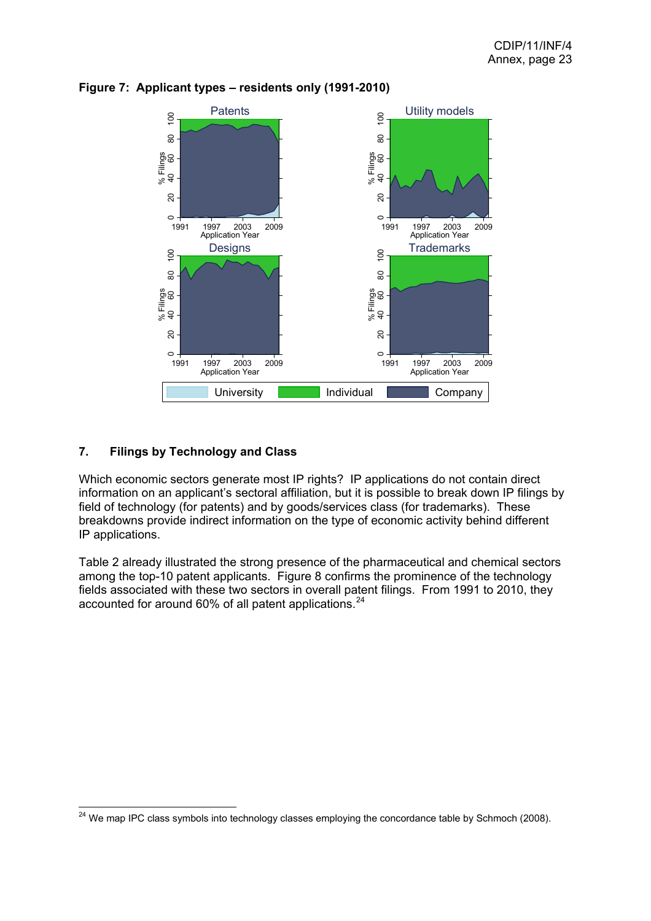

## <span id="page-23-0"></span>**Figure 7: Applicant types – residents only (1991-2010)**

## **7. Filings by Technology and Class**

Which economic sectors generate most IP rights? IP applications do not contain direct information on an applicant's sectoral affiliation, but it is possible to break down IP filings by field of technology (for patents) and by goods/services class (for trademarks). These breakdowns provide indirect information on the type of economic activity behind different IP applications.

Table 2 already illustrated the strong presence of the pharmaceutical and chemical sectors among the top-10 patent applicants. Figure 8 confirms the prominence of the technology fields associated with these two sectors in overall patent filings. From 1991 to 2010, they accounted for around 60% of all patent applications.<sup>[24](#page-23-0)</sup>

 $^{24}$  We map IPC class symbols into technology classes employing the concordance table by Schmoch (2008).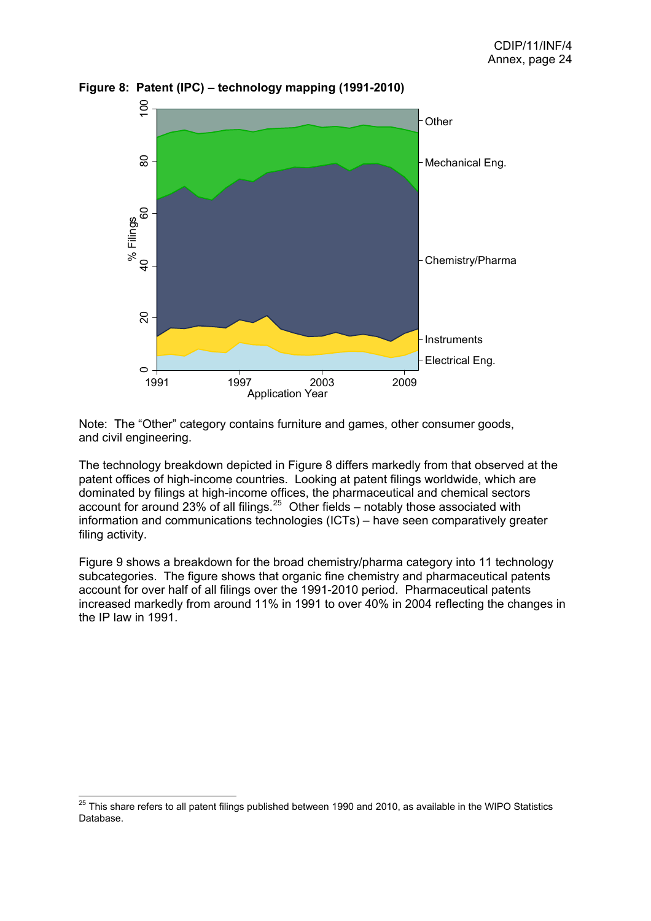

<span id="page-24-0"></span>**Figure 8: Patent (IPC) – technology mapping (1991-2010)**

Note: The "Other" category contains furniture and games, other consumer goods, and civil engineering.

The technology breakdown depicted in Figure 8 differs markedly from that observed at the patent offices of high-income countries. Looking at patent filings worldwide, which are dominated by filings at high-income offices, the pharmaceutical and chemical sectors account for around 23% of all filings. $25$  Other fields – notably those associated with information and communications technologies (ICTs) – have seen comparatively greater filing activity.

Figure 9 shows a breakdown for the broad chemistry/pharma category into 11 technology subcategories. The figure shows that organic fine chemistry and pharmaceutical patents account for over half of all filings over the 1991-2010 period. Pharmaceutical patents increased markedly from around 11% in 1991 to over 40% in 2004 reflecting the changes in the IP law in 1991.

 $^{25}$  This share refers to all patent filings published between 1990 and 2010, as available in the WIPO Statistics Database.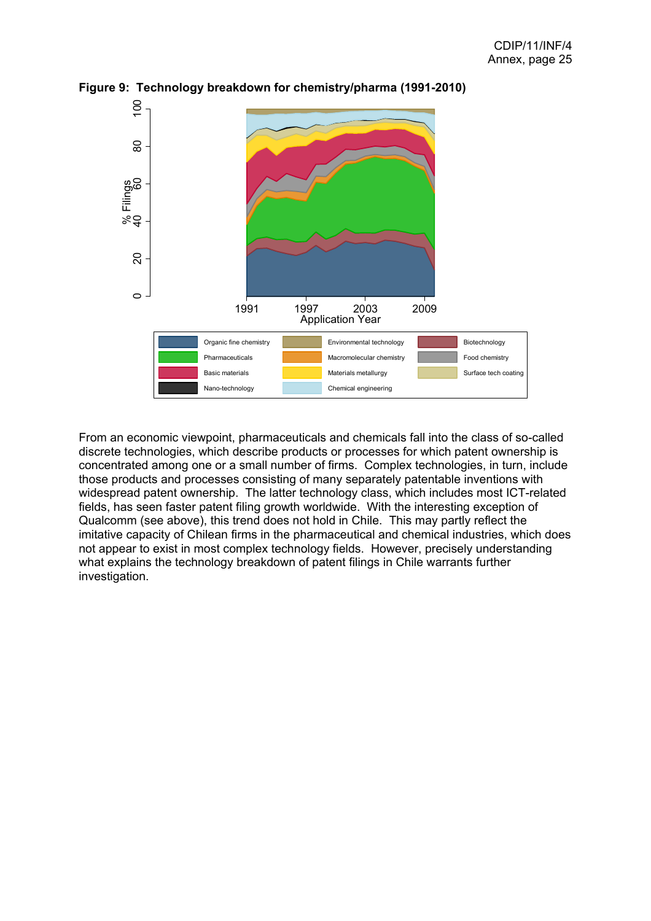

**Figure 9: Technology breakdown for chemistry/pharma (1991-2010)**

From an economic viewpoint, pharmaceuticals and chemicals fall into the class of so-called discrete technologies, which describe products or processes for which patent ownership is concentrated among one or a small number of firms. Complex technologies, in turn, include those products and processes consisting of many separately patentable inventions with widespread patent ownership. The latter technology class, which includes most ICT-related fields, has seen faster patent filing growth worldwide. With the interesting exception of Qualcomm (see above), this trend does not hold in Chile. This may partly reflect the imitative capacity of Chilean firms in the pharmaceutical and chemical industries, which does not appear to exist in most complex technology fields. However, precisely understanding what explains the technology breakdown of patent filings in Chile warrants further investigation.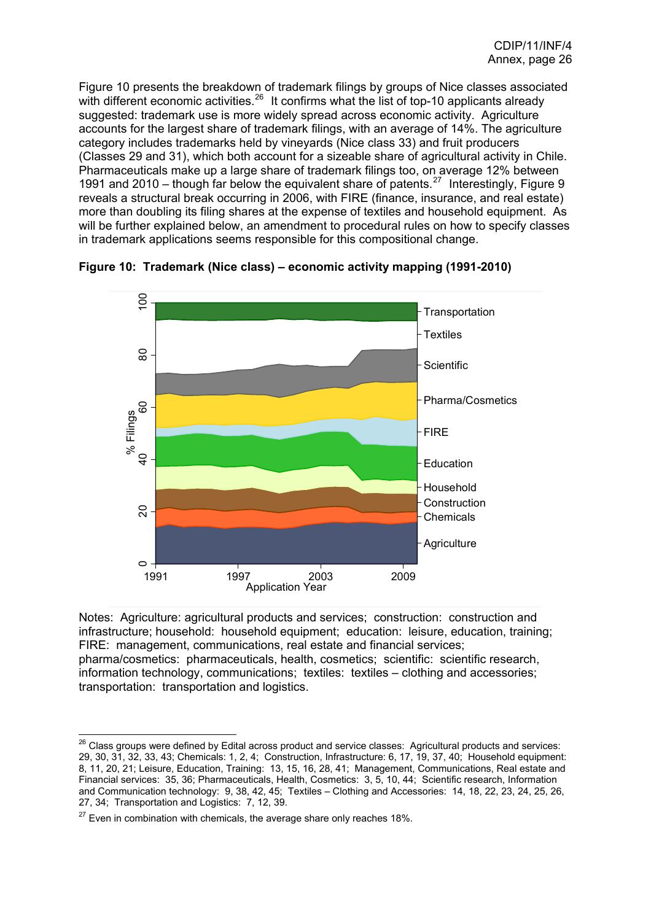<span id="page-26-0"></span>Figure 10 presents the breakdown of trademark filings by groups of Nice classes associated with different economic activities.<sup>[26](#page-26-0)</sup> It confirms what the list of top-10 applicants already suggested: trademark use is more widely spread across economic activity. Agriculture accounts for the largest share of trademark filings, with an average of 14%. The agriculture category includes trademarks held by vineyards (Nice class 33) and fruit producers (Classes 29 and 31), which both account for a sizeable share of agricultural activity in Chile. Pharmaceuticals make up a large share of trademark filings too, on average 12% between 1991 and 2010 – though far below the equivalent share of patents.<sup>[27](#page-26-0)</sup> Interestingly, Figure 9 reveals a structural break occurring in 2006, with FIRE (finance, insurance, and real estate) more than doubling its filing shares at the expense of textiles and household equipment. As will be further explained below, an amendment to procedural rules on how to specify classes in trademark applications seems responsible for this compositional change.



**Figure 10: Trademark (Nice class) – economic activity mapping (1991-2010)**

Notes: Agriculture: agricultural products and services; construction: construction and infrastructure; household: household equipment; education: leisure, education, training; FIRE: management, communications, real estate and financial services; pharma/cosmetics: pharmaceuticals, health, cosmetics; scientific: scientific research, information technology, communications; textiles: textiles – clothing and accessories; transportation: transportation and logistics.

  $^{26}$  Class groups were defined by Edital across product and service classes: Agricultural products and services: 29, 30, 31, 32, 33, 43; Chemicals: 1, 2, 4; Construction, Infrastructure: 6, 17, 19, 37, 40; Household equipment: 8, 11, 20, 21; Leisure, Education, Training: 13, 15, 16, 28, 41; Management, Communications, Real estate and Financial services: 35, 36; Pharmaceuticals, Health, Cosmetics: 3, 5, 10, 44; Scientific research, Information and Communication technology: 9, 38, 42, 45; Textiles – Clothing and Accessories: 14, 18, 22, 23, 24, 25, 26, 27, 34; Transportation and Logistics: 7, 12, 39.

 $27$  Even in combination with chemicals, the average share only reaches 18%.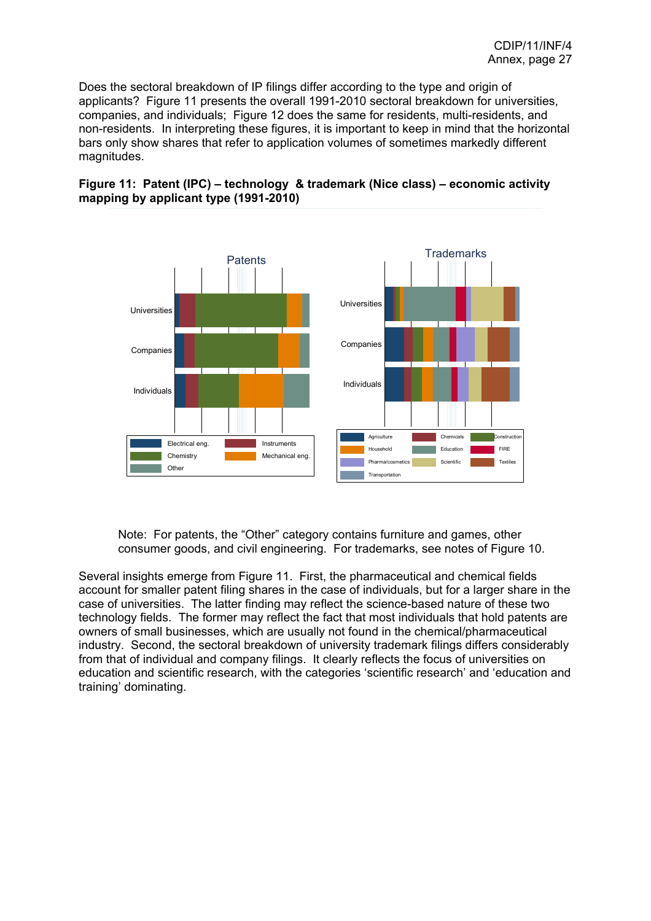Does the sectoral breakdown of IP filings differ according to the type and origin of applicants? Figure 11 presents the overall 1991-2010 sectoral breakdown for universities, companies, and individuals; Figure 12 does the same for residents, multi-residents, and non-residents. In interpreting these figures, it is important to keep in mind that the horizontal bars only show shares that refer to application volumes of sometimes markedly different magnitudes.





Note: For patents, the "Other" category contains furniture and games, other consumer goods, and civil engineering. For trademarks, see notes of Figure 10.

Several insights emerge from Figure 11. First, the pharmaceutical and chemical fields account for smaller patent filing shares in the case of individuals, but for a larger share in the case of universities. The latter finding may reflect the science-based nature of these two technology fields. The former may reflect the fact that most individuals that hold patents are owners of small businesses, which are usually not found in the chemical/pharmaceutical industry. Second, the sectoral breakdown of university trademark filings differs considerably from that of individual and company filings. It clearly reflects the focus of universities on education and scientific research, with the categories 'scientific research' and 'education and training' dominating.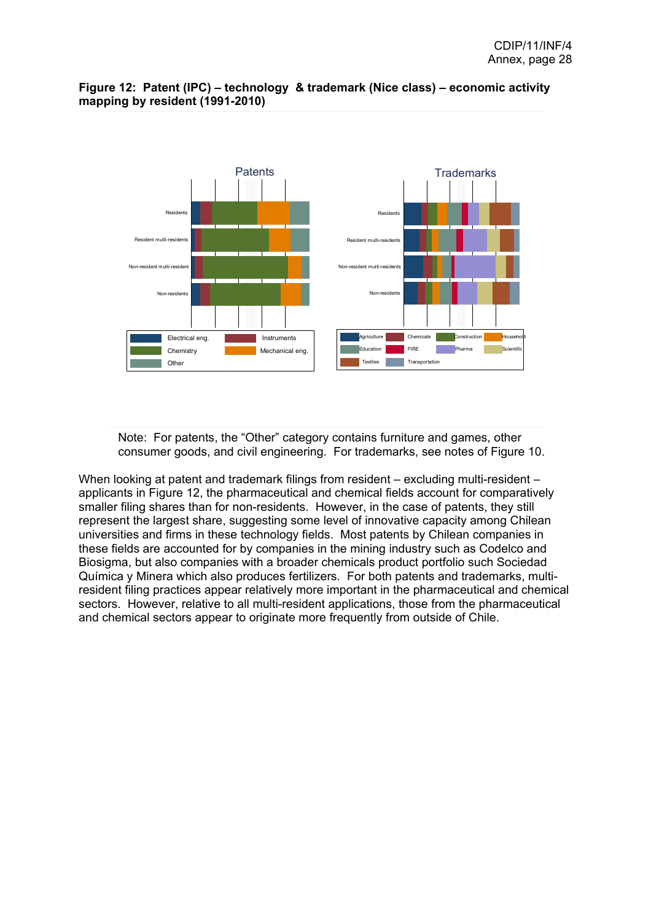

### **Figure 12: Patent (IPC) – technology & trademark (Nice class) – economic activity mapping by resident (1991-2010)**

Note: For patents, the "Other" category contains furniture and games, other consumer goods, and civil engineering. For trademarks, see notes of Figure 10.

When looking at patent and trademark filings from resident – excluding multi-resident – applicants in Figure 12, the pharmaceutical and chemical fields account for comparatively smaller filing shares than for non-residents. However, in the case of patents, they still represent the largest share, suggesting some level of innovative capacity among Chilean universities and firms in these technology fields. Most patents by Chilean companies in these fields are accounted for by companies in the mining industry such as Codelco and Biosigma, but also companies with a broader chemicals product portfolio such Sociedad Química y Minera which also produces fertilizers. For both patents and trademarks, multiresident filing practices appear relatively more important in the pharmaceutical and chemical sectors. However, relative to all multi-resident applications, those from the pharmaceutical and chemical sectors appear to originate more frequently from outside of Chile.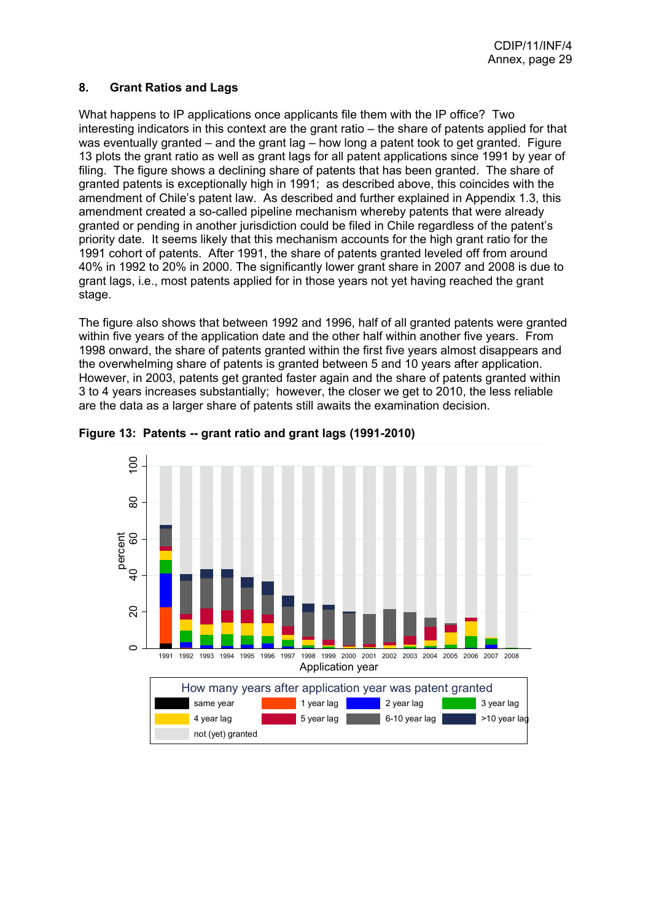#### <span id="page-29-0"></span>**8. Grant Ratios and Lags**

What happens to IP applications once applicants file them with the IP office? Two interesting indicators in this context are the grant ratio – the share of patents applied for that was eventually granted – and the grant lag – how long a patent took to get granted. Figure 13 plots the grant ratio as well as grant lags for all patent applications since 1991 by year of filing. The figure shows a declining share of patents that has been granted. The share of granted patents is exceptionally high in 1991; as described above, this coincides with the amendment of Chile's patent law. As described and further explained in Appendix 1.3, this amendment created a so-called pipeline mechanism whereby patents that were already granted or pending in another jurisdiction could be filed in Chile regardless of the patent's priority date. It seems likely that this mechanism accounts for the high grant ratio for the 1991 cohort of patents. After 1991, the share of patents granted leveled off from around 40% in 1992 to 20% in 2000. The significantly lower grant share in 2007 and 2008 is due to grant lags, i.e., most patents applied for in those years not yet having reached the grant stage.

The figure also shows that between 1992 and 1996, half of all granted patents were granted within five years of the application date and the other half within another five years. From 1998 onward, the share of patents granted within the first five years almost disappears and the overwhelming share of patents is granted between 5 and 10 years after application. However, in 2003, patents get granted faster again and the share of patents granted within 3 to 4 years increases substantially; however, the closer we get to 2010, the less reliable are the data as a larger share of patents still awaits the examination decision.



**Figure 13: Patents -- grant ratio and grant lags (1991-2010)**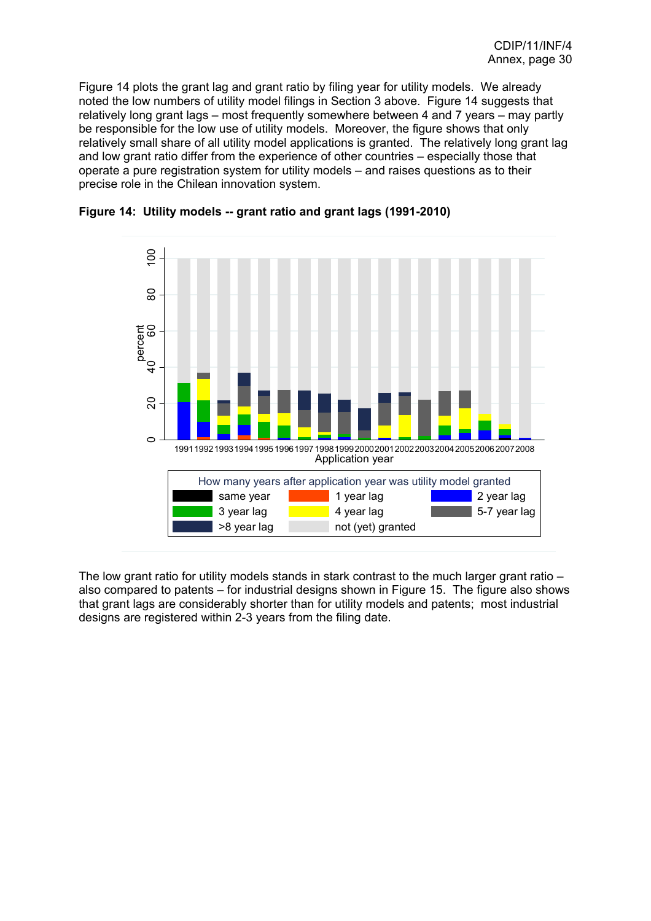Figure 14 plots the grant lag and grant ratio by filing year for utility models. We already noted the low numbers of utility model filings in Section 3 above. Figure 14 suggests that relatively long grant lags – most frequently somewhere between 4 and 7 years – may partly be responsible for the low use of utility models. Moreover, the figure shows that only relatively small share of all utility model applications is granted. The relatively long grant lag and low grant ratio differ from the experience of other countries – especially those that operate a pure registration system for utility models – and raises questions as to their precise role in the Chilean innovation system.



#### **Figure 14: Utility models -- grant ratio and grant lags (1991-2010)**

The low grant ratio for utility models stands in stark contrast to the much larger grant ratio – also compared to patents – for industrial designs shown in Figure 15. The figure also shows that grant lags are considerably shorter than for utility models and patents; most industrial designs are registered within 2-3 years from the filing date.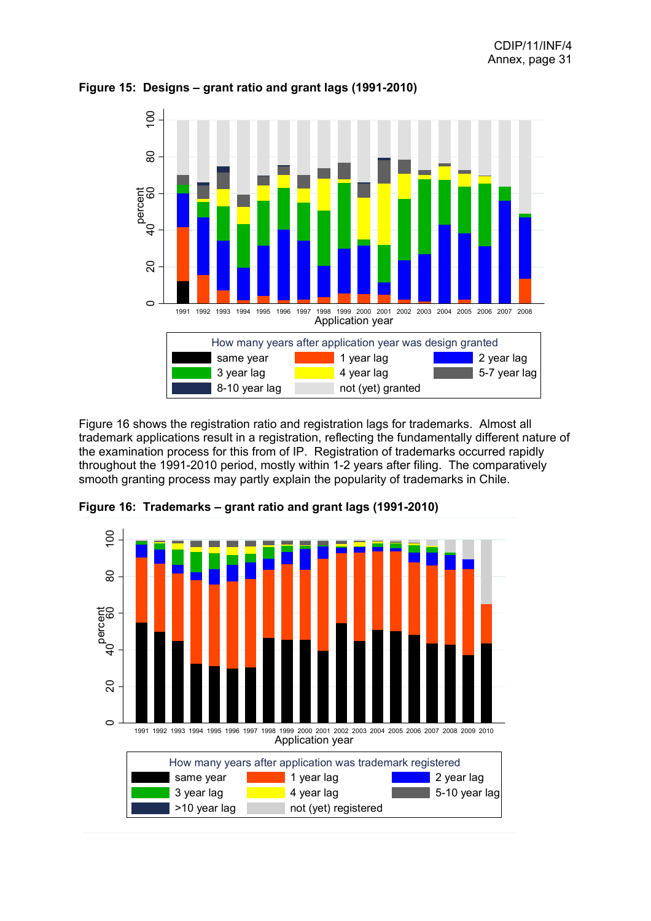

**Figure 15: Designs – grant ratio and grant lags (1991-2010)**

Figure 16 shows the registration ratio and registration lags for trademarks. Almost all trademark applications result in a registration, reflecting the fundamentally different nature of the examination process for this from of IP. Registration of trademarks occurred rapidly throughout the 1991-2010 period, mostly within 1-2 years after filing. The comparatively smooth granting process may partly explain the popularity of trademarks in Chile.



**Figure 16: Trademarks – grant ratio and grant lags (1991-2010)**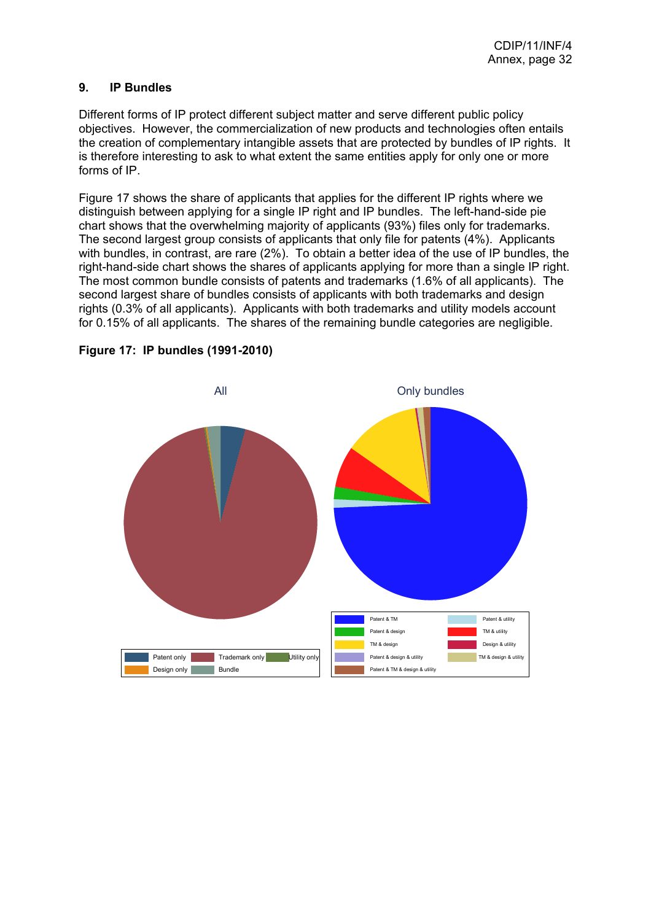## <span id="page-32-0"></span>**9. IP Bundles**

Different forms of IP protect different subject matter and serve different public policy objectives. However, the commercialization of new products and technologies often entails the creation of complementary intangible assets that are protected by bundles of IP rights. It is therefore interesting to ask to what extent the same entities apply for only one or more forms of IP.

Figure 17 shows the share of applicants that applies for the different IP rights where we distinguish between applying for a single IP right and IP bundles. The left-hand-side pie chart shows that the overwhelming majority of applicants (93%) files only for trademarks. The second largest group consists of applicants that only file for patents (4%). Applicants with bundles, in contrast, are rare (2%). To obtain a better idea of the use of IP bundles, the right-hand-side chart shows the shares of applicants applying for more than a single IP right. The most common bundle consists of patents and trademarks (1.6% of all applicants). The second largest share of bundles consists of applicants with both trademarks and design rights (0.3% of all applicants). Applicants with both trademarks and utility models account for 0.15% of all applicants. The shares of the remaining bundle categories are negligible.



**Figure 17: IP bundles (1991-2010)**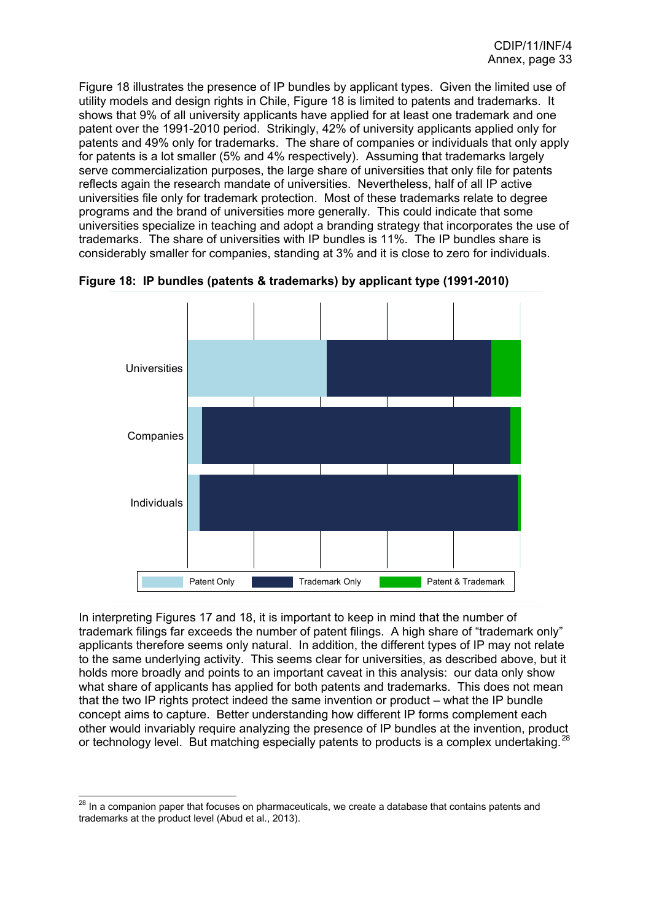<span id="page-33-0"></span>Figure 18 illustrates the presence of IP bundles by applicant types. Given the limited use of utility models and design rights in Chile, Figure 18 is limited to patents and trademarks. It shows that 9% of all university applicants have applied for at least one trademark and one patent over the 1991-2010 period. Strikingly, 42% of university applicants applied only for patents and 49% only for trademarks. The share of companies or individuals that only apply for patents is a lot smaller (5% and 4% respectively). Assuming that trademarks largely serve commercialization purposes, the large share of universities that only file for patents reflects again the research mandate of universities. Nevertheless, half of all IP active universities file only for trademark protection. Most of these trademarks relate to degree programs and the brand of universities more generally. This could indicate that some universities specialize in teaching and adopt a branding strategy that incorporates the use of trademarks. The share of universities with IP bundles is 11%. The IP bundles share is considerably smaller for companies, standing at 3% and it is close to zero for individuals.



**Figure 18: IP bundles (patents & trademarks) by applicant type (1991-2010)**

In interpreting Figures 17 and 18, it is important to keep in mind that the number of trademark filings far exceeds the number of patent filings. A high share of "trademark only" applicants therefore seems only natural. In addition, the different types of IP may not relate to the same underlying activity. This seems clear for universities, as described above, but it holds more broadly and points to an important caveat in this analysis: our data only show what share of applicants has applied for both patents and trademarks. This does not mean that the two IP rights protect indeed the same invention or product – what the IP bundle concept aims to capture. Better understanding how different IP forms complement each other would invariably require analyzing the presence of IP bundles at the invention, product or technology level. But matching especially patents to products is a complex undertaking. $^{28}$  $^{28}$  $^{28}$ 

 $\overline{a}$  $^{28}$  In a companion paper that focuses on pharmaceuticals, we create a database that contains patents and trademarks at the product level (Abud et al., 2013).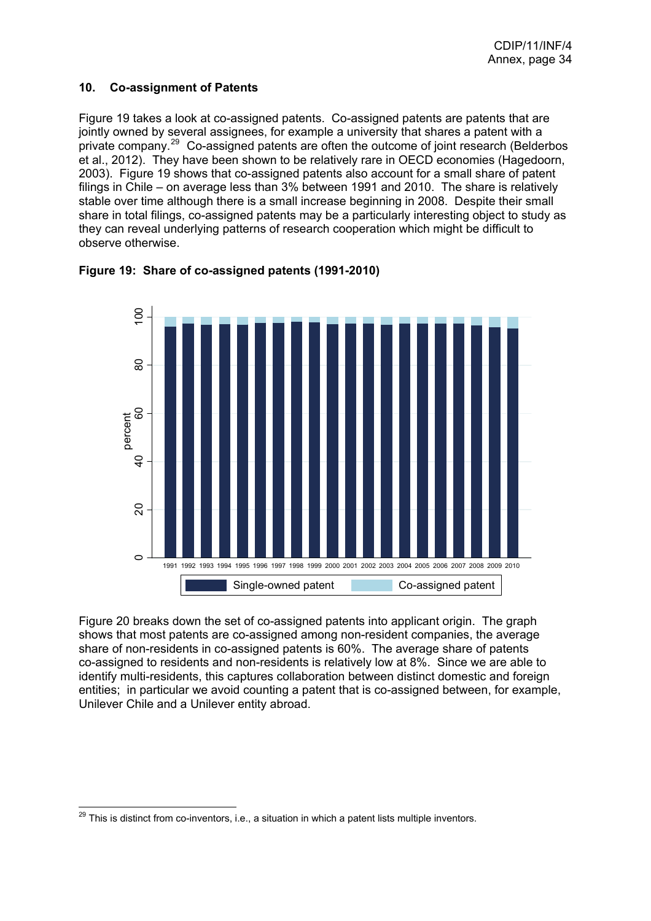## <span id="page-34-0"></span>**10. Co-assignment of Patents**

Figure 19 takes a look at co-assigned patents. Co-assigned patents are patents that are jointly owned by several assignees, for example a university that shares a patent with a private company.[29](#page-34-0) Co-assigned patents are often the outcome of joint research (Belderbos et al., 2012). They have been shown to be relatively rare in OECD economies (Hagedoorn, 2003). Figure 19 shows that co-assigned patents also account for a small share of patent filings in Chile – on average less than 3% between 1991 and 2010. The share is relatively stable over time although there is a small increase beginning in 2008. Despite their small share in total filings, co-assigned patents may be a particularly interesting object to study as they can reveal underlying patterns of research cooperation which might be difficult to observe otherwise.





Figure 20 breaks down the set of co-assigned patents into applicant origin. The graph shows that most patents are co-assigned among non-resident companies, the average share of non-residents in co-assigned patents is 60%. The average share of patents co-assigned to residents and non-residents is relatively low at 8%. Since we are able to identify multi-residents, this captures collaboration between distinct domestic and foreign entities; in particular we avoid counting a patent that is co-assigned between, for example, Unilever Chile and a Unilever entity abroad.

  $^{29}$  This is distinct from co-inventors, i.e., a situation in which a patent lists multiple inventors.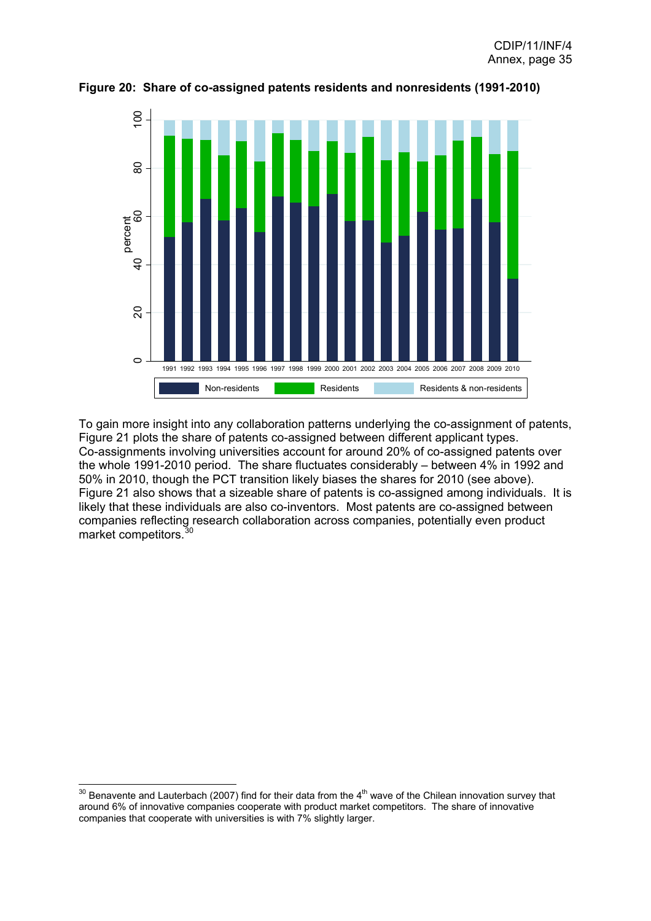

<span id="page-35-0"></span>**Figure 20: Share of co-assigned patents residents and nonresidents (1991-2010)**

To gain more insight into any collaboration patterns underlying the co-assignment of patents, Figure 21 plots the share of patents co-assigned between different applicant types. Co-assignments involving universities account for around 20% of co-assigned patents over the whole 1991-2010 period. The share fluctuates considerably – between 4% in 1992 and 50% in 2010, though the PCT transition likely biases the shares for 2010 (see above). Figure 21 also shows that a sizeable share of patents is co-assigned among individuals. It is likely that these individuals are also co-inventors. Most patents are co-assigned between companies reflecting research collaboration across companies, potentially even product market competitors.[30](#page-35-0)

 <sup>30</sup> Benavente and Lauterbach (2007) find for their data from the 4<sup>th</sup> wave of the Chilean innovation survey that around 6% of innovative companies cooperate with product market competitors. The share of innovative companies that cooperate with universities is with 7% slightly larger.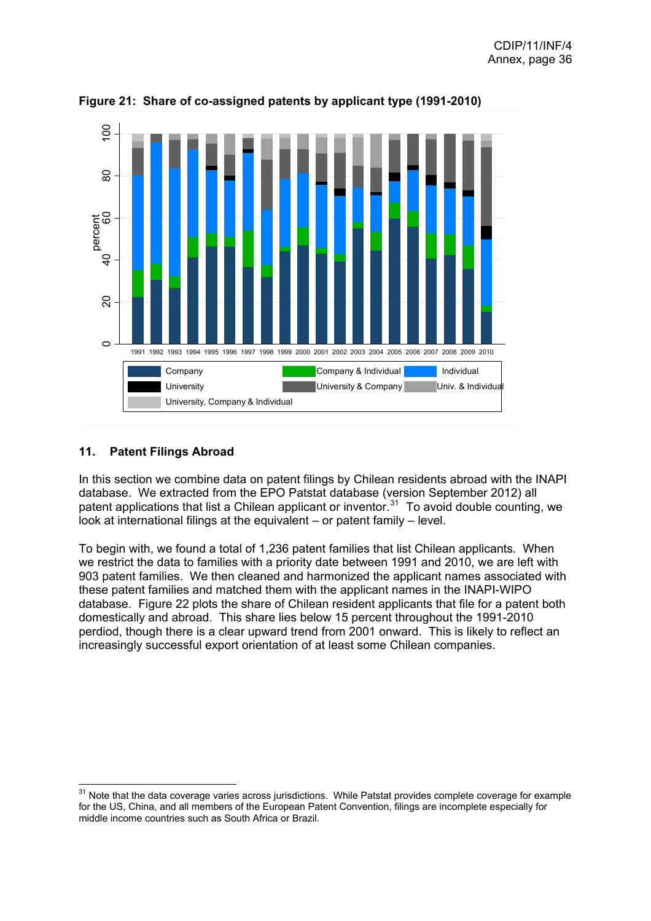

<span id="page-36-0"></span>**Figure 21: Share of co-assigned patents by applicant type (1991-2010)** 

# **11. Patent Filings Abroad**

 $\overline{a}$ 

In this section we combine data on patent filings by Chilean residents abroad with the INAPI database. We extracted from the EPO Patstat database (version September 2012) all patent applications that list a Chilean applicant or inventor.<sup>[31](#page-36-0)</sup> To avoid double counting, we look at international filings at the equivalent – or patent family – level.

To begin with, we found a total of 1,236 patent families that list Chilean applicants. When we restrict the data to families with a priority date between 1991 and 2010, we are left with 903 patent families. We then cleaned and harmonized the applicant names associated with these patent families and matched them with the applicant names in the INAPI-WIPO database. Figure 22 plots the share of Chilean resident applicants that file for a patent both domestically and abroad. This share lies below 15 percent throughout the 1991-2010 perdiod, though there is a clear upward trend from 2001 onward. This is likely to reflect an increasingly successful export orientation of at least some Chilean companies.

 $31$  Note that the data coverage varies across jurisdictions. While Patstat provides complete coverage for example for the US, China, and all members of the European Patent Convention, filings are incomplete especially for middle income countries such as South Africa or Brazil.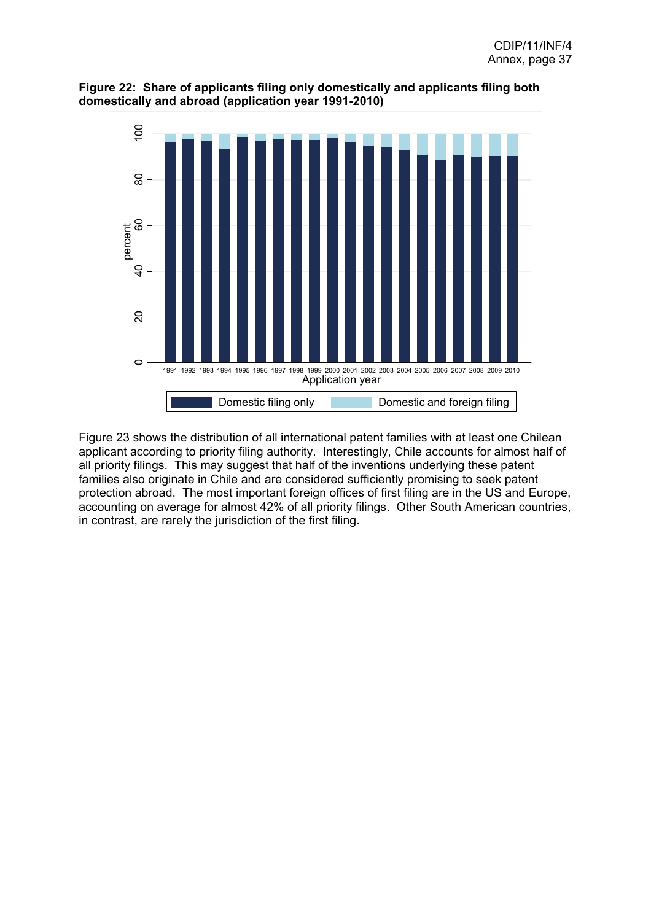



Figure 23 shows the distribution of all international patent families with at least one Chilean applicant according to priority filing authority. Interestingly, Chile accounts for almost half of all priority filings. This may suggest that half of the inventions underlying these patent families also originate in Chile and are considered sufficiently promising to seek patent protection abroad. The most important foreign offices of first filing are in the US and Europe, accounting on average for almost 42% of all priority filings. Other South American countries, in contrast, are rarely the jurisdiction of the first filing.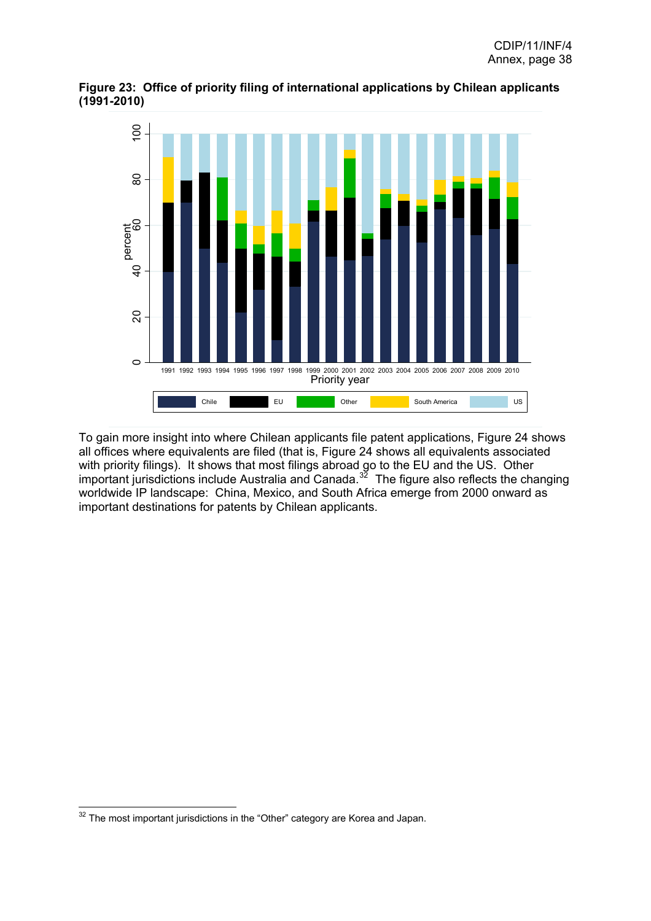

<span id="page-38-0"></span>**Figure 23: Office of priority filing of international applications by Chilean applicants (1991-2010)**

To gain more insight into where Chilean applicants file patent applications, Figure 24 shows all offices where equivalents are filed (that is, Figure 24 shows all equivalents associated with priority filings). It shows that most filings abroad go to the EU and the US. Other important jurisdictions include Australia and Canada.<sup>[32](#page-38-0)</sup> The figure also reflects the changing worldwide IP landscape: China, Mexico, and South Africa emerge from 2000 onward as important destinations for patents by Chilean applicants.

  $32$  The most important jurisdictions in the "Other" category are Korea and Japan.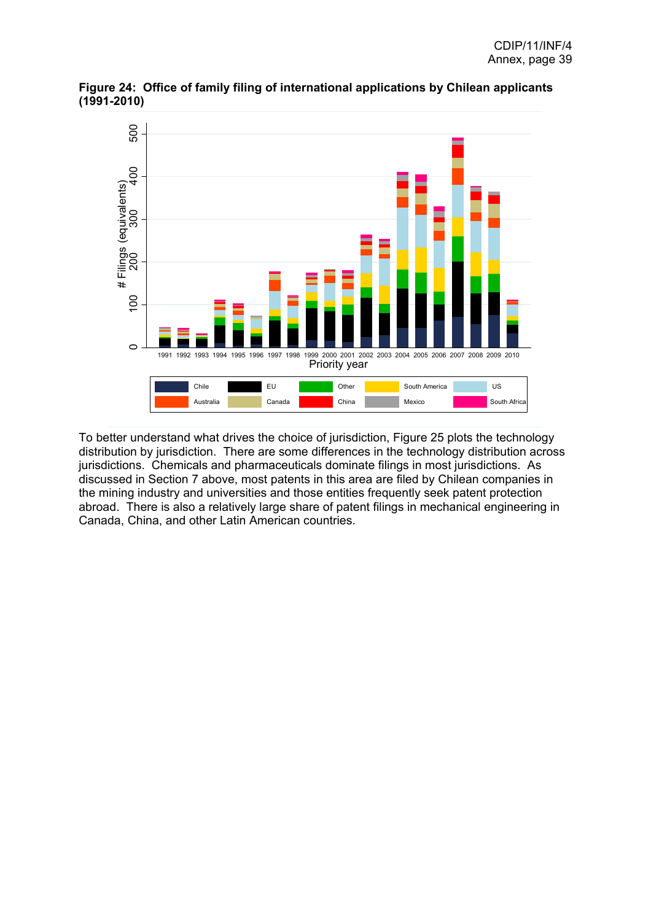

**Figure 24: Office of family filing of international applications by Chilean applicants (1991-2010)** 

To better understand what drives the choice of jurisdiction, Figure 25 plots the technology distribution by jurisdiction. There are some differences in the technology distribution across jurisdictions. Chemicals and pharmaceuticals dominate filings in most jurisdictions. As discussed in Section 7 above, most patents in this area are filed by Chilean companies in the mining industry and universities and those entities frequently seek patent protection abroad. There is also a relatively large share of patent filings in mechanical engineering in Canada, China, and other Latin American countries.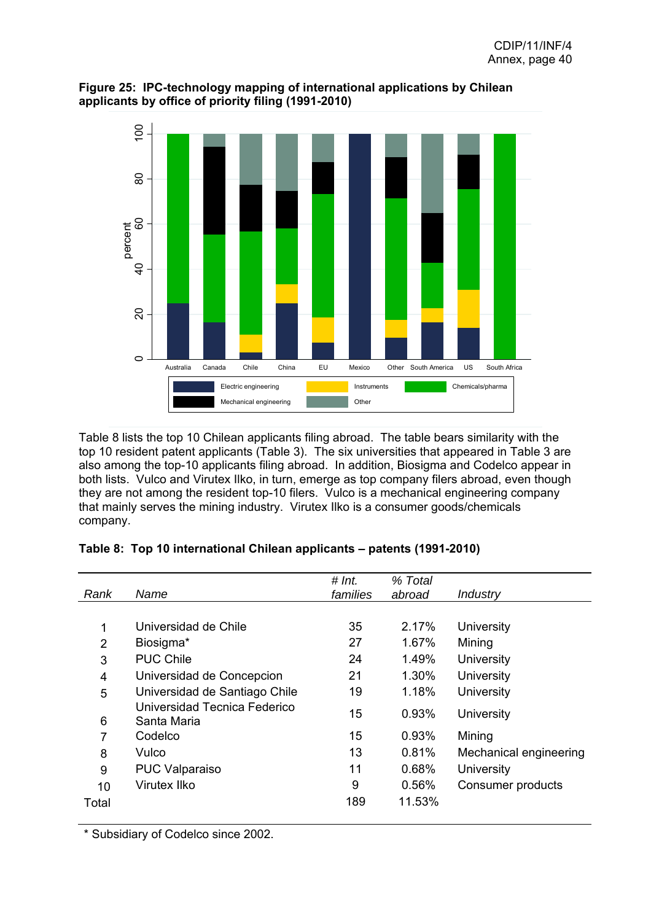

## **Figure 25: IPC-technology mapping of international applications by Chilean applicants by office of priority filing (1991-2010)**

Table 8 lists the top 10 Chilean applicants filing abroad. The table bears similarity with the top 10 resident patent applicants (Table 3). The six universities that appeared in Table 3 are also among the top-10 applicants filing abroad. In addition, Biosigma and Codelco appear in both lists. Vulco and Virutex Ilko, in turn, emerge as top company filers abroad, even though they are not among the resident top-10 filers. Vulco is a mechanical engineering company that mainly serves the mining industry. Virutex Ilko is a consumer goods/chemicals company.

|  | Table 8: Top 10 international Chilean applicants - patents (1991-2010) |  |
|--|------------------------------------------------------------------------|--|
|  |                                                                        |  |

|                |                                             | # Int.   | % Total |                        |
|----------------|---------------------------------------------|----------|---------|------------------------|
| Rank           | Name                                        | families | abroad  | Industry               |
|                |                                             |          |         |                        |
| 1              | Universidad de Chile                        | 35       | 2.17%   | University             |
| 2              | Biosigma*                                   | 27       | 1.67%   | Mining                 |
| 3              | <b>PUC Chile</b>                            | 24       | 1.49%   | University             |
| $\overline{4}$ | Universidad de Concepcion                   | 21       | 1.30%   | University             |
| 5              | Universidad de Santiago Chile               | 19       | 1.18%   | University             |
| 6              | Universidad Tecnica Federico<br>Santa Maria | 15       | 0.93%   | University             |
| $\overline{7}$ | Codelco                                     | 15       | 0.93%   | Mining                 |
| 8              | Vulco                                       | 13       | 0.81%   | Mechanical engineering |
| 9              | <b>PUC Valparaiso</b>                       | 11       | 0.68%   | University             |
| 10             | Virutex Ilko                                | 9        | 0.56%   | Consumer products      |
| Total          |                                             | 189      | 11.53%  |                        |
|                |                                             |          |         |                        |

\* Subsidiary of Codelco since 2002.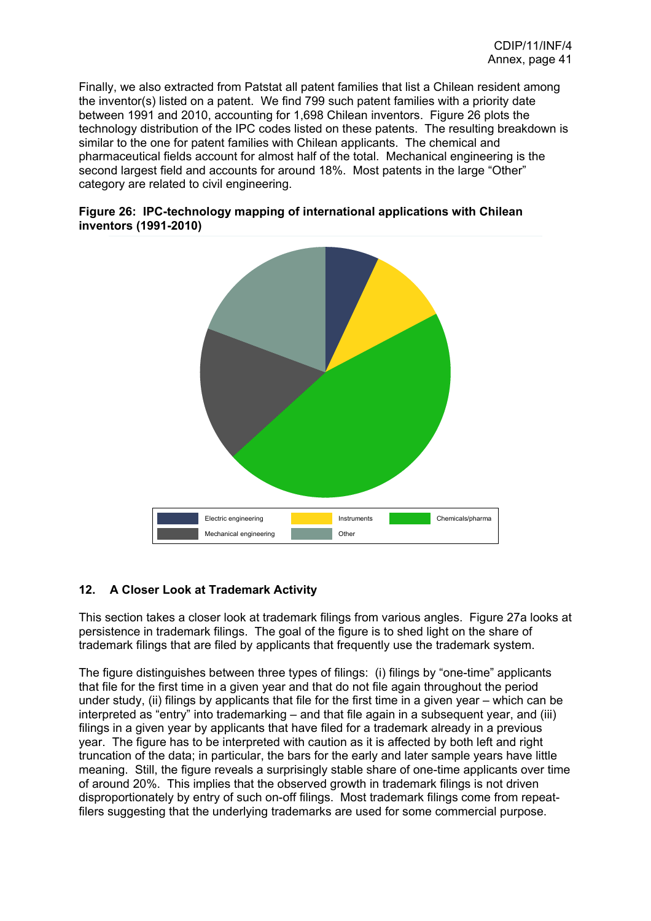Finally, we also extracted from Patstat all patent families that list a Chilean resident among the inventor(s) listed on a patent. We find 799 such patent families with a priority date between 1991 and 2010, accounting for 1,698 Chilean inventors. Figure 26 plots the technology distribution of the IPC codes listed on these patents. The resulting breakdown is similar to the one for patent families with Chilean applicants. The chemical and pharmaceutical fields account for almost half of the total. Mechanical engineering is the second largest field and accounts for around 18%. Most patents in the large "Other" category are related to civil engineering.





# **12. A Closer Look at Trademark Activity**

This section takes a closer look at trademark filings from various angles. Figure 27a looks at persistence in trademark filings. The goal of the figure is to shed light on the share of trademark filings that are filed by applicants that frequently use the trademark system.

The figure distinguishes between three types of filings: (i) filings by "one-time" applicants that file for the first time in a given year and that do not file again throughout the period under study, (ii) filings by applicants that file for the first time in a given year – which can be interpreted as "entry" into trademarking – and that file again in a subsequent year, and (iii) filings in a given year by applicants that have filed for a trademark already in a previous year. The figure has to be interpreted with caution as it is affected by both left and right truncation of the data; in particular, the bars for the early and later sample years have little meaning. Still, the figure reveals a surprisingly stable share of one-time applicants over time of around 20%. This implies that the observed growth in trademark filings is not driven disproportionately by entry of such on-off filings. Most trademark filings come from repeatfilers suggesting that the underlying trademarks are used for some commercial purpose.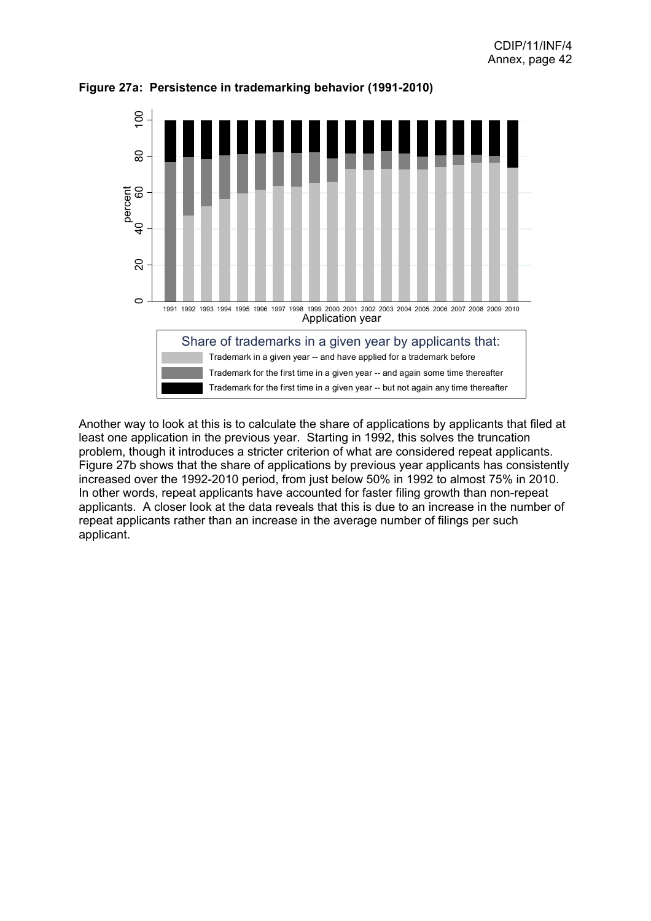

**Figure 27a: Persistence in trademarking behavior (1991-2010)**

Another way to look at this is to calculate the share of applications by applicants that filed at least one application in the previous year. Starting in 1992, this solves the truncation problem, though it introduces a stricter criterion of what are considered repeat applicants. Figure 27b shows that the share of applications by previous year applicants has consistently increased over the 1992-2010 period, from just below 50% in 1992 to almost 75% in 2010. In other words, repeat applicants have accounted for faster filing growth than non-repeat applicants. A closer look at the data reveals that this is due to an increase in the number of repeat applicants rather than an increase in the average number of filings per such applicant.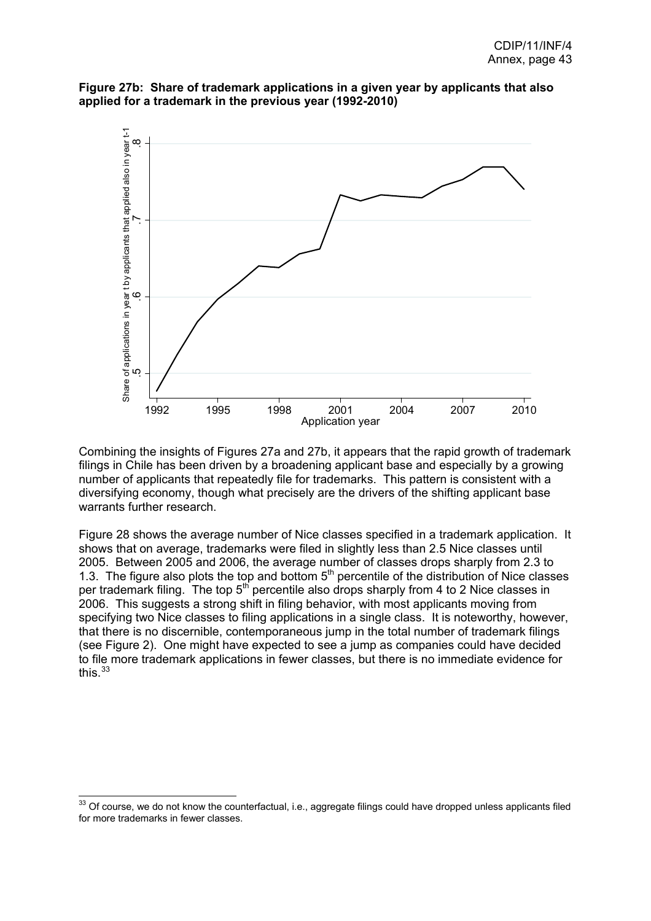<span id="page-43-0"></span>



Combining the insights of Figures 27a and 27b, it appears that the rapid growth of trademark filings in Chile has been driven by a broadening applicant base and especially by a growing number of applicants that repeatedly file for trademarks. This pattern is consistent with a diversifying economy, though what precisely are the drivers of the shifting applicant base warrants further research.

Figure 28 shows the average number of Nice classes specified in a trademark application. It shows that on average, trademarks were filed in slightly less than 2.5 Nice classes until 2005. Between 2005 and 2006, the average number of classes drops sharply from 2.3 to 1.3. The figure also plots the top and bottom  $5<sup>th</sup>$  percentile of the distribution of Nice classes per trademark filing. The top  $5<sup>th</sup>$  percentile also drops sharply from 4 to 2 Nice classes in 2006. This suggests a strong shift in filing behavior, with most applicants moving from specifying two Nice classes to filing applications in a single class. It is noteworthy, however, that there is no discernible, contemporaneous jump in the total number of trademark filings (see Figure 2). One might have expected to see a jump as companies could have decided to file more trademark applications in fewer classes, but there is no immediate evidence for this.<sup>[33](#page-43-0)</sup>

 $\overline{a}$ 

 $33$  Of course, we do not know the counterfactual, i.e., aggregate filings could have dropped unless applicants filed for more trademarks in fewer classes.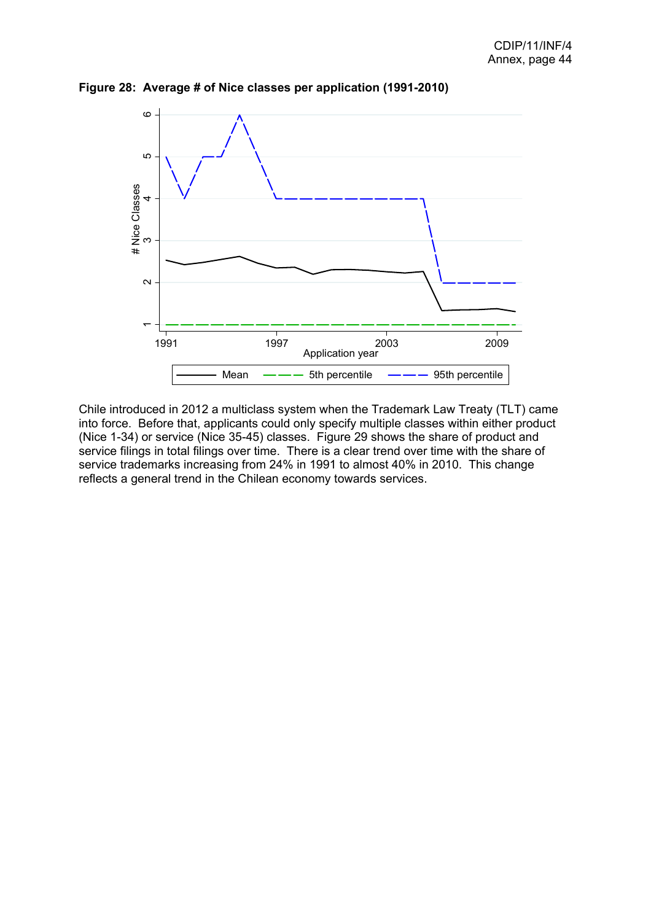

**Figure 28: Average # of Nice classes per application (1991-2010)**

Chile introduced in 2012 a multiclass system when the Trademark Law Treaty (TLT) came into force. Before that, applicants could only specify multiple classes within either product (Nice 1-34) or service (Nice 35-45) classes. Figure 29 shows the share of product and service filings in total filings over time. There is a clear trend over time with the share of service trademarks increasing from 24% in 1991 to almost 40% in 2010. This change reflects a general trend in the Chilean economy towards services.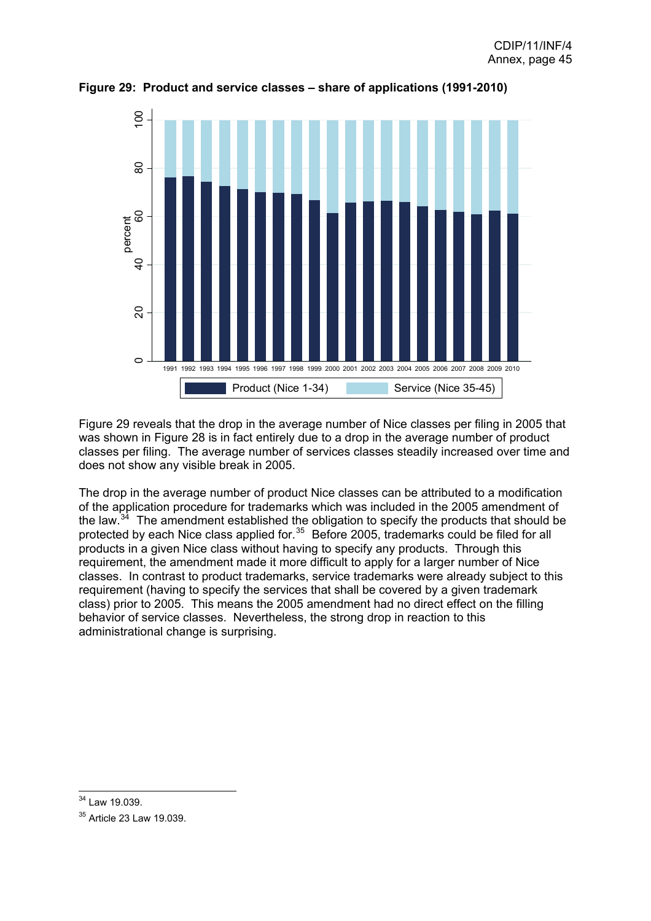

<span id="page-45-0"></span>**Figure 29: Product and service classes – share of applications (1991-2010)**

Figure 29 reveals that the drop in the average number of Nice classes per filing in 2005 that was shown in Figure 28 is in fact entirely due to a drop in the average number of product classes per filing. The average number of services classes steadily increased over time and does not show any visible break in 2005.

The drop in the average number of product Nice classes can be attributed to a modification of the application procedure for trademarks which was included in the 2005 amendment of the law. $34$  The amendment established the obligation to specify the products that should be protected by each Nice class applied for.<sup>[35](#page-45-0)</sup> Before 2005, trademarks could be filed for all products in a given Nice class without having to specify any products. Through this requirement, the amendment made it more difficult to apply for a larger number of Nice classes. In contrast to product trademarks, service trademarks were already subject to this requirement (having to specify the services that shall be covered by a given trademark class) prior to 2005. This means the 2005 amendment had no direct effect on the filling behavior of service classes. Nevertheless, the strong drop in reaction to this administrational change is surprising.

 $\overline{a}$ <sup>34</sup> Law 19.039.

<sup>&</sup>lt;sup>35</sup> Article 23 Law 19.039.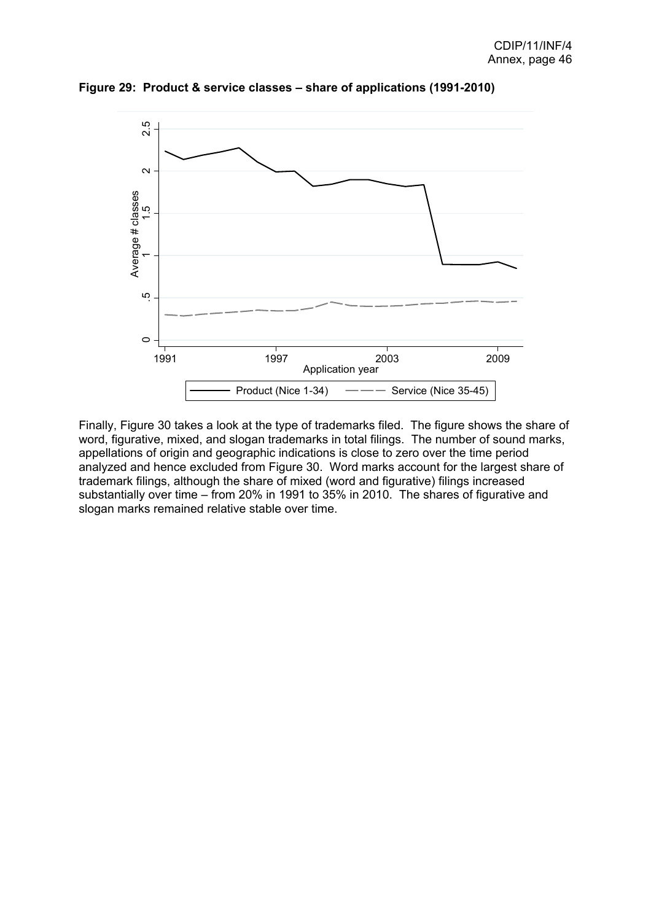

**Figure 29: Product & service classes – share of applications (1991-2010)**

Finally, Figure 30 takes a look at the type of trademarks filed. The figure shows the share of word, figurative, mixed, and slogan trademarks in total filings. The number of sound marks, appellations of origin and geographic indications is close to zero over the time period analyzed and hence excluded from Figure 30. Word marks account for the largest share of trademark filings, although the share of mixed (word and figurative) filings increased substantially over time – from 20% in 1991 to 35% in 2010. The shares of figurative and slogan marks remained relative stable over time.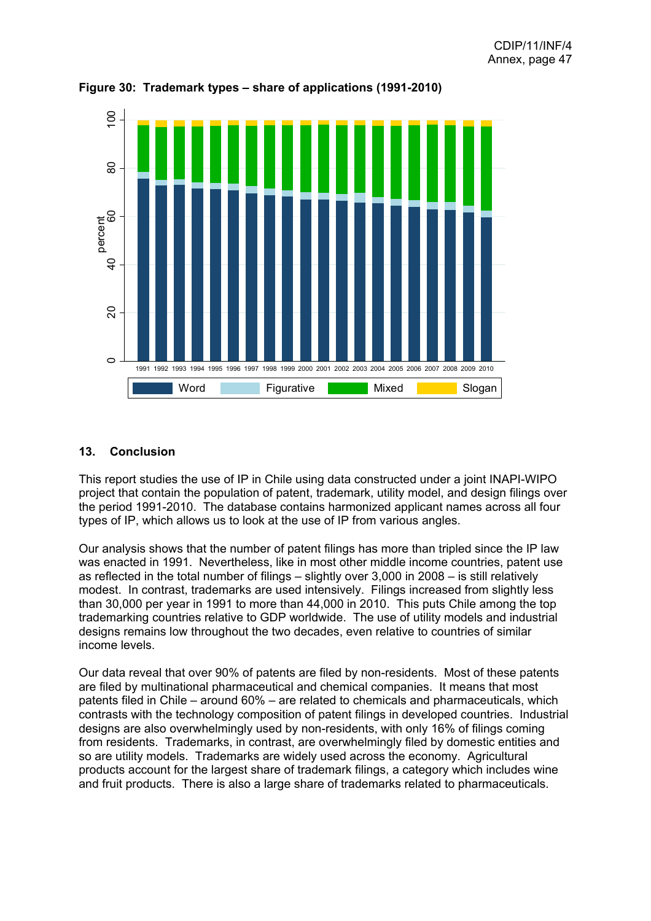

**Figure 30: Trademark types – share of applications (1991-2010)** 

## **13. Conclusion**

This report studies the use of IP in Chile using data constructed under a joint INAPI-WIPO project that contain the population of patent, trademark, utility model, and design filings over the period 1991-2010. The database contains harmonized applicant names across all four types of IP, which allows us to look at the use of IP from various angles.

Our analysis shows that the number of patent filings has more than tripled since the IP law was enacted in 1991. Nevertheless, like in most other middle income countries, patent use as reflected in the total number of filings – slightly over 3,000 in 2008 – is still relatively modest. In contrast, trademarks are used intensively. Filings increased from slightly less than 30,000 per year in 1991 to more than 44,000 in 2010. This puts Chile among the top trademarking countries relative to GDP worldwide. The use of utility models and industrial designs remains low throughout the two decades, even relative to countries of similar income levels.

Our data reveal that over 90% of patents are filed by non-residents. Most of these patents are filed by multinational pharmaceutical and chemical companies. It means that most patents filed in Chile – around 60% – are related to chemicals and pharmaceuticals, which contrasts with the technology composition of patent filings in developed countries. Industrial designs are also overwhelmingly used by non-residents, with only 16% of filings coming from residents. Trademarks, in contrast, are overwhelmingly filed by domestic entities and so are utility models. Trademarks are widely used across the economy. Agricultural products account for the largest share of trademark filings, a category which includes wine and fruit products. There is also a large share of trademarks related to pharmaceuticals.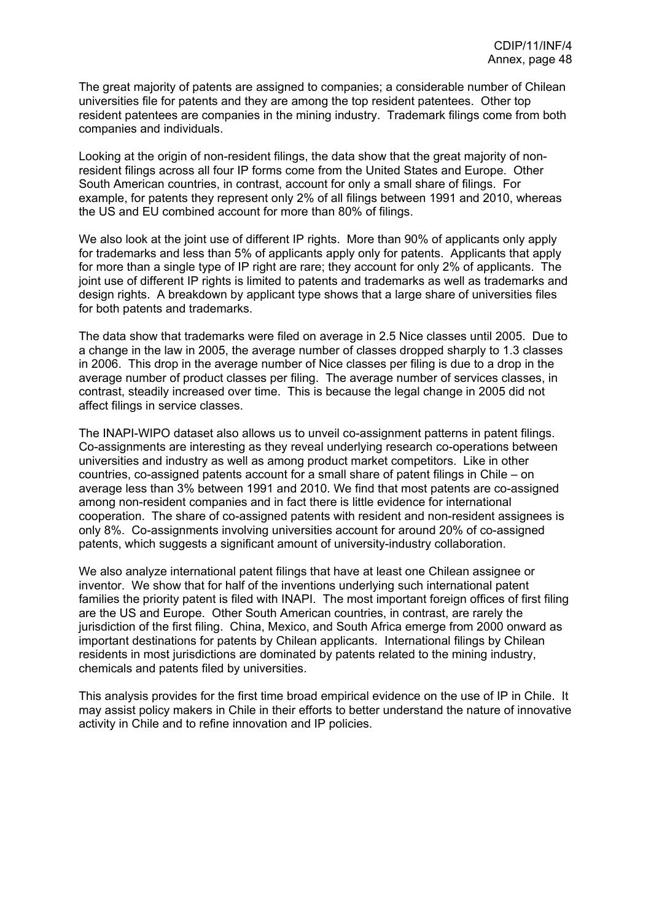The great majority of patents are assigned to companies; a considerable number of Chilean universities file for patents and they are among the top resident patentees. Other top resident patentees are companies in the mining industry. Trademark filings come from both companies and individuals.

Looking at the origin of non-resident filings, the data show that the great majority of nonresident filings across all four IP forms come from the United States and Europe. Other South American countries, in contrast, account for only a small share of filings. For example, for patents they represent only 2% of all filings between 1991 and 2010, whereas the US and EU combined account for more than 80% of filings.

We also look at the joint use of different IP rights. More than 90% of applicants only apply for trademarks and less than 5% of applicants apply only for patents. Applicants that apply for more than a single type of IP right are rare; they account for only 2% of applicants. The joint use of different IP rights is limited to patents and trademarks as well as trademarks and design rights. A breakdown by applicant type shows that a large share of universities files for both patents and trademarks.

The data show that trademarks were filed on average in 2.5 Nice classes until 2005. Due to a change in the law in 2005, the average number of classes dropped sharply to 1.3 classes in 2006. This drop in the average number of Nice classes per filing is due to a drop in the average number of product classes per filing. The average number of services classes, in contrast, steadily increased over time. This is because the legal change in 2005 did not affect filings in service classes.

The INAPI-WIPO dataset also allows us to unveil co-assignment patterns in patent filings. Co-assignments are interesting as they reveal underlying research co-operations between universities and industry as well as among product market competitors. Like in other countries, co-assigned patents account for a small share of patent filings in Chile – on average less than 3% between 1991 and 2010. We find that most patents are co-assigned among non-resident companies and in fact there is little evidence for international cooperation. The share of co-assigned patents with resident and non-resident assignees is only 8%. Co-assignments involving universities account for around 20% of co-assigned patents, which suggests a significant amount of university-industry collaboration.

We also analyze international patent filings that have at least one Chilean assignee or inventor. We show that for half of the inventions underlying such international patent families the priority patent is filed with INAPI. The most important foreign offices of first filing are the US and Europe. Other South American countries, in contrast, are rarely the jurisdiction of the first filing. China, Mexico, and South Africa emerge from 2000 onward as important destinations for patents by Chilean applicants. International filings by Chilean residents in most jurisdictions are dominated by patents related to the mining industry, chemicals and patents filed by universities.

This analysis provides for the first time broad empirical evidence on the use of IP in Chile. It may assist policy makers in Chile in their efforts to better understand the nature of innovative activity in Chile and to refine innovation and IP policies.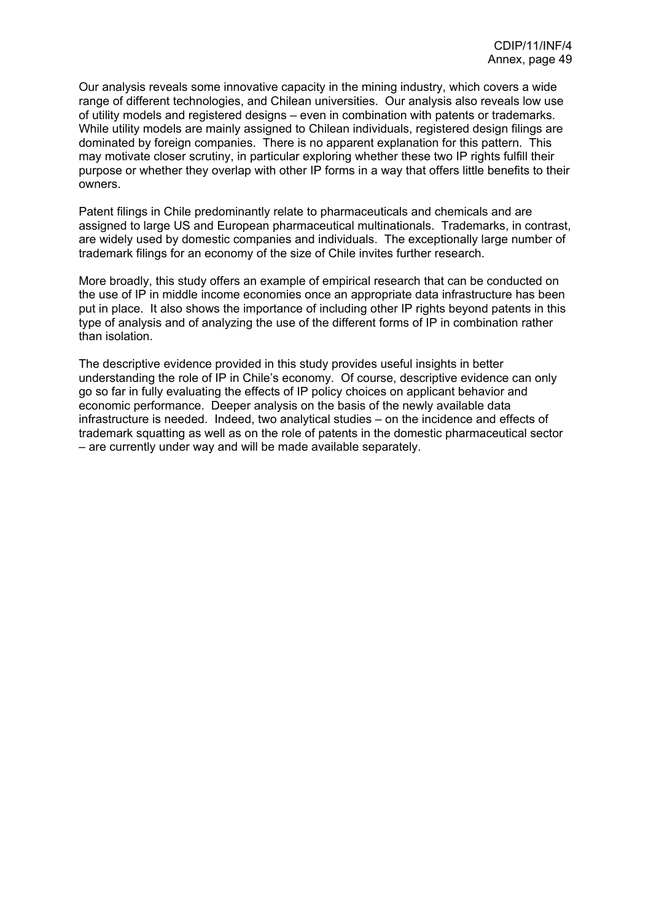Our analysis reveals some innovative capacity in the mining industry, which covers a wide range of different technologies, and Chilean universities. Our analysis also reveals low use of utility models and registered designs – even in combination with patents or trademarks. While utility models are mainly assigned to Chilean individuals, registered design filings are dominated by foreign companies. There is no apparent explanation for this pattern. This may motivate closer scrutiny, in particular exploring whether these two IP rights fulfill their purpose or whether they overlap with other IP forms in a way that offers little benefits to their owners.

Patent filings in Chile predominantly relate to pharmaceuticals and chemicals and are assigned to large US and European pharmaceutical multinationals. Trademarks, in contrast, are widely used by domestic companies and individuals. The exceptionally large number of trademark filings for an economy of the size of Chile invites further research.

More broadly, this study offers an example of empirical research that can be conducted on the use of IP in middle income economies once an appropriate data infrastructure has been put in place. It also shows the importance of including other IP rights beyond patents in this type of analysis and of analyzing the use of the different forms of IP in combination rather than isolation.

The descriptive evidence provided in this study provides useful insights in better understanding the role of IP in Chile's economy. Of course, descriptive evidence can only go so far in fully evaluating the effects of IP policy choices on applicant behavior and economic performance. Deeper analysis on the basis of the newly available data infrastructure is needed. Indeed, two analytical studies – on the incidence and effects of trademark squatting as well as on the role of patents in the domestic pharmaceutical sector – are currently under way and will be made available separately.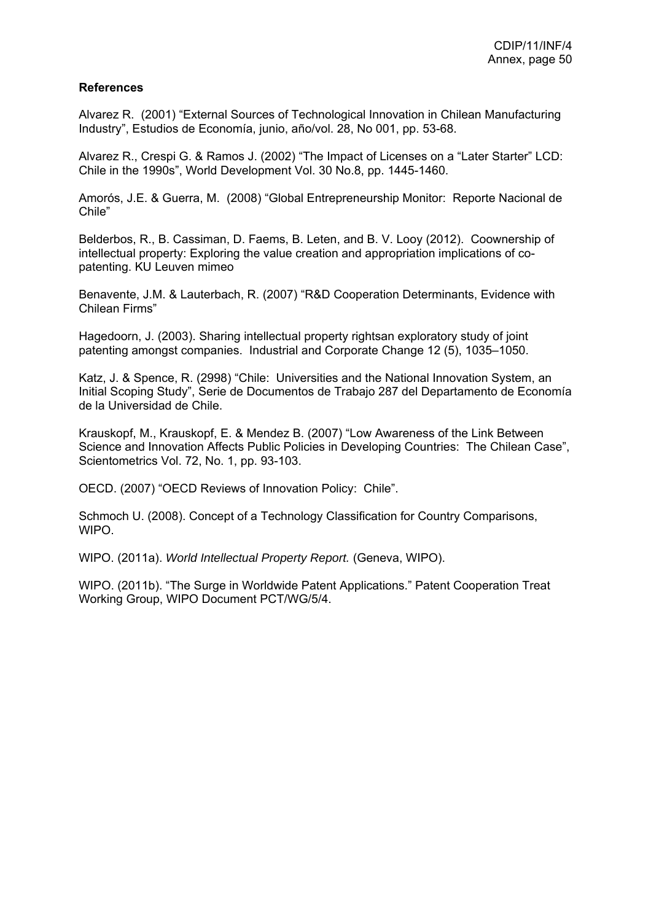### **References**

Alvarez R. (2001) "External Sources of Technological Innovation in Chilean Manufacturing Industry", Estudios de Economía, junio, año/vol. 28, No 001, pp. 53-68.

Alvarez R., Crespi G. & Ramos J. (2002) "The Impact of Licenses on a "Later Starter" LCD: Chile in the 1990s", World Development Vol. 30 No.8, pp. 1445-1460.

Amorós, J.E. & Guerra, M. (2008) "Global Entrepreneurship Monitor: Reporte Nacional de Chile"

Belderbos, R., B. Cassiman, D. Faems, B. Leten, and B. V. Looy (2012). Coownership of intellectual property: Exploring the value creation and appropriation implications of copatenting. KU Leuven mimeo

Benavente, J.M. & Lauterbach, R. (2007) "R&D Cooperation Determinants, Evidence with Chilean Firms"

Hagedoorn, J. (2003). Sharing intellectual property rightsan exploratory study of joint patenting amongst companies. Industrial and Corporate Change 12 (5), 1035–1050.

Katz, J. & Spence, R. (2998) "Chile: Universities and the National Innovation System, an Initial Scoping Study", Serie de Documentos de Trabajo 287 del Departamento de Economía de la Universidad de Chile.

Krauskopf, M., Krauskopf, E. & Mendez B. (2007) "Low Awareness of the Link Between Science and Innovation Affects Public Policies in Developing Countries: The Chilean Case", Scientometrics Vol. 72, No. 1, pp. 93-103.

OECD. (2007) "OECD Reviews of Innovation Policy: Chile".

Schmoch U. (2008). Concept of a Technology Classification for Country Comparisons, WIPO.

WIPO. (2011a). *World Intellectual Property Report.* (Geneva, WIPO).

WIPO. (2011b). "The Surge in Worldwide Patent Applications." Patent Cooperation Treat Working Group, WIPO Document PCT/WG/5/4.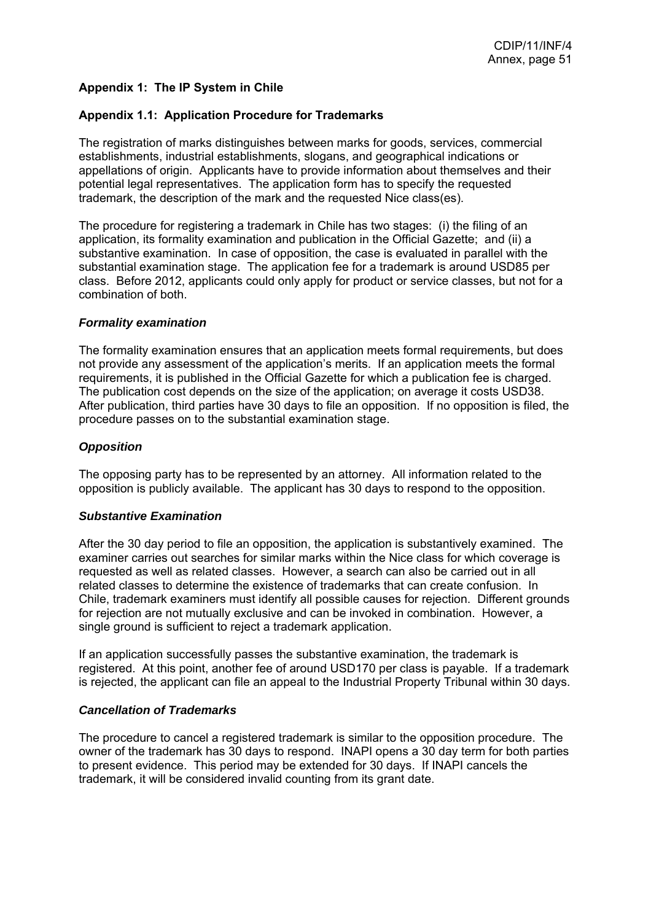## **Appendix 1: The IP System in Chile**

### **Appendix 1.1: Application Procedure for Trademarks**

The registration of marks distinguishes between marks for goods, services, commercial establishments, industrial establishments, slogans, and geographical indications or appellations of origin. Applicants have to provide information about themselves and their potential legal representatives. The application form has to specify the requested trademark, the description of the mark and the requested Nice class(es).

The procedure for registering a trademark in Chile has two stages: (i) the filing of an application, its formality examination and publication in the Official Gazette; and (ii) a substantive examination. In case of opposition, the case is evaluated in parallel with the substantial examination stage. The application fee for a trademark is around USD85 per class. Before 2012, applicants could only apply for product or service classes, but not for a combination of both.

#### *Formality examination*

The formality examination ensures that an application meets formal requirements, but does not provide any assessment of the application's merits. If an application meets the formal requirements, it is published in the Official Gazette for which a publication fee is charged. The publication cost depends on the size of the application; on average it costs USD38. After publication, third parties have 30 days to file an opposition. If no opposition is filed, the procedure passes on to the substantial examination stage.

#### *Opposition*

The opposing party has to be represented by an attorney. All information related to the opposition is publicly available. The applicant has 30 days to respond to the opposition.

#### *Substantive Examination*

After the 30 day period to file an opposition, the application is substantively examined. The examiner carries out searches for similar marks within the Nice class for which coverage is requested as well as related classes. However, a search can also be carried out in all related classes to determine the existence of trademarks that can create confusion. In Chile, trademark examiners must identify all possible causes for rejection. Different grounds for rejection are not mutually exclusive and can be invoked in combination. However, a single ground is sufficient to reject a trademark application.

If an application successfully passes the substantive examination, the trademark is registered. At this point, another fee of around USD170 per class is payable. If a trademark is rejected, the applicant can file an appeal to the Industrial Property Tribunal within 30 days.

#### *Cancellation of Trademarks*

The procedure to cancel a registered trademark is similar to the opposition procedure. The owner of the trademark has 30 days to respond. INAPI opens a 30 day term for both parties to present evidence. This period may be extended for 30 days. If INAPI cancels the trademark, it will be considered invalid counting from its grant date.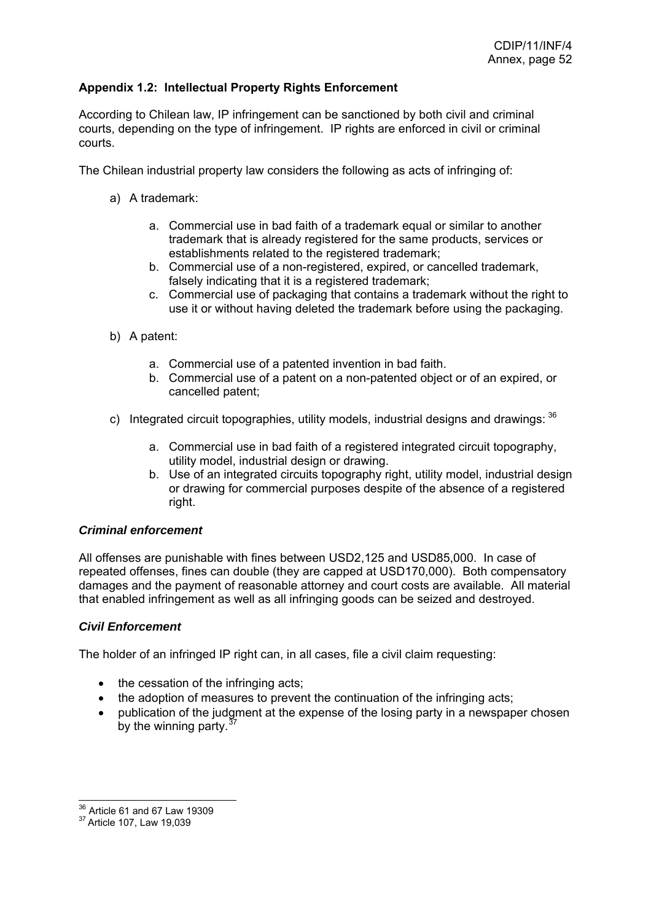## <span id="page-52-0"></span>**Appendix 1.2: Intellectual Property Rights Enforcement**

According to Chilean law, IP infringement can be sanctioned by both civil and criminal courts, depending on the type of infringement. IP rights are enforced in civil or criminal courts.

The Chilean industrial property law considers the following as acts of infringing of:

- a) A trademark:
	- a. Commercial use in bad faith of a trademark equal or similar to another trademark that is already registered for the same products, services or establishments related to the registered trademark;
	- b. Commercial use of a non-registered, expired, or cancelled trademark, falsely indicating that it is a registered trademark;
	- c. Commercial use of packaging that contains a trademark without the right to use it or without having deleted the trademark before using the packaging.
- b) A patent:
	- a. Commercial use of a patented invention in bad faith.
	- b. Commercial use of a patent on a non-patented object or of an expired, or cancelled patent;
- c) Integrated circuit topographies, utility models, industrial designs and drawings;  $36$ 
	- a. Commercial use in bad faith of a registered integrated circuit topography, utility model, industrial design or drawing.
	- b. Use of an integrated circuits topography right, utility model, industrial design or drawing for commercial purposes despite of the absence of a registered right.

### *Criminal enforcement*

All offenses are punishable with fines between USD2,125 and USD85,000. In case of repeated offenses, fines can double (they are capped at USD170,000). Both compensatory damages and the payment of reasonable attorney and court costs are available. All material that enabled infringement as well as all infringing goods can be seized and destroyed.

### *Civil Enforcement*

The holder of an infringed IP right can, in all cases, file a civil claim requesting:

- the cessation of the infringing acts;
- the adoption of measures to prevent the continuation of the infringing acts;
- publication of the judgment at the expense of the losing party in a newspaper chosen by the winning party. $3$

<sup>&</sup>lt;sup>36</sup> Article 61 and 67 Law 19309

<sup>&</sup>lt;sup>37</sup> Article 107, Law 19,039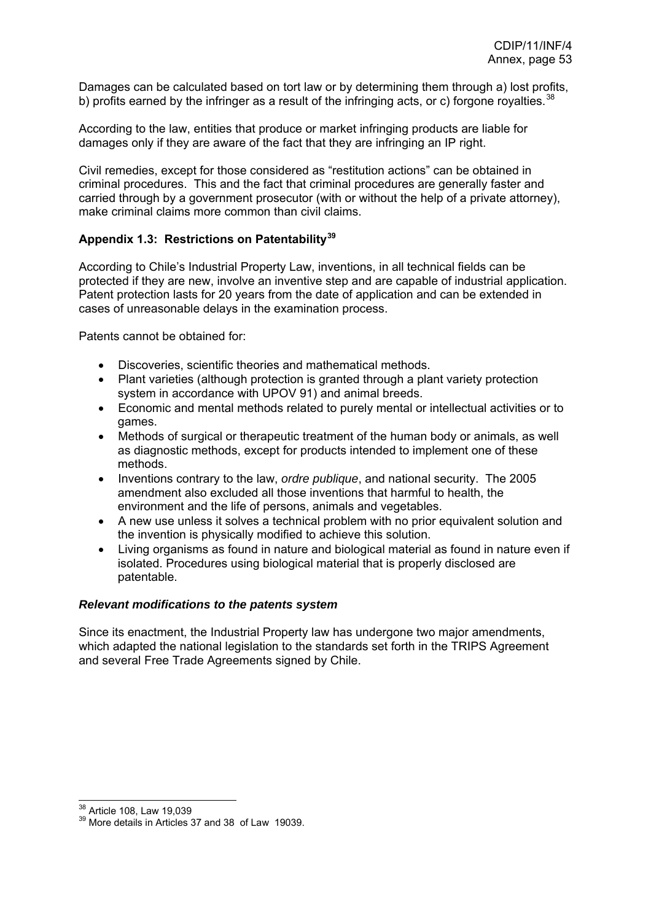<span id="page-53-0"></span>Damages can be calculated based on tort law or by determining them through a) lost profits, b) profits earned by the infringer as a result of the infringing acts, or c) forgone royalties.<sup>[38](#page-53-0)</sup>

According to the law, entities that produce or market infringing products are liable for damages only if they are aware of the fact that they are infringing an IP right.

Civil remedies, except for those considered as "restitution actions" can be obtained in criminal procedures. This and the fact that criminal procedures are generally faster and carried through by a government prosecutor (with or without the help of a private attorney). make criminal claims more common than civil claims.

## **Appendix 1.3: Restrictions on Patentability[39](#page-53-0)**

According to Chile's Industrial Property Law, inventions, in all technical fields can be protected if they are new, involve an inventive step and are capable of industrial application. Patent protection lasts for 20 years from the date of application and can be extended in cases of unreasonable delays in the examination process.

Patents cannot be obtained for:

- Discoveries, scientific theories and mathematical methods.
- Plant varieties (although protection is granted through a plant variety protection system in accordance with UPOV 91) and animal breeds.
- Economic and mental methods related to purely mental or intellectual activities or to games.
- Methods of surgical or therapeutic treatment of the human body or animals, as well as diagnostic methods, except for products intended to implement one of these methods.
- Inventions contrary to the law, *ordre publique*, and national security. The 2005 amendment also excluded all those inventions that harmful to health, the environment and the life of persons, animals and vegetables.
- A new use unless it solves a technical problem with no prior equivalent solution and the invention is physically modified to achieve this solution.
- Living organisms as found in nature and biological material as found in nature even if isolated. Procedures using biological material that is properly disclosed are patentable.

#### *Relevant modifications to the patents system*

Since its enactment, the Industrial Property law has undergone two major amendments, which adapted the national legislation to the standards set forth in the TRIPS Agreement and several Free Trade Agreements signed by Chile.

<sup>&</sup>lt;sup>38</sup> Article 108. Law 19,039

 $39$  More details in Articles 37 and 38 of Law 19039.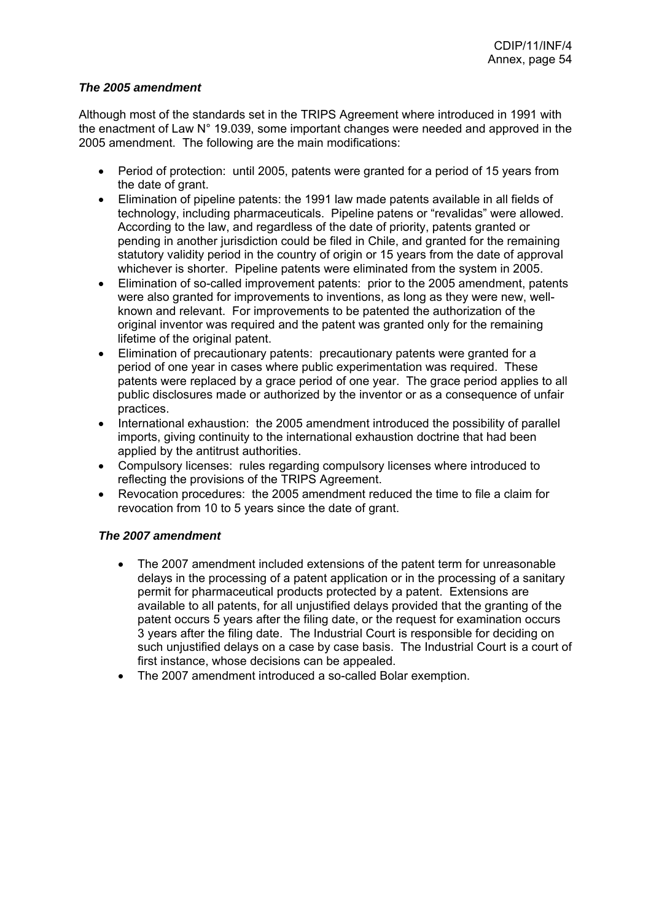### *The 2005 amendment*

Although most of the standards set in the TRIPS Agreement where introduced in 1991 with the enactment of Law N° 19.039, some important changes were needed and approved in the 2005 amendment. The following are the main modifications:

- Period of protection: until 2005, patents were granted for a period of 15 years from the date of grant.
- Elimination of pipeline patents: the 1991 law made patents available in all fields of technology, including pharmaceuticals. Pipeline patens or "revalidas" were allowed. According to the law, and regardless of the date of priority, patents granted or pending in another jurisdiction could be filed in Chile, and granted for the remaining statutory validity period in the country of origin or 15 years from the date of approval whichever is shorter. Pipeline patents were eliminated from the system in 2005.
- Elimination of so-called improvement patents: prior to the 2005 amendment, patents were also granted for improvements to inventions, as long as they were new, wellknown and relevant. For improvements to be patented the authorization of the original inventor was required and the patent was granted only for the remaining lifetime of the original patent.
- Elimination of precautionary patents: precautionary patents were granted for a period of one year in cases where public experimentation was required. These patents were replaced by a grace period of one year. The grace period applies to all public disclosures made or authorized by the inventor or as a consequence of unfair practices.
- International exhaustion: the 2005 amendment introduced the possibility of parallel imports, giving continuity to the international exhaustion doctrine that had been applied by the antitrust authorities.
- Compulsory licenses: rules regarding compulsory licenses where introduced to reflecting the provisions of the TRIPS Agreement.
- Revocation procedures: the 2005 amendment reduced the time to file a claim for revocation from 10 to 5 years since the date of grant.

# *The 2007 amendment*

- The 2007 amendment included extensions of the patent term for unreasonable delays in the processing of a patent application or in the processing of a sanitary permit for pharmaceutical products protected by a patent. Extensions are available to all patents, for all unjustified delays provided that the granting of the patent occurs 5 years after the filing date, or the request for examination occurs 3 years after the filing date. The Industrial Court is responsible for deciding on such unjustified delays on a case by case basis. The Industrial Court is a court of first instance, whose decisions can be appealed.
- The 2007 amendment introduced a so-called Bolar exemption.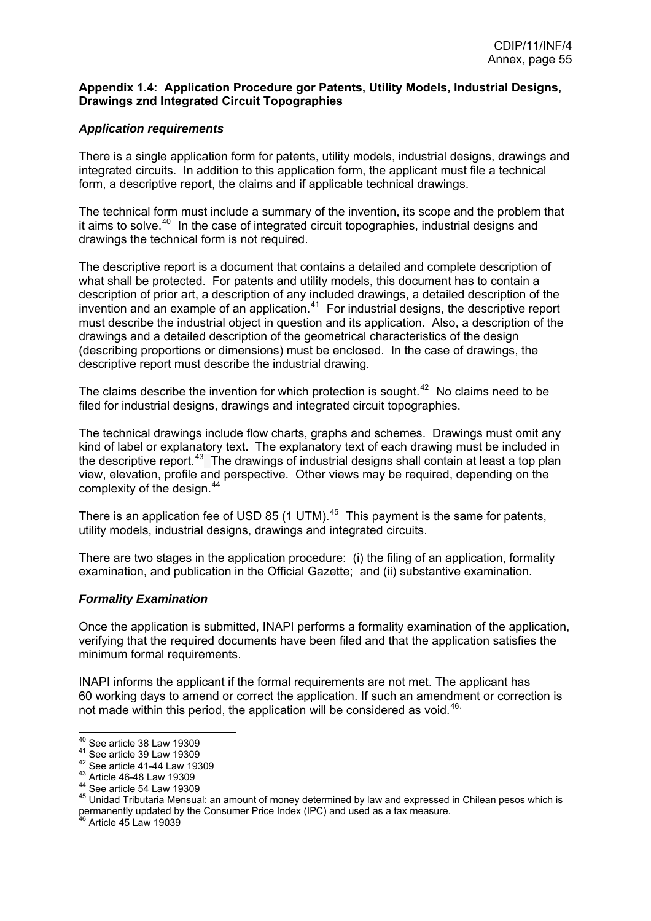#### <span id="page-55-0"></span>**Appendix 1.4: Application Procedure gor Patents, Utility Models, Industrial Designs, Drawings znd Integrated Circuit Topographies**

### *Application requirements*

There is a single application form for patents, utility models, industrial designs, drawings and integrated circuits. In addition to this application form, the applicant must file a technical form, a descriptive report, the claims and if applicable technical drawings.

The technical form must include a summary of the invention, its scope and the problem that it aims to solve.<sup>[40](#page-55-0)</sup> In the case of integrated circuit topographies, industrial designs and drawings the technical form is not required.

The descriptive report is a document that contains a detailed and complete description of what shall be protected. For patents and utility models, this document has to contain a description of prior art, a description of any included drawings, a detailed description of the invention and an example of an application.<sup>[41](#page-55-0)</sup> For industrial designs, the descriptive report must describe the industrial object in question and its application. Also, a description of the drawings and a detailed description of the geometrical characteristics of the design (describing proportions or dimensions) must be enclosed. In the case of drawings, the descriptive report must describe the industrial drawing.

The claims describe the invention for which protection is sought.<sup>[42](#page-55-0)</sup> No claims need to be filed for industrial designs, drawings and integrated circuit topographies.

The technical drawings include flow charts, graphs and schemes. Drawings must omit any kind of label or explanatory text. The explanatory text of each drawing must be included in the descriptive report.<sup>[43](#page-55-0)</sup> The drawings of industrial designs shall contain at least a top plan view, elevation, profile and perspective. Other views may be required, depending on the complexity of the design.<sup>[44](#page-55-0)</sup>

There is an application fee of USD 85 (1 UTM). $45$  This payment is the same for patents, utility models, industrial designs, drawings and integrated circuits.

There are two stages in the application procedure: (i) the filing of an application, formality examination, and publication in the Official Gazette; and (ii) substantive examination.

#### *Formality Examination*

Once the application is submitted, INAPI performs a formality examination of the application, verifying that the required documents have been filed and that the application satisfies the minimum formal requirements.

INAPI informs the applicant if the formal requirements are not met. The applicant has 60 working days to amend or correct the application. If such an amendment or correction is not made within this period, the application will be considered as void.<sup>[46](#page-55-0).</sup>

 $^{40}$  See article 38 Law 19309

<sup>&</sup>lt;sup>41</sup> See article 39 Law 19309<br>
<sup>42</sup> See article 41-44 Law 19309<br>
<sup>43</sup> Article 46-48 Law 19309<br>
<sup>44</sup> See article 54 Law 19309<br>
<sup>45</sup> Unidad Tributaria Mensual: an amount of money determined by law and expressed in Chilean pe permanently updated by the Consumer Price Index (IPC) and used as a tax measure.<br><sup>46</sup> Article 45 Law 19039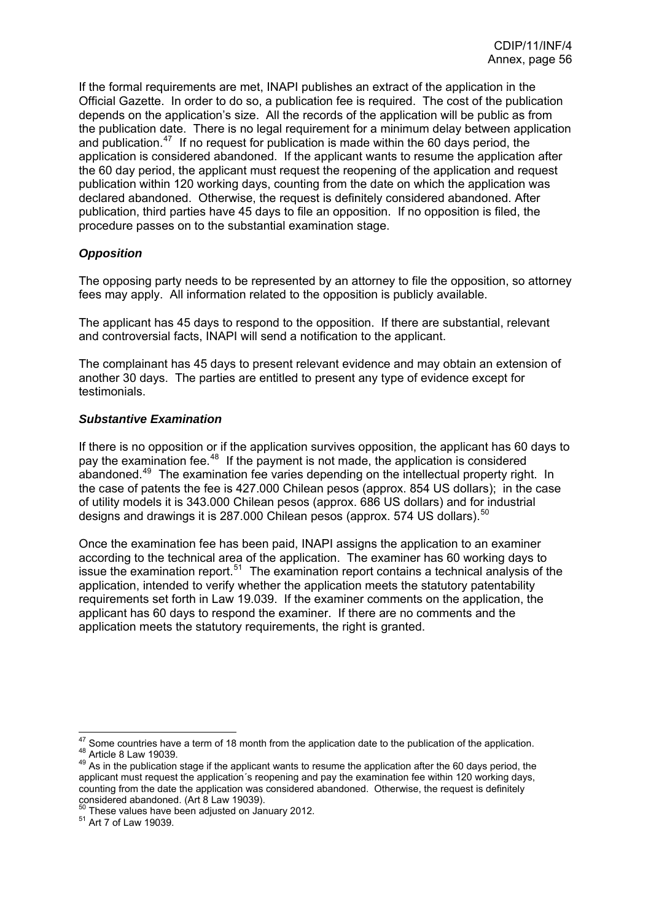<span id="page-56-0"></span>If the formal requirements are met, INAPI publishes an extract of the application in the Official Gazette. In order to do so, a publication fee is required. The cost of the publication depends on the application's size. All the records of the application will be public as from the publication date. There is no legal requirement for a minimum delay between application and publication.<sup>[47](#page-56-0)</sup> If no request for publication is made within the 60 days period, the application is considered abandoned. If the applicant wants to resume the application after the 60 day period, the applicant must request the reopening of the application and request publication within 120 working days, counting from the date on which the application was declared abandoned. Otherwise, the request is definitely considered abandoned. After publication, third parties have 45 days to file an opposition. If no opposition is filed, the procedure passes on to the substantial examination stage.

## *Opposition*

The opposing party needs to be represented by an attorney to file the opposition, so attorney fees may apply. All information related to the opposition is publicly available.

The applicant has 45 days to respond to the opposition. If there are substantial, relevant and controversial facts, INAPI will send a notification to the applicant.

The complainant has 45 days to present relevant evidence and may obtain an extension of another 30 days. The parties are entitled to present any type of evidence except for testimonials.

### *Substantive Examination*

If there is no opposition or if the application survives opposition, the applicant has 60 days to pay the examination fee.<sup>[48](#page-56-0)</sup> If the payment is not made, the application is considered abandoned.<sup>[49](#page-56-0)</sup> The examination fee varies depending on the intellectual property right. In the case of patents the fee is 427.000 Chilean pesos (approx. 854 US dollars); in the case of utility models it is 343.000 Chilean pesos (approx. 686 US dollars) and for industrial designs and drawings it is 287.000 Chilean pesos (approx. 574 US dollars).<sup>[50](#page-56-0)</sup>

Once the examination fee has been paid, INAPI assigns the application to an examiner according to the technical area of the application. The examiner has 60 working days to issue the examination report.[51](#page-56-0) The examination report contains a technical analysis of the application, intended to verify whether the application meets the statutory patentability requirements set forth in Law 19.039. If the examiner comments on the application, the applicant has 60 days to respond the examiner. If there are no comments and the application meets the statutory requirements, the right is granted.

 $47$  Some countries have a term of 18 month from the application date to the publication of the application. 48 Article 8 Law 19039.<br><sup>48</sup> Article 8 Law 19039.<br><sup>49</sup> As in the publication stage if the applicant wants to resume the application after the 60 days period, the

applicant must request the application´s reopening and pay the examination fee within 120 working days, counting from the date the application was considered abandoned. Otherwise, the request is definitely considered abandoned. (Art 8 Law 19039).

 $50$  These values have been adjusted on January 2012.<br> $51$  Art 7 of Law 19039.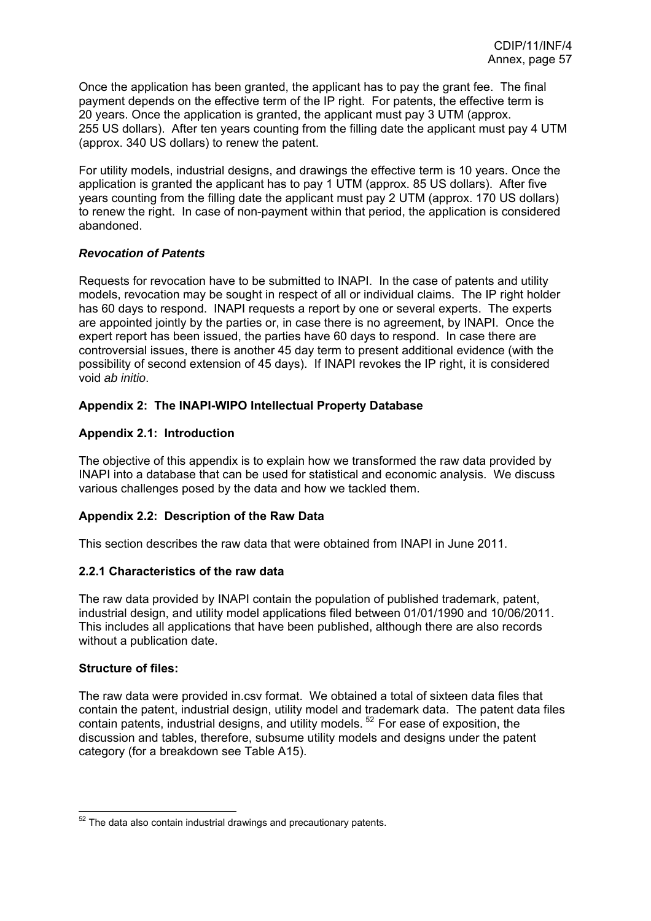<span id="page-57-0"></span>Once the application has been granted, the applicant has to pay the grant fee. The final payment depends on the effective term of the IP right. For patents, the effective term is 20 years. Once the application is granted, the applicant must pay 3 UTM (approx. 255 US dollars). After ten years counting from the filling date the applicant must pay 4 UTM (approx. 340 US dollars) to renew the patent.

For utility models, industrial designs, and drawings the effective term is 10 years. Once the application is granted the applicant has to pay 1 UTM (approx. 85 US dollars). After five years counting from the filling date the applicant must pay 2 UTM (approx. 170 US dollars) to renew the right. In case of non-payment within that period, the application is considered abandoned.

### *Revocation of Patents*

Requests for revocation have to be submitted to INAPI. In the case of patents and utility models, revocation may be sought in respect of all or individual claims. The IP right holder has 60 days to respond. INAPI requests a report by one or several experts. The experts are appointed jointly by the parties or, in case there is no agreement, by INAPI. Once the expert report has been issued, the parties have 60 days to respond. In case there are controversial issues, there is another 45 day term to present additional evidence (with the possibility of second extension of 45 days). If INAPI revokes the IP right, it is considered void *ab initio*.

## **Appendix 2: The INAPI-WIPO Intellectual Property Database**

## **Appendix 2.1: Introduction**

The objective of this appendix is to explain how we transformed the raw data provided by INAPI into a database that can be used for statistical and economic analysis. We discuss various challenges posed by the data and how we tackled them.

### **Appendix 2.2: Description of the Raw Data**

This section describes the raw data that were obtained from INAPI in June 2011.

### **2.2.1 Characteristics of the raw data**

The raw data provided by INAPI contain the population of published trademark, patent, industrial design, and utility model applications filed between 01/01/1990 and 10/06/2011. This includes all applications that have been published, although there are also records without a publication date.

### **Structure of files:**

The raw data were provided in.csv format. We obtained a total of sixteen data files that contain the patent, industrial design, utility model and trademark data. The patent data files contain patents, industrial designs, and utility models. [52](#page-57-0) For ease of exposition, the discussion and tables, therefore, subsume utility models and designs under the patent category (for a breakdown see Table A15).

 $\overline{a}$  $52$  The data also contain industrial drawings and precautionary patents.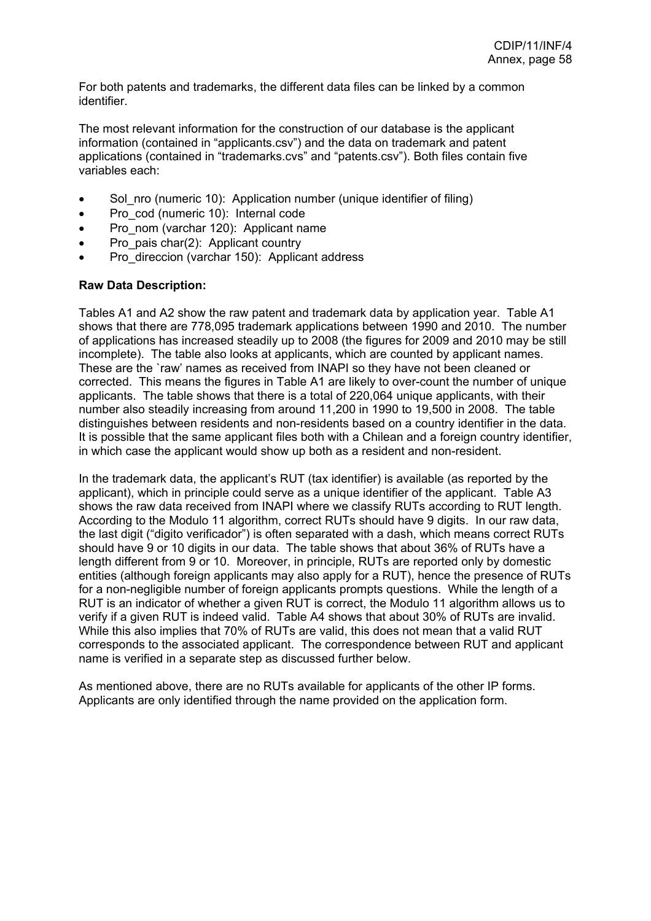For both patents and trademarks, the different data files can be linked by a common identifier.

The most relevant information for the construction of our database is the applicant information (contained in "applicants.csv") and the data on trademark and patent applications (contained in "trademarks.cvs" and "patents.csv"). Both files contain five variables each:

- Sol\_nro (numeric 10): Application number (unique identifier of filing)
- Pro\_cod (numeric 10): Internal code
- Pro\_nom (varchar 120): Applicant name
- Pro pais char(2): Applicant country
- Pro\_direccion (varchar 150): Applicant address

#### **Raw Data Description:**

Tables A1 and A2 show the raw patent and trademark data by application year. Table A1 shows that there are 778,095 trademark applications between 1990 and 2010. The number of applications has increased steadily up to 2008 (the figures for 2009 and 2010 may be still incomplete). The table also looks at applicants, which are counted by applicant names. These are the `raw' names as received from INAPI so they have not been cleaned or corrected. This means the figures in Table A1 are likely to over-count the number of unique applicants. The table shows that there is a total of 220,064 unique applicants, with their number also steadily increasing from around 11,200 in 1990 to 19,500 in 2008. The table distinguishes between residents and non-residents based on a country identifier in the data. It is possible that the same applicant files both with a Chilean and a foreign country identifier, in which case the applicant would show up both as a resident and non-resident.

In the trademark data, the applicant's RUT (tax identifier) is available (as reported by the applicant), which in principle could serve as a unique identifier of the applicant. Table A3 shows the raw data received from INAPI where we classify RUTs according to RUT length. According to the Modulo 11 algorithm, correct RUTs should have 9 digits. In our raw data, the last digit ("digito verificador") is often separated with a dash, which means correct RUTs should have 9 or 10 digits in our data. The table shows that about 36% of RUTs have a length different from 9 or 10. Moreover, in principle, RUTs are reported only by domestic entities (although foreign applicants may also apply for a RUT), hence the presence of RUTs for a non-negligible number of foreign applicants prompts questions. While the length of a RUT is an indicator of whether a given RUT is correct, the Modulo 11 algorithm allows us to verify if a given RUT is indeed valid. Table A4 shows that about 30% of RUTs are invalid. While this also implies that 70% of RUTs are valid, this does not mean that a valid RUT corresponds to the associated applicant. The correspondence between RUT and applicant name is verified in a separate step as discussed further below.

As mentioned above, there are no RUTs available for applicants of the other IP forms. Applicants are only identified through the name provided on the application form.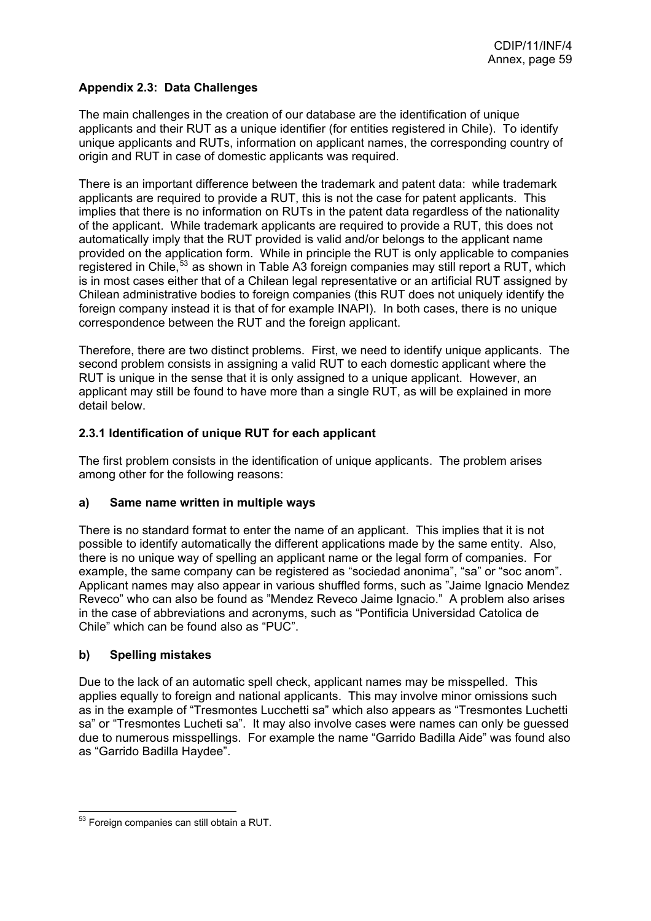## <span id="page-59-0"></span>**Appendix 2.3: Data Challenges**

The main challenges in the creation of our database are the identification of unique applicants and their RUT as a unique identifier (for entities registered in Chile). To identify unique applicants and RUTs, information on applicant names, the corresponding country of origin and RUT in case of domestic applicants was required.

There is an important difference between the trademark and patent data: while trademark applicants are required to provide a RUT, this is not the case for patent applicants. This implies that there is no information on RUTs in the patent data regardless of the nationality of the applicant. While trademark applicants are required to provide a RUT, this does not automatically imply that the RUT provided is valid and/or belongs to the applicant name provided on the application form. While in principle the RUT is only applicable to companies registered in Chile,<sup>[53](#page-59-0)</sup> as shown in Table A3 foreign companies may still report a RUT, which is in most cases either that of a Chilean legal representative or an artificial RUT assigned by Chilean administrative bodies to foreign companies (this RUT does not uniquely identify the foreign company instead it is that of for example INAPI). In both cases, there is no unique correspondence between the RUT and the foreign applicant.

Therefore, there are two distinct problems. First, we need to identify unique applicants. The second problem consists in assigning a valid RUT to each domestic applicant where the RUT is unique in the sense that it is only assigned to a unique applicant. However, an applicant may still be found to have more than a single RUT, as will be explained in more detail below.

## **2.3.1 Identification of unique RUT for each applicant**

The first problem consists in the identification of unique applicants. The problem arises among other for the following reasons:

### **a) Same name written in multiple ways**

There is no standard format to enter the name of an applicant. This implies that it is not possible to identify automatically the different applications made by the same entity. Also, there is no unique way of spelling an applicant name or the legal form of companies. For example, the same company can be registered as "sociedad anonima", "sa" or "soc anom". Applicant names may also appear in various shuffled forms, such as "Jaime Ignacio Mendez Reveco" who can also be found as "Mendez Reveco Jaime Ignacio." A problem also arises in the case of abbreviations and acronyms, such as "Pontificia Universidad Catolica de Chile" which can be found also as "PUC".

### **b) Spelling mistakes**

Due to the lack of an automatic spell check, applicant names may be misspelled. This applies equally to foreign and national applicants. This may involve minor omissions such as in the example of "Tresmontes Lucchetti sa" which also appears as "Tresmontes Luchetti sa" or "Tresmontes Lucheti sa". It may also involve cases were names can only be guessed due to numerous misspellings. For example the name "Garrido Badilla Aide" was found also as "Garrido Badilla Haydee".

 $\overline{a}$  $53$  Foreign companies can still obtain a RUT.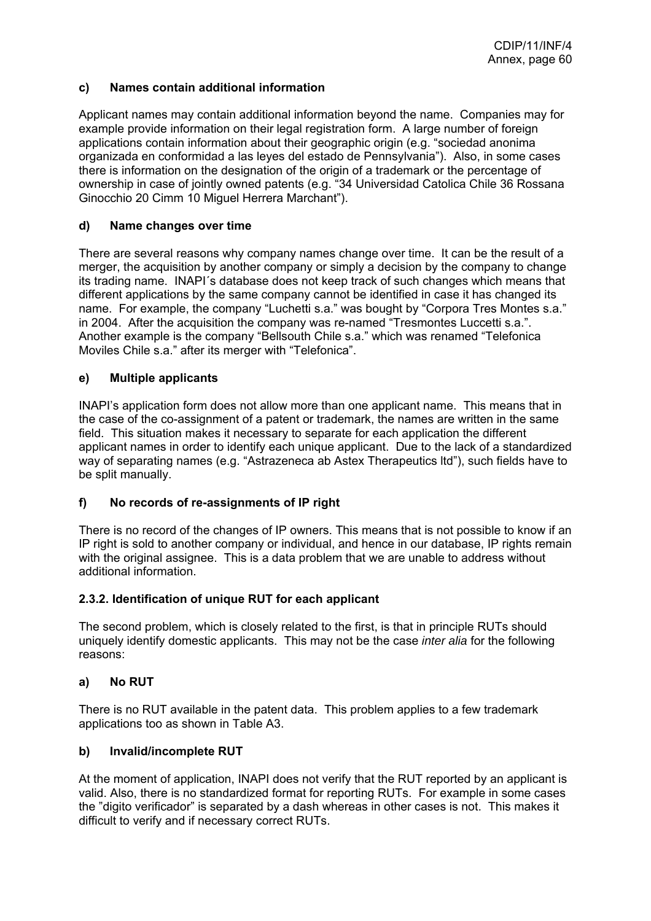### **c) Names contain additional information**

Applicant names may contain additional information beyond the name. Companies may for example provide information on their legal registration form. A large number of foreign applications contain information about their geographic origin (e.g. "sociedad anonima organizada en conformidad a las leyes del estado de Pennsylvania"). Also, in some cases there is information on the designation of the origin of a trademark or the percentage of ownership in case of jointly owned patents (e.g. "34 Universidad Catolica Chile 36 Rossana Ginocchio 20 Cimm 10 Miguel Herrera Marchant").

## **d) Name changes over time**

There are several reasons why company names change over time. It can be the result of a merger, the acquisition by another company or simply a decision by the company to change its trading name. INAPI´s database does not keep track of such changes which means that different applications by the same company cannot be identified in case it has changed its name. For example, the company "Luchetti s.a." was bought by "Corpora Tres Montes s.a." in 2004. After the acquisition the company was re-named "Tresmontes Luccetti s.a.". Another example is the company "Bellsouth Chile s.a." which was renamed "Telefonica Moviles Chile s.a." after its merger with "Telefonica".

## **e) Multiple applicants**

INAPI's application form does not allow more than one applicant name. This means that in the case of the co-assignment of a patent or trademark, the names are written in the same field. This situation makes it necessary to separate for each application the different applicant names in order to identify each unique applicant. Due to the lack of a standardized way of separating names (e.g. "Astrazeneca ab Astex Therapeutics ltd"), such fields have to be split manually.

# **f) No records of re-assignments of IP right**

There is no record of the changes of IP owners. This means that is not possible to know if an IP right is sold to another company or individual, and hence in our database, IP rights remain with the original assignee. This is a data problem that we are unable to address without additional information.

### **2.3.2. Identification of unique RUT for each applicant**

The second problem, which is closely related to the first, is that in principle RUTs should uniquely identify domestic applicants. This may not be the case *inter alia* for the following reasons:

### **a) No RUT**

There is no RUT available in the patent data. This problem applies to a few trademark applications too as shown in Table A3.

### **b) Invalid/incomplete RUT**

At the moment of application, INAPI does not verify that the RUT reported by an applicant is valid. Also, there is no standardized format for reporting RUTs. For example in some cases the "digito verificador" is separated by a dash whereas in other cases is not. This makes it difficult to verify and if necessary correct RUTs.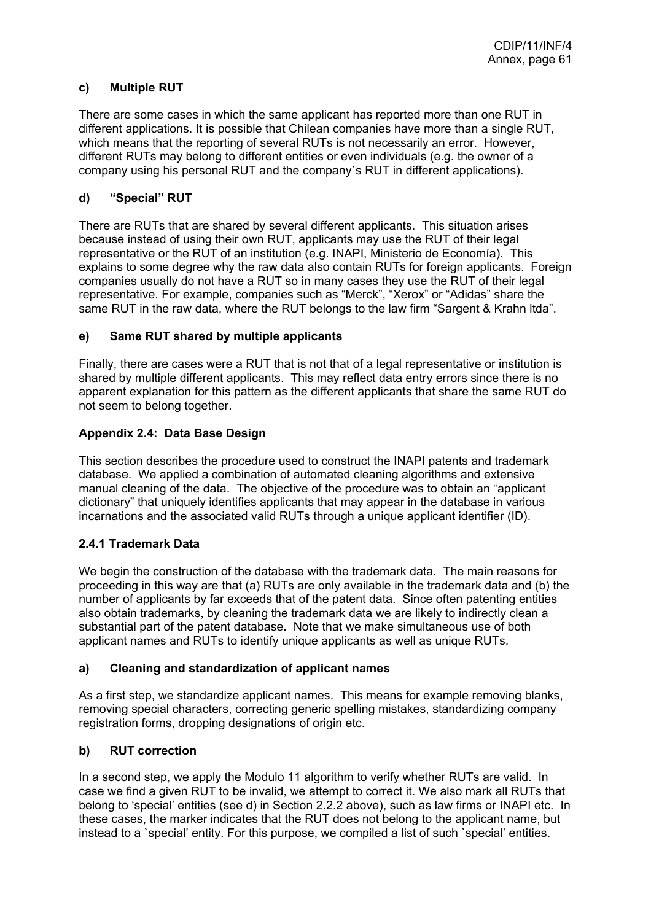## **c) Multiple RUT**

There are some cases in which the same applicant has reported more than one RUT in different applications. It is possible that Chilean companies have more than a single RUT, which means that the reporting of several RUTs is not necessarily an error. However, different RUTs may belong to different entities or even individuals (e.g. the owner of a company using his personal RUT and the company´s RUT in different applications).

## **d) "Special" RUT**

There are RUTs that are shared by several different applicants. This situation arises because instead of using their own RUT, applicants may use the RUT of their legal representative or the RUT of an institution (e.g. INAPI, Ministerio de Economía). This explains to some degree why the raw data also contain RUTs for foreign applicants. Foreign companies usually do not have a RUT so in many cases they use the RUT of their legal representative. For example, companies such as "Merck", "Xerox" or "Adidas" share the same RUT in the raw data, where the RUT belongs to the law firm "Sargent & Krahn ltda".

## **e) Same RUT shared by multiple applicants**

Finally, there are cases were a RUT that is not that of a legal representative or institution is shared by multiple different applicants. This may reflect data entry errors since there is no apparent explanation for this pattern as the different applicants that share the same RUT do not seem to belong together.

## **Appendix 2.4: Data Base Design**

This section describes the procedure used to construct the INAPI patents and trademark database. We applied a combination of automated cleaning algorithms and extensive manual cleaning of the data. The objective of the procedure was to obtain an "applicant dictionary" that uniquely identifies applicants that may appear in the database in various incarnations and the associated valid RUTs through a unique applicant identifier (ID).

### **2.4.1 Trademark Data**

We begin the construction of the database with the trademark data. The main reasons for proceeding in this way are that (a) RUTs are only available in the trademark data and (b) the number of applicants by far exceeds that of the patent data. Since often patenting entities also obtain trademarks, by cleaning the trademark data we are likely to indirectly clean a substantial part of the patent database. Note that we make simultaneous use of both applicant names and RUTs to identify unique applicants as well as unique RUTs.

### **a) Cleaning and standardization of applicant names**

As a first step, we standardize applicant names. This means for example removing blanks, removing special characters, correcting generic spelling mistakes, standardizing company registration forms, dropping designations of origin etc.

### **b) RUT correction**

In a second step, we apply the Modulo 11 algorithm to verify whether RUTs are valid. In case we find a given RUT to be invalid, we attempt to correct it. We also mark all RUTs that belong to 'special' entities (see d) in Section 2.2.2 above), such as law firms or INAPI etc. In these cases, the marker indicates that the RUT does not belong to the applicant name, but instead to a `special' entity. For this purpose, we compiled a list of such `special' entities.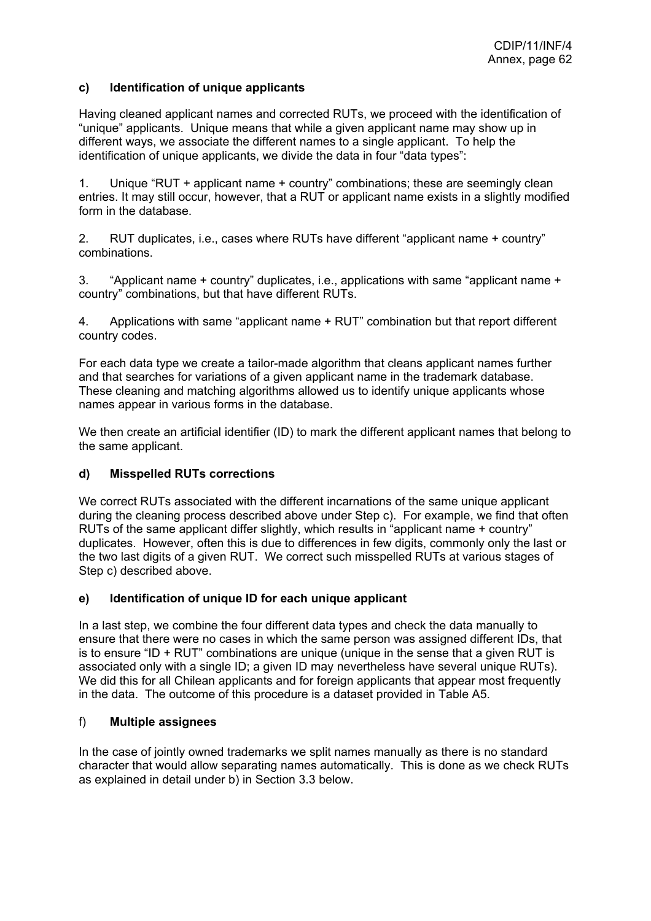### **c) Identification of unique applicants**

Having cleaned applicant names and corrected RUTs, we proceed with the identification of "unique" applicants. Unique means that while a given applicant name may show up in different ways, we associate the different names to a single applicant. To help the identification of unique applicants, we divide the data in four "data types":

1. Unique "RUT + applicant name + country" combinations; these are seemingly clean entries. It may still occur, however, that a RUT or applicant name exists in a slightly modified form in the database.

2. RUT duplicates, i.e., cases where RUTs have different "applicant name + country" combinations.

3. "Applicant name + country" duplicates, i.e., applications with same "applicant name + country" combinations, but that have different RUTs.

4. Applications with same "applicant name + RUT" combination but that report different country codes.

For each data type we create a tailor-made algorithm that cleans applicant names further and that searches for variations of a given applicant name in the trademark database. These cleaning and matching algorithms allowed us to identify unique applicants whose names appear in various forms in the database.

We then create an artificial identifier (ID) to mark the different applicant names that belong to the same applicant.

### **d) Misspelled RUTs corrections**

We correct RUTs associated with the different incarnations of the same unique applicant during the cleaning process described above under Step c). For example, we find that often RUTs of the same applicant differ slightly, which results in "applicant name + country" duplicates. However, often this is due to differences in few digits, commonly only the last or the two last digits of a given RUT. We correct such misspelled RUTs at various stages of Step c) described above.

### **e) Identification of unique ID for each unique applicant**

In a last step, we combine the four different data types and check the data manually to ensure that there were no cases in which the same person was assigned different IDs, that is to ensure "ID  $+$  RUT" combinations are unique (unique in the sense that a given RUT is associated only with a single ID; a given ID may nevertheless have several unique RUTs). We did this for all Chilean applicants and for foreign applicants that appear most frequently in the data. The outcome of this procedure is a dataset provided in Table A5.

### f) **Multiple assignees**

In the case of jointly owned trademarks we split names manually as there is no standard character that would allow separating names automatically. This is done as we check RUTs as explained in detail under b) in Section 3.3 below.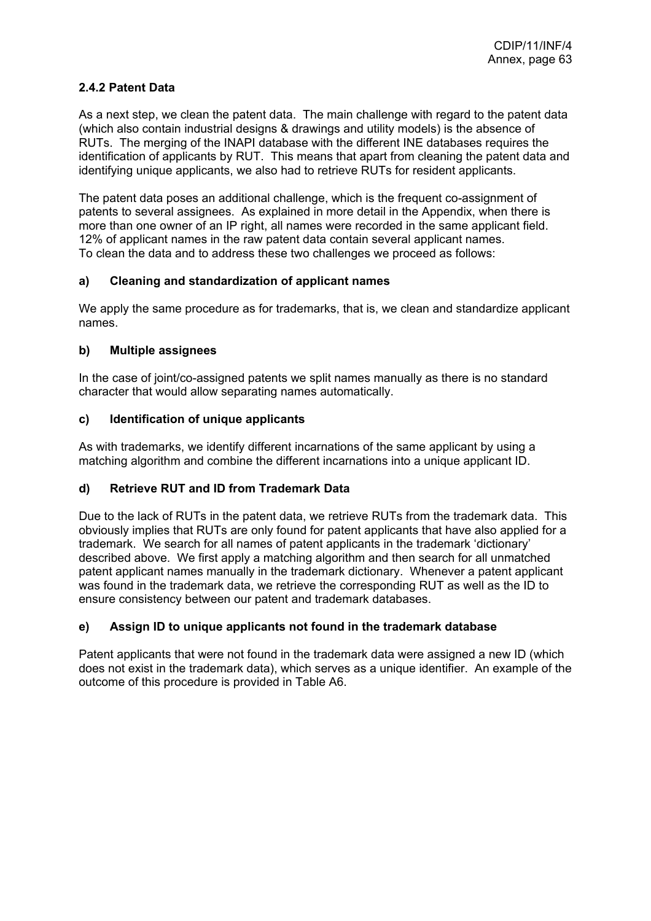## **2.4.2 Patent Data**

As a next step, we clean the patent data. The main challenge with regard to the patent data (which also contain industrial designs & drawings and utility models) is the absence of RUTs. The merging of the INAPI database with the different INE databases requires the identification of applicants by RUT. This means that apart from cleaning the patent data and identifying unique applicants, we also had to retrieve RUTs for resident applicants.

The patent data poses an additional challenge, which is the frequent co-assignment of patents to several assignees. As explained in more detail in the Appendix, when there is more than one owner of an IP right, all names were recorded in the same applicant field. 12% of applicant names in the raw patent data contain several applicant names. To clean the data and to address these two challenges we proceed as follows:

### **a) Cleaning and standardization of applicant names**

We apply the same procedure as for trademarks, that is, we clean and standardize applicant names.

### **b) Multiple assignees**

In the case of joint/co-assigned patents we split names manually as there is no standard character that would allow separating names automatically.

### **c) Identification of unique applicants**

As with trademarks, we identify different incarnations of the same applicant by using a matching algorithm and combine the different incarnations into a unique applicant ID.

# **d) Retrieve RUT and ID from Trademark Data**

Due to the lack of RUTs in the patent data, we retrieve RUTs from the trademark data. This obviously implies that RUTs are only found for patent applicants that have also applied for a trademark. We search for all names of patent applicants in the trademark 'dictionary' described above. We first apply a matching algorithm and then search for all unmatched patent applicant names manually in the trademark dictionary. Whenever a patent applicant was found in the trademark data, we retrieve the corresponding RUT as well as the ID to ensure consistency between our patent and trademark databases.

### **e) Assign ID to unique applicants not found in the trademark database**

Patent applicants that were not found in the trademark data were assigned a new ID (which does not exist in the trademark data), which serves as a unique identifier. An example of the outcome of this procedure is provided in Table A6.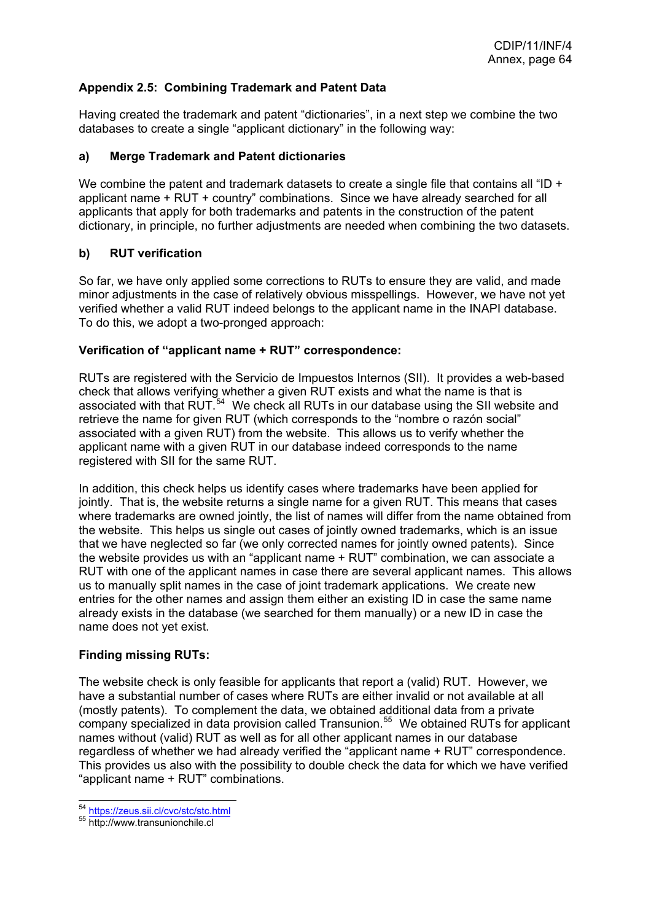## <span id="page-64-0"></span>**Appendix 2.5: Combining Trademark and Patent Data**

Having created the trademark and patent "dictionaries", in a next step we combine the two databases to create a single "applicant dictionary" in the following way:

### **a) Merge Trademark and Patent dictionaries**

We combine the patent and trademark datasets to create a single file that contains all "ID + applicant name + RUT + country" combinations. Since we have already searched for all applicants that apply for both trademarks and patents in the construction of the patent dictionary, in principle, no further adjustments are needed when combining the two datasets.

### **b) RUT verification**

So far, we have only applied some corrections to RUTs to ensure they are valid, and made minor adjustments in the case of relatively obvious misspellings. However, we have not yet verified whether a valid RUT indeed belongs to the applicant name in the INAPI database. To do this, we adopt a two-pronged approach:

#### **Verification of "applicant name + RUT" correspondence:**

RUTs are registered with the Servicio de Impuestos Internos (SII). It provides a web-based check that allows verifying whether a given RUT exists and what the name is that is associated with that RUT.[54](#page-64-0) We check all RUTs in our database using the SII website and retrieve the name for given RUT (which corresponds to the "nombre o razón social" associated with a given RUT) from the website. This allows us to verify whether the applicant name with a given RUT in our database indeed corresponds to the name registered with SII for the same RUT.

In addition, this check helps us identify cases where trademarks have been applied for jointly. That is, the website returns a single name for a given RUT. This means that cases where trademarks are owned jointly, the list of names will differ from the name obtained from the website. This helps us single out cases of jointly owned trademarks, which is an issue that we have neglected so far (we only corrected names for jointly owned patents). Since the website provides us with an "applicant name + RUT" combination, we can associate a RUT with one of the applicant names in case there are several applicant names. This allows us to manually split names in the case of joint trademark applications. We create new entries for the other names and assign them either an existing ID in case the same name already exists in the database (we searched for them manually) or a new ID in case the name does not yet exist.

#### **Finding missing RUTs:**

The website check is only feasible for applicants that report a (valid) RUT. However, we have a substantial number of cases where RUTs are either invalid or not available at all (mostly patents). To complement the data, we obtained additional data from a private company specialized in data provision called Transunion.<sup>[55](#page-64-0)</sup> We obtained RUTs for applicant names without (valid) RUT as well as for all other applicant names in our database regardless of whether we had already verified the "applicant name + RUT" correspondence. This provides us also with the possibility to double check the data for which we have verified "applicant name + RUT" combinations.

<sup>&</sup>lt;sup>54</sup> https://zeus.sij.cl/cvc/stc/stc.html

<sup>55</sup> http://www.transunionchile.cl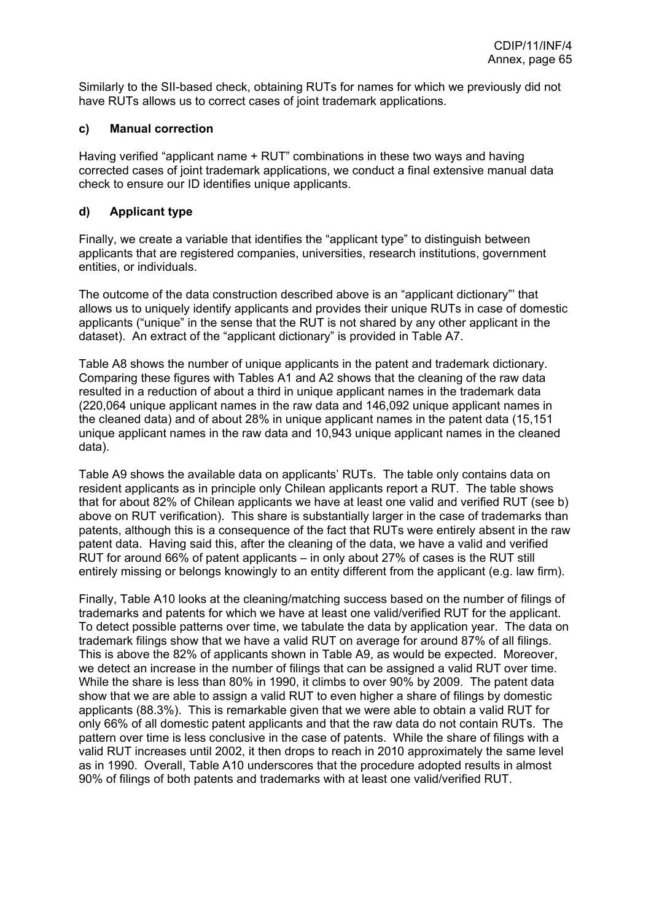Similarly to the SII-based check, obtaining RUTs for names for which we previously did not have RUTs allows us to correct cases of joint trademark applications.

### **c) Manual correction**

Having verified "applicant name + RUT" combinations in these two ways and having corrected cases of joint trademark applications, we conduct a final extensive manual data check to ensure our ID identifies unique applicants.

#### **d) Applicant type**

Finally, we create a variable that identifies the "applicant type" to distinguish between applicants that are registered companies, universities, research institutions, government entities, or individuals.

The outcome of the data construction described above is an "applicant dictionary"' that allows us to uniquely identify applicants and provides their unique RUTs in case of domestic applicants ("unique" in the sense that the RUT is not shared by any other applicant in the dataset). An extract of the "applicant dictionary" is provided in Table A7.

Table A8 shows the number of unique applicants in the patent and trademark dictionary. Comparing these figures with Tables A1 and A2 shows that the cleaning of the raw data resulted in a reduction of about a third in unique applicant names in the trademark data (220,064 unique applicant names in the raw data and 146,092 unique applicant names in the cleaned data) and of about 28% in unique applicant names in the patent data (15,151 unique applicant names in the raw data and 10,943 unique applicant names in the cleaned data).

Table A9 shows the available data on applicants' RUTs. The table only contains data on resident applicants as in principle only Chilean applicants report a RUT. The table shows that for about 82% of Chilean applicants we have at least one valid and verified RUT (see b) above on RUT verification). This share is substantially larger in the case of trademarks than patents, although this is a consequence of the fact that RUTs were entirely absent in the raw patent data. Having said this, after the cleaning of the data, we have a valid and verified RUT for around 66% of patent applicants – in only about 27% of cases is the RUT still entirely missing or belongs knowingly to an entity different from the applicant (e.g. law firm).

Finally, Table A10 looks at the cleaning/matching success based on the number of filings of trademarks and patents for which we have at least one valid/verified RUT for the applicant. To detect possible patterns over time, we tabulate the data by application year. The data on trademark filings show that we have a valid RUT on average for around 87% of all filings. This is above the 82% of applicants shown in Table A9, as would be expected. Moreover, we detect an increase in the number of filings that can be assigned a valid RUT over time. While the share is less than 80% in 1990, it climbs to over 90% by 2009. The patent data show that we are able to assign a valid RUT to even higher a share of filings by domestic applicants (88.3%). This is remarkable given that we were able to obtain a valid RUT for only 66% of all domestic patent applicants and that the raw data do not contain RUTs. The pattern over time is less conclusive in the case of patents. While the share of filings with a valid RUT increases until 2002, it then drops to reach in 2010 approximately the same level as in 1990. Overall, Table A10 underscores that the procedure adopted results in almost 90% of filings of both patents and trademarks with at least one valid/verified RUT.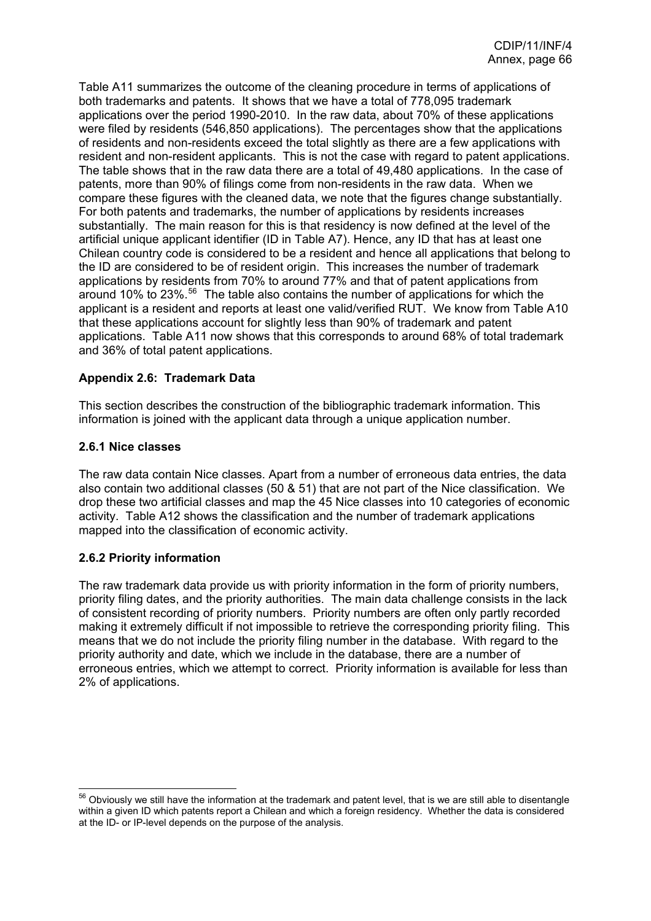<span id="page-66-0"></span>Table A11 summarizes the outcome of the cleaning procedure in terms of applications of both trademarks and patents. It shows that we have a total of 778,095 trademark applications over the period 1990-2010. In the raw data, about 70% of these applications were filed by residents (546,850 applications). The percentages show that the applications of residents and non-residents exceed the total slightly as there are a few applications with resident and non-resident applicants. This is not the case with regard to patent applications. The table shows that in the raw data there are a total of 49,480 applications. In the case of patents, more than 90% of filings come from non-residents in the raw data. When we compare these figures with the cleaned data, we note that the figures change substantially. For both patents and trademarks, the number of applications by residents increases substantially. The main reason for this is that residency is now defined at the level of the artificial unique applicant identifier (ID in Table A7). Hence, any ID that has at least one Chilean country code is considered to be a resident and hence all applications that belong to the ID are considered to be of resident origin. This increases the number of trademark applications by residents from 70% to around 77% and that of patent applications from around 10% to 23%.[56](#page-66-0) The table also contains the number of applications for which the applicant is a resident and reports at least one valid/verified RUT. We know from Table A10 that these applications account for slightly less than 90% of trademark and patent applications. Table A11 now shows that this corresponds to around 68% of total trademark and 36% of total patent applications.

### **Appendix 2.6: Trademark Data**

This section describes the construction of the bibliographic trademark information. This information is joined with the applicant data through a unique application number.

#### **2.6.1 Nice classes**

The raw data contain Nice classes. Apart from a number of erroneous data entries, the data also contain two additional classes (50 & 51) that are not part of the Nice classification. We drop these two artificial classes and map the 45 Nice classes into 10 categories of economic activity. Table A12 shows the classification and the number of trademark applications mapped into the classification of economic activity.

### **2.6.2 Priority information**

 $\overline{a}$ 

The raw trademark data provide us with priority information in the form of priority numbers, priority filing dates, and the priority authorities. The main data challenge consists in the lack of consistent recording of priority numbers. Priority numbers are often only partly recorded making it extremely difficult if not impossible to retrieve the corresponding priority filing. This means that we do not include the priority filing number in the database. With regard to the priority authority and date, which we include in the database, there are a number of erroneous entries, which we attempt to correct. Priority information is available for less than 2% of applications.

 $56$  Obviously we still have the information at the trademark and patent level, that is we are still able to disentangle within a given ID which patents report a Chilean and which a foreign residency. Whether the data is considered at the ID- or IP-level depends on the purpose of the analysis.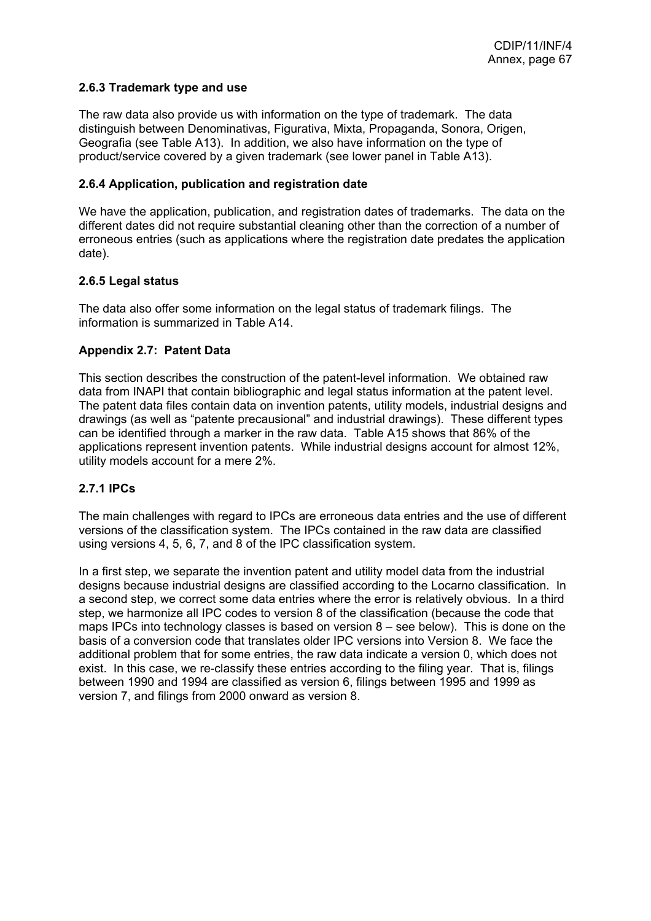### **2.6.3 Trademark type and use**

The raw data also provide us with information on the type of trademark. The data distinguish between Denominativas, Figurativa, Mixta, Propaganda, Sonora, Origen, Geografia (see Table A13). In addition, we also have information on the type of product/service covered by a given trademark (see lower panel in Table A13).

#### **2.6.4 Application, publication and registration date**

We have the application, publication, and registration dates of trademarks. The data on the different dates did not require substantial cleaning other than the correction of a number of erroneous entries (such as applications where the registration date predates the application date).

#### **2.6.5 Legal status**

The data also offer some information on the legal status of trademark filings. The information is summarized in Table A14.

### **Appendix 2.7: Patent Data**

This section describes the construction of the patent-level information. We obtained raw data from INAPI that contain bibliographic and legal status information at the patent level. The patent data files contain data on invention patents, utility models, industrial designs and drawings (as well as "patente precausional" and industrial drawings). These different types can be identified through a marker in the raw data. Table A15 shows that 86% of the applications represent invention patents. While industrial designs account for almost 12%, utility models account for a mere 2%.

### **2.7.1 IPCs**

The main challenges with regard to IPCs are erroneous data entries and the use of different versions of the classification system. The IPCs contained in the raw data are classified using versions 4, 5, 6, 7, and 8 of the IPC classification system.

In a first step, we separate the invention patent and utility model data from the industrial designs because industrial designs are classified according to the Locarno classification. In a second step, we correct some data entries where the error is relatively obvious. In a third step, we harmonize all IPC codes to version 8 of the classification (because the code that maps IPCs into technology classes is based on version 8 – see below). This is done on the basis of a conversion code that translates older IPC versions into Version 8. We face the additional problem that for some entries, the raw data indicate a version 0, which does not exist. In this case, we re-classify these entries according to the filing year. That is, filings between 1990 and 1994 are classified as version 6, filings between 1995 and 1999 as version 7, and filings from 2000 onward as version 8.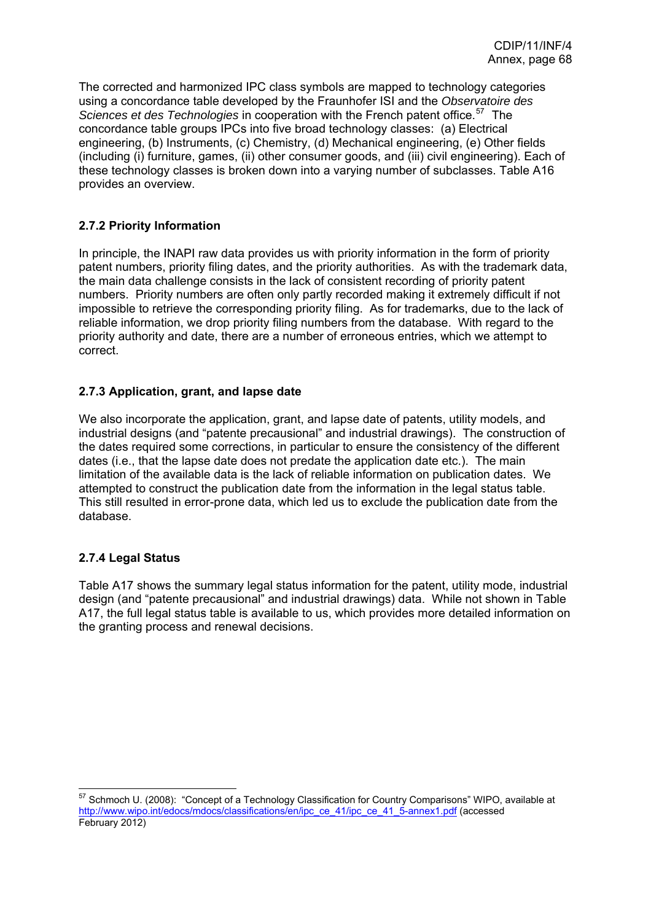<span id="page-68-0"></span>The corrected and harmonized IPC class symbols are mapped to technology categories using a concordance table developed by the Fraunhofer ISI and the *Observatoire des Sciences et des Technologies* in cooperation with the French patent office.[57](#page-68-0) The concordance table groups IPCs into five broad technology classes: (a) Electrical engineering, (b) Instruments, (c) Chemistry, (d) Mechanical engineering, (e) Other fields (including (i) furniture, games, (ii) other consumer goods, and (iii) civil engineering). Each of these technology classes is broken down into a varying number of subclasses. Table A16 provides an overview.

## **2.7.2 Priority Information**

In principle, the INAPI raw data provides us with priority information in the form of priority patent numbers, priority filing dates, and the priority authorities. As with the trademark data, the main data challenge consists in the lack of consistent recording of priority patent numbers. Priority numbers are often only partly recorded making it extremely difficult if not impossible to retrieve the corresponding priority filing. As for trademarks, due to the lack of reliable information, we drop priority filing numbers from the database. With regard to the priority authority and date, there are a number of erroneous entries, which we attempt to correct.

### **2.7.3 Application, grant, and lapse date**

We also incorporate the application, grant, and lapse date of patents, utility models, and industrial designs (and "patente precausional" and industrial drawings). The construction of the dates required some corrections, in particular to ensure the consistency of the different dates (i.e., that the lapse date does not predate the application date etc.). The main limitation of the available data is the lack of reliable information on publication dates. We attempted to construct the publication date from the information in the legal status table. This still resulted in error-prone data, which led us to exclude the publication date from the database.

# **2.7.4 Legal Status**

 $\overline{a}$ 

Table A17 shows the summary legal status information for the patent, utility mode, industrial design (and "patente precausional" and industrial drawings) data. While not shown in Table A17, the full legal status table is available to us, which provides more detailed information on the granting process and renewal decisions.

 $57$  Schmoch U. (2008): "Concept of a Technology Classification for Country Comparisons" WIPO, available at [http://www.wipo.int/edocs/mdocs/classifications/en/ipc\\_ce\\_41/ipc\\_ce\\_41\\_5-annex1.pdf](http://www.wipo.int/edocs/mdocs/classifications/en/ipc_ce_41/ipc_ce_41_5-annex1.pdf) (accessed February 2012)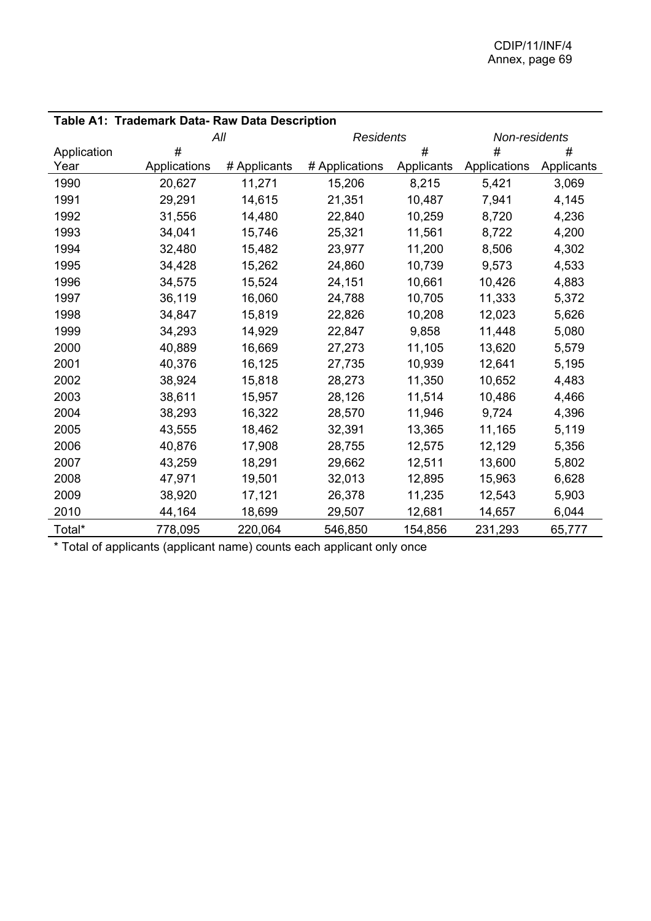| Table A1: Trademark Data- Raw Data Description |              |              |                  |            |               |            |
|------------------------------------------------|--------------|--------------|------------------|------------|---------------|------------|
|                                                | All          |              | <b>Residents</b> |            | Non-residents |            |
| Application                                    | #            |              |                  | #          | #             | #          |
| Year                                           | Applications | # Applicants | # Applications   | Applicants | Applications  | Applicants |
| 1990                                           | 20,627       | 11,271       | 15,206           | 8,215      | 5,421         | 3,069      |
| 1991                                           | 29,291       | 14,615       | 21,351           | 10,487     | 7,941         | 4,145      |
| 1992                                           | 31,556       | 14,480       | 22,840           | 10,259     | 8,720         | 4,236      |
| 1993                                           | 34,041       | 15,746       | 25,321           | 11,561     | 8,722         | 4,200      |
| 1994                                           | 32,480       | 15,482       | 23,977           | 11,200     | 8,506         | 4,302      |
| 1995                                           | 34,428       | 15,262       | 24,860           | 10,739     | 9,573         | 4,533      |
| 1996                                           | 34,575       | 15,524       | 24,151           | 10,661     | 10,426        | 4,883      |
| 1997                                           | 36,119       | 16,060       | 24,788           | 10,705     | 11,333        | 5,372      |
| 1998                                           | 34,847       | 15,819       | 22,826           | 10,208     | 12,023        | 5,626      |
| 1999                                           | 34,293       | 14,929       | 22,847           | 9,858      | 11,448        | 5,080      |
| 2000                                           | 40,889       | 16,669       | 27,273           | 11,105     | 13,620        | 5,579      |
| 2001                                           | 40,376       | 16,125       | 27,735           | 10,939     | 12,641        | 5,195      |
| 2002                                           | 38,924       | 15,818       | 28,273           | 11,350     | 10,652        | 4,483      |
| 2003                                           | 38,611       | 15,957       | 28,126           | 11,514     | 10,486        | 4,466      |
| 2004                                           | 38,293       | 16,322       | 28,570           | 11,946     | 9,724         | 4,396      |
| 2005                                           | 43,555       | 18,462       | 32,391           | 13,365     | 11,165        | 5,119      |
| 2006                                           | 40,876       | 17,908       | 28,755           | 12,575     | 12,129        | 5,356      |
| 2007                                           | 43,259       | 18,291       | 29,662           | 12,511     | 13,600        | 5,802      |
| 2008                                           | 47,971       | 19,501       | 32,013           | 12,895     | 15,963        | 6,628      |
| 2009                                           | 38,920       | 17,121       | 26,378           | 11,235     | 12,543        | 5,903      |
| 2010                                           | 44,164       | 18,699       | 29,507           | 12,681     | 14,657        | 6,044      |
| Total*                                         | 778,095      | 220,064      | 546,850          | 154,856    | 231,293       | 65,777     |

\* Total of applicants (applicant name) counts each applicant only once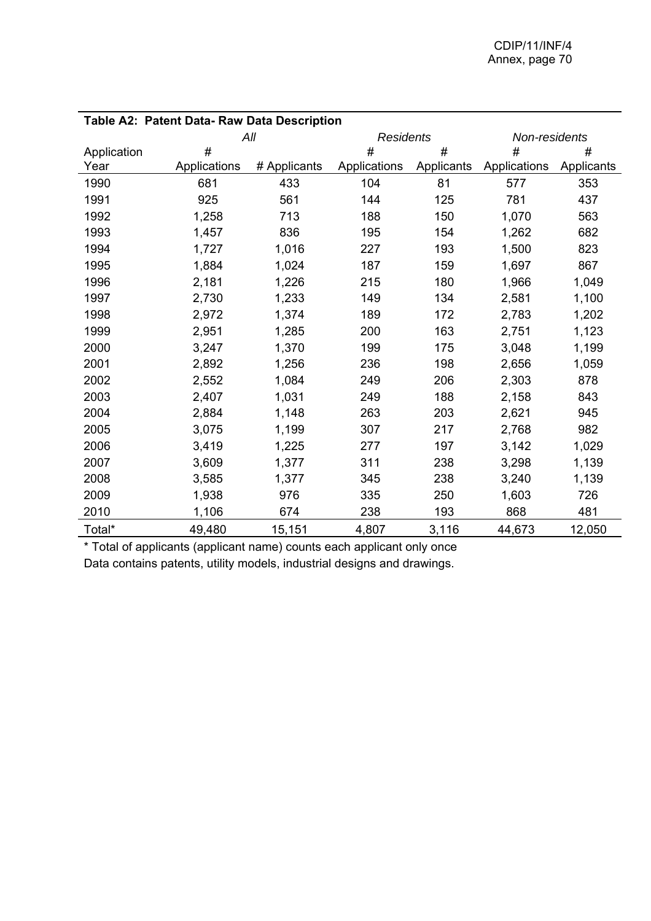| Table A2: Patent Data- Raw Data Description |              |              |                  |            |               |            |
|---------------------------------------------|--------------|--------------|------------------|------------|---------------|------------|
|                                             |              | All          | <b>Residents</b> |            | Non-residents |            |
| Application                                 | #            |              | #                | #          | #             | #          |
| Year                                        | Applications | # Applicants | Applications     | Applicants | Applications  | Applicants |
| 1990                                        | 681          | 433          | 104              | 81         | 577           | 353        |
| 1991                                        | 925          | 561          | 144              | 125        | 781           | 437        |
| 1992                                        | 1,258        | 713          | 188              | 150        | 1,070         | 563        |
| 1993                                        | 1,457        | 836          | 195              | 154        | 1,262         | 682        |
| 1994                                        | 1,727        | 1,016        | 227              | 193        | 1,500         | 823        |
| 1995                                        | 1,884        | 1,024        | 187              | 159        | 1,697         | 867        |
| 1996                                        | 2,181        | 1,226        | 215              | 180        | 1,966         | 1,049      |
| 1997                                        | 2,730        | 1,233        | 149              | 134        | 2,581         | 1,100      |
| 1998                                        | 2,972        | 1,374        | 189              | 172        | 2,783         | 1,202      |
| 1999                                        | 2,951        | 1,285        | 200              | 163        | 2,751         | 1,123      |
| 2000                                        | 3,247        | 1,370        | 199              | 175        | 3,048         | 1,199      |
| 2001                                        | 2,892        | 1,256        | 236              | 198        | 2,656         | 1,059      |
| 2002                                        | 2,552        | 1,084        | 249              | 206        | 2,303         | 878        |
| 2003                                        | 2,407        | 1,031        | 249              | 188        | 2,158         | 843        |
| 2004                                        | 2,884        | 1,148        | 263              | 203        | 2,621         | 945        |
| 2005                                        | 3,075        | 1,199        | 307              | 217        | 2,768         | 982        |
| 2006                                        | 3,419        | 1,225        | 277              | 197        | 3,142         | 1,029      |
| 2007                                        | 3,609        | 1,377        | 311              | 238        | 3,298         | 1,139      |
| 2008                                        | 3,585        | 1,377        | 345              | 238        | 3,240         | 1,139      |
| 2009                                        | 1,938        | 976          | 335              | 250        | 1,603         | 726        |
| 2010                                        | 1,106        | 674          | 238              | 193        | 868           | 481        |
| Total*                                      | 49,480       | 15,151       | 4,807            | 3,116      | 44,673        | 12,050     |

\* Total of applicants (applicant name) counts each applicant only once Data contains patents, utility models, industrial designs and drawings.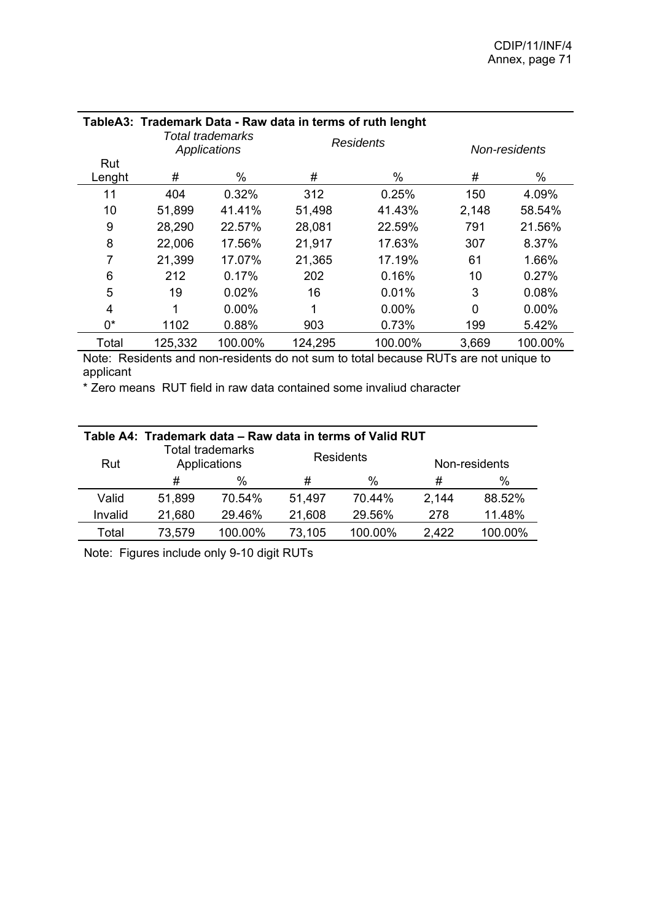| TableA3: Trademark Data - Raw data in terms of ruth lenght |         |                                  |                  |          |               |          |  |
|------------------------------------------------------------|---------|----------------------------------|------------------|----------|---------------|----------|--|
|                                                            |         | Total trademarks<br>Applications | <b>Residents</b> |          | Non-residents |          |  |
| Rut                                                        |         |                                  |                  |          |               |          |  |
| Lenght                                                     | #       | $\%$                             | #                | %        | #             | $\%$     |  |
| 11                                                         | 404     | 0.32%                            | 312              | 0.25%    | 150           | 4.09%    |  |
| 10                                                         | 51,899  | 41.41%                           | 51,498           | 41.43%   | 2,148         | 58.54%   |  |
| 9                                                          | 28,290  | 22.57%                           | 28,081           | 22.59%   | 791           | 21.56%   |  |
| 8                                                          | 22,006  | 17.56%                           | 21,917           | 17.63%   | 307           | 8.37%    |  |
| 7                                                          | 21,399  | 17.07%                           | 21,365           | 17.19%   | 61            | 1.66%    |  |
| 6                                                          | 212     | 0.17%                            | 202              | 0.16%    | 10            | 0.27%    |  |
| 5                                                          | 19      | 0.02%                            | 16               | 0.01%    | 3             | 0.08%    |  |
| 4                                                          |         | $0.00\%$                         | 1                | $0.00\%$ | 0             | $0.00\%$ |  |
| 0*                                                         | 1102    | 0.88%                            | 903              | 0.73%    | 199           | 5.42%    |  |
| Total                                                      | 125,332 | 100.00%                          | 124,295          | 100.00%  | 3,669         | 100.00%  |  |

Note: Residents and non-residents do not sum to total because RUTs are not unique to applicant

\* Zero means RUT field in raw data contained some invaliud character

| Table A4: Trademark data – Raw data in terms of Valid RUT |                                         |         |        |                  |               |         |  |  |
|-----------------------------------------------------------|-----------------------------------------|---------|--------|------------------|---------------|---------|--|--|
| Rut                                                       | <b>Total trademarks</b><br>Applications |         |        | <b>Residents</b> | Non-residents |         |  |  |
|                                                           | #                                       | %       | #      | $\%$             | #             | %       |  |  |
| Valid                                                     | 51,899                                  | 70.54%  | 51,497 | 70.44%           | 2,144         | 88.52%  |  |  |
| Invalid                                                   | 21,680                                  | 29.46%  | 21,608 | 29.56%           | 278           | 11.48%  |  |  |
| Total                                                     | 73,579                                  | 100.00% | 73,105 | 100.00%          | 2,422         | 100.00% |  |  |

Note: Figures include only 9-10 digit RUTs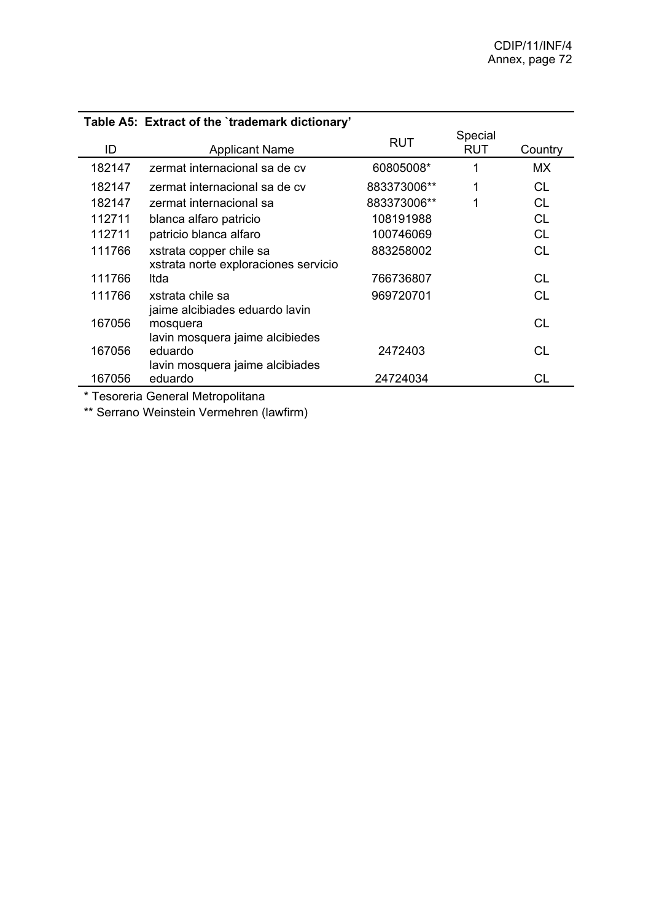|        | Table A5: Extract of the `trademark dictionary'                 |             |                       |           |
|--------|-----------------------------------------------------------------|-------------|-----------------------|-----------|
| ID     | <b>Applicant Name</b>                                           | <b>RUT</b>  | Special<br><b>RUT</b> | Country   |
| 182147 | zermat internacional sa de cv                                   | 60805008*   | 1                     | MX.       |
| 182147 | zermat internacional sa de cv                                   | 883373006** | 1                     | СL        |
| 182147 | zermat internacional sa                                         | 883373006** | 1                     | <b>CL</b> |
| 112711 | blanca alfaro patricio                                          | 108191988   |                       | <b>CL</b> |
| 112711 | patricio blanca alfaro                                          | 100746069   |                       | <b>CL</b> |
| 111766 | xstrata copper chile sa<br>xstrata norte exploraciones servicio | 883258002   |                       | <b>CL</b> |
| 111766 | Itda                                                            | 766736807   |                       | CL        |
| 111766 | xstrata chile sa<br>jaime alcibiades eduardo lavin              | 969720701   |                       | СL        |
| 167056 | mosquera<br>lavin mosquera jaime alcibiedes                     |             |                       | СL        |
| 167056 | eduardo<br>lavin mosquera jaime alcibiades                      | 2472403     |                       | CL        |
| 167056 | eduardo                                                         | 24724034    |                       | CL        |

\* Tesoreria General Metropolitana

\*\* Serrano Weinstein Vermehren (lawfirm)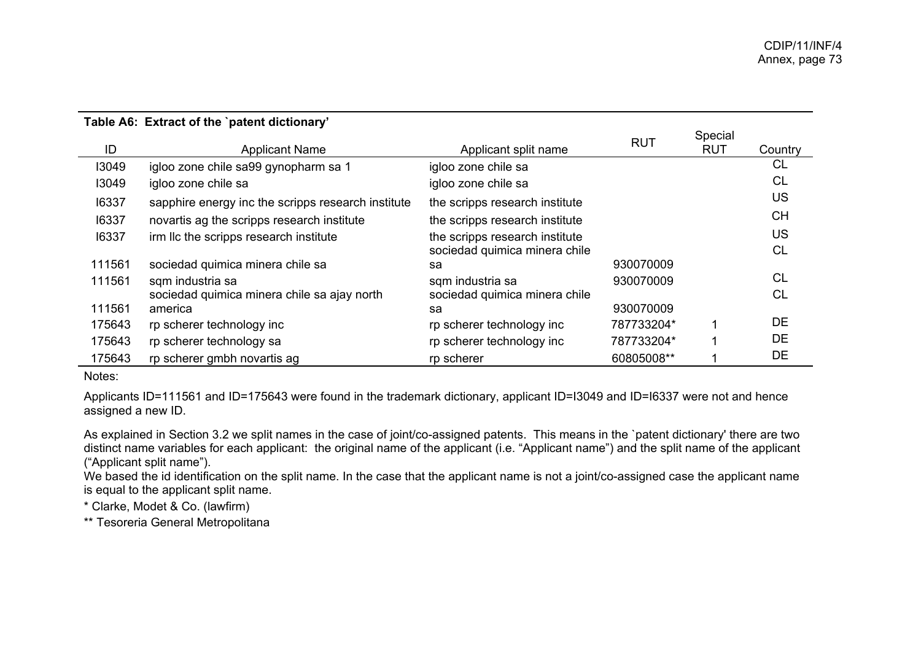|        |                                                    |                                | <b>RUT</b> | Special    |           |
|--------|----------------------------------------------------|--------------------------------|------------|------------|-----------|
| ID     | <b>Applicant Name</b>                              | Applicant split name           |            | <b>RUT</b> | Country   |
| 13049  | igloo zone chile sa99 gynopharm sa 1               | igloo zone chile sa            |            |            | <b>CL</b> |
| 13049  | igloo zone chile sa                                | igloo zone chile sa            |            |            | <b>CL</b> |
| 16337  | sapphire energy inc the scripps research institute | the scripps research institute |            |            | <b>US</b> |
| 16337  | novartis ag the scripps research institute         | the scripps research institute |            |            | <b>CH</b> |
| 16337  | irm IIc the scripps research institute             | the scripps research institute |            |            | <b>US</b> |
|        |                                                    | sociedad quimica minera chile  |            |            | <b>CL</b> |
| 111561 | sociedad quimica minera chile sa                   | sa                             | 930070009  |            |           |
| 111561 | sqm industria sa                                   | sqm industria sa               | 930070009  |            | CL.       |
|        | sociedad quimica minera chile sa ajay north        | sociedad quimica minera chile  |            |            | CL.       |
| 111561 | america                                            | sa                             | 930070009  |            |           |
| 175643 | rp scherer technology inc                          | rp scherer technology inc      | 787733204* | ◢          | <b>DE</b> |
| 175643 | rp scherer technology sa                           | rp scherer technology inc      | 787733204* |            | DE        |
| 175643 | rp scherer gmbh novartis ag                        | rp scherer                     | 60805008** |            | DE        |

Notes:

Applicants ID=111561 and ID=175643 were found in the trademark dictionary, applicant ID=I3049 and ID=I6337 were not and hence assigned a new ID.

As explained in Section 3.2 we split names in the case of joint/co-assigned patents. This means in the `patent dictionary' there are two distinct name variables for each applicant: the original name of the applicant (i.e. "Applicant name") and the split name of the applicant ("Applicant split name").

We based the id identification on the split name. In the case that the applicant name is not a joint/co-assigned case the applicant name is equal to the applicant split name.

\* Clarke, Modet & Co. (lawfirm)

\*\* Tesoreria General Metropolitana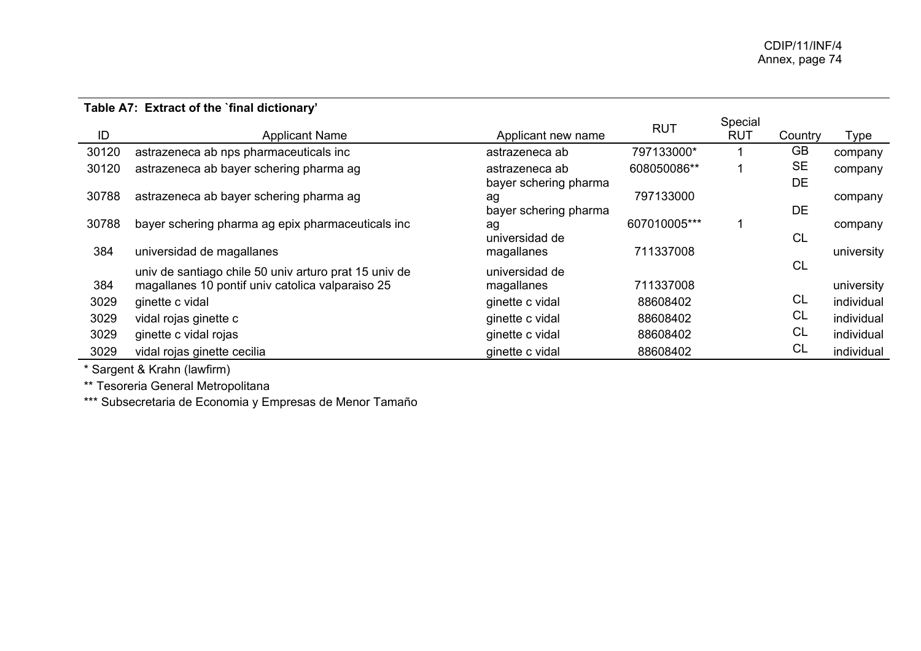## **Table A7: Extract of the `final dictionary'**

| ID    |                                                       |                       | <b>RUT</b>   | Special<br><b>RUT</b> |           |            |
|-------|-------------------------------------------------------|-----------------------|--------------|-----------------------|-----------|------------|
|       | <b>Applicant Name</b>                                 | Applicant new name    |              |                       | Country   | Type       |
| 30120 | astrazeneca ab nps pharmaceuticals inc                | astrazeneca ab        | 797133000*   |                       | <b>GB</b> | company    |
| 30120 | astrazeneca ab bayer schering pharma ag               | astrazeneca ab        | 608050086**  |                       | <b>SE</b> | company    |
|       |                                                       | bayer schering pharma |              |                       | DE        |            |
| 30788 | astrazeneca ab bayer schering pharma ag               | ag                    | 797133000    |                       |           | company    |
|       |                                                       | bayer schering pharma |              |                       | DE        |            |
| 30788 | bayer schering pharma ag epix pharmaceuticals inc     | ag                    | 607010005*** |                       |           | company    |
|       |                                                       | universidad de        |              |                       | <b>CL</b> |            |
| 384   | universidad de magallanes                             | magallanes            | 711337008    |                       |           | university |
|       | univ de santiago chile 50 univ arturo prat 15 univ de | universidad de        |              |                       | CL        |            |
| 384   | magallanes 10 pontif univ catolica valparaiso 25      | magallanes            | 711337008    |                       |           | university |
| 3029  | ginette c vidal                                       | ginette c vidal       | 88608402     |                       | <b>CL</b> | individual |
| 3029  | vidal rojas ginette c                                 | ginette c vidal       | 88608402     |                       | <b>CL</b> | individual |
| 3029  | ginette c vidal rojas                                 | ginette c vidal       | 88608402     |                       | <b>CL</b> | individual |
| 3029  | vidal rojas ginette cecilia                           | ginette c vidal       | 88608402     |                       | <b>CL</b> | individual |

\* Sargent & Krahn (lawfirm)

\*\* Tesoreria General Metropolitana

\*\*\* Subsecretaria de Economia y Empresas de Menor Tamaño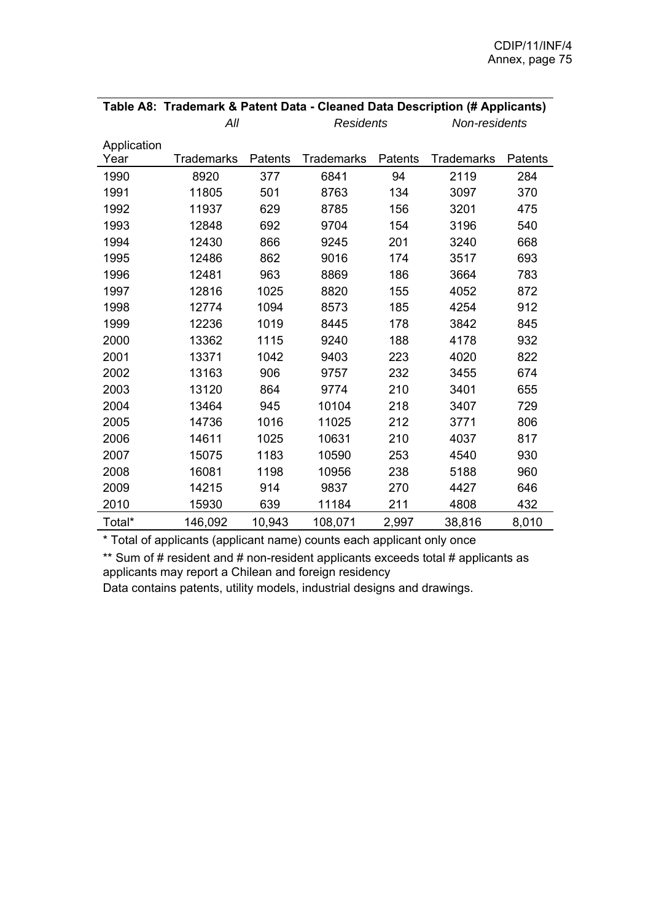|             | Table A8: Trademark & Patent Data - Cleaned Data Description (# Applicants) |         |                   |         |                   |         |
|-------------|-----------------------------------------------------------------------------|---------|-------------------|---------|-------------------|---------|
|             | All                                                                         |         | <b>Residents</b>  |         | Non-residents     |         |
| Application |                                                                             |         |                   |         |                   |         |
| Year        | <b>Trademarks</b>                                                           | Patents | <b>Trademarks</b> | Patents | <b>Trademarks</b> | Patents |
| 1990        | 8920                                                                        | 377     | 6841              | 94      | 2119              | 284     |
| 1991        | 11805                                                                       | 501     | 8763              | 134     | 3097              | 370     |
| 1992        | 11937                                                                       | 629     | 8785              | 156     | 3201              | 475     |
| 1993        | 12848                                                                       | 692     | 9704              | 154     | 3196              | 540     |
| 1994        | 12430                                                                       | 866     | 9245              | 201     | 3240              | 668     |
| 1995        | 12486                                                                       | 862     | 9016              | 174     | 3517              | 693     |
| 1996        | 12481                                                                       | 963     | 8869              | 186     | 3664              | 783     |
| 1997        | 12816                                                                       | 1025    | 8820              | 155     | 4052              | 872     |
| 1998        | 12774                                                                       | 1094    | 8573              | 185     | 4254              | 912     |
| 1999        | 12236                                                                       | 1019    | 8445              | 178     | 3842              | 845     |
| 2000        | 13362                                                                       | 1115    | 9240              | 188     | 4178              | 932     |
| 2001        | 13371                                                                       | 1042    | 9403              | 223     | 4020              | 822     |
| 2002        | 13163                                                                       | 906     | 9757              | 232     | 3455              | 674     |
| 2003        | 13120                                                                       | 864     | 9774              | 210     | 3401              | 655     |
| 2004        | 13464                                                                       | 945     | 10104             | 218     | 3407              | 729     |
| 2005        | 14736                                                                       | 1016    | 11025             | 212     | 3771              | 806     |
| 2006        | 14611                                                                       | 1025    | 10631             | 210     | 4037              | 817     |
| 2007        | 15075                                                                       | 1183    | 10590             | 253     | 4540              | 930     |
| 2008        | 16081                                                                       | 1198    | 10956             | 238     | 5188              | 960     |
| 2009        | 14215                                                                       | 914     | 9837              | 270     | 4427              | 646     |
| 2010        | 15930                                                                       | 639     | 11184             | 211     | 4808              | 432     |
| Total*      | 146,092                                                                     | 10,943  | 108,071           | 2,997   | 38,816            | 8,010   |

\* Total of applicants (applicant name) counts each applicant only once

\*\* Sum of # resident and # non-resident applicants exceeds total # applicants as applicants may report a Chilean and foreign residency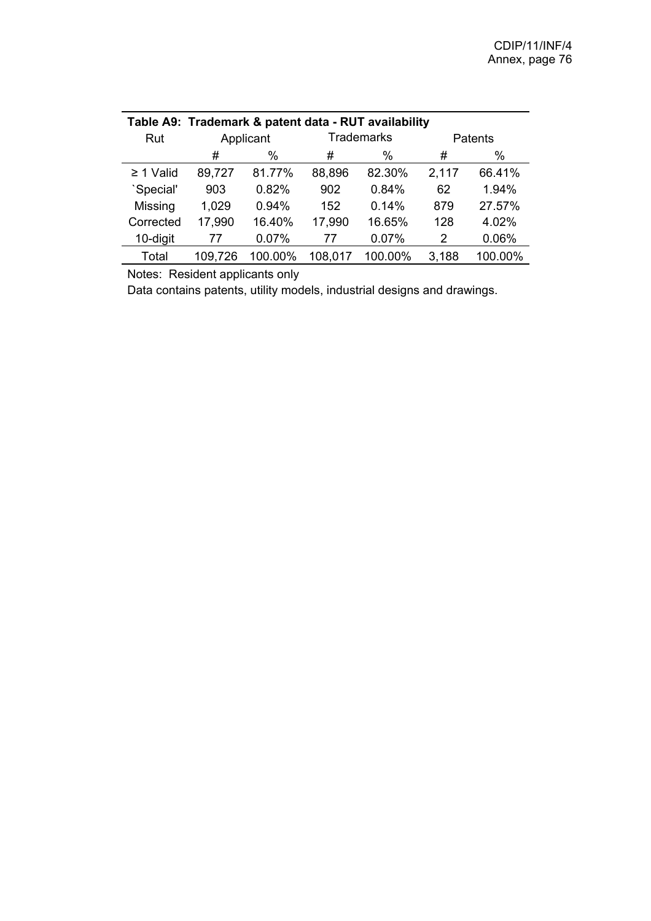| Table A9: Trademark & patent data - RUT availability |         |           |         |                   |       |                |
|------------------------------------------------------|---------|-----------|---------|-------------------|-------|----------------|
| Rut                                                  |         | Applicant |         | <b>Trademarks</b> |       | <b>Patents</b> |
|                                                      | #       | %         | #       | $\%$              | #     | %              |
| $\geq$ 1 Valid                                       | 89,727  | 81.77%    | 88,896  | 82.30%            | 2,117 | 66.41%         |
| `Special'                                            | 903     | 0.82%     | 902     | 0.84%             | 62    | 1.94%          |
| Missing                                              | 1,029   | 0.94%     | 152     | 0.14%             | 879   | 27.57%         |
| Corrected                                            | 17,990  | 16.40%    | 17,990  | 16.65%            | 128   | 4.02%          |
| 10-digit                                             | 77      | 0.07%     | 77      | 0.07%             | 2     | 0.06%          |
| Total                                                | 109,726 | 100.00%   | 108,017 | 100.00%           | 3,188 | 100.00%        |

Notes: Resident applicants only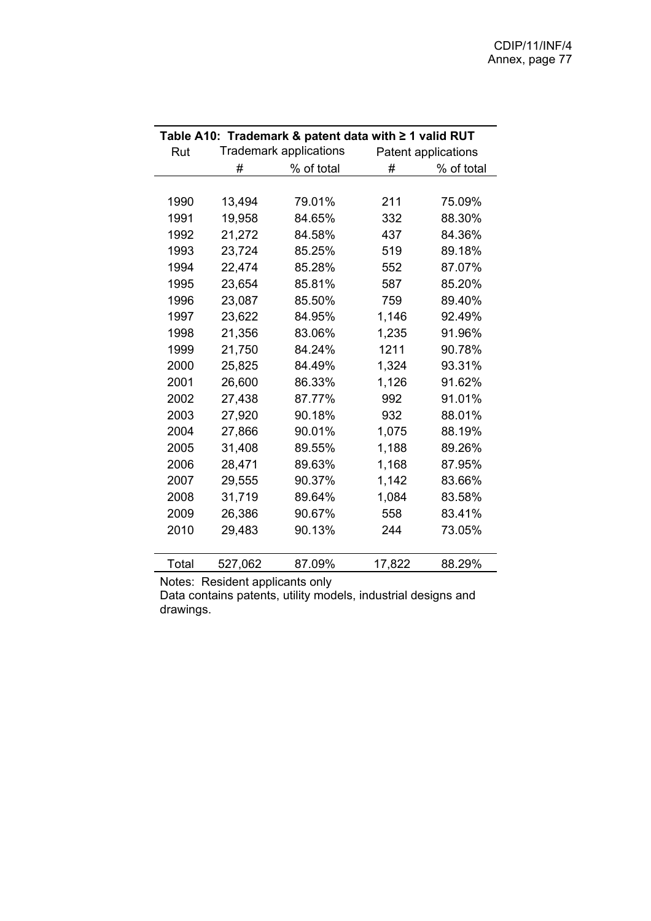|       |         | Table A10: Trademark & patent data with ≥ 1 valid RUT |        |                     |
|-------|---------|-------------------------------------------------------|--------|---------------------|
| Rut   |         | <b>Trademark applications</b>                         |        | Patent applications |
|       | #       | % of total                                            | #      | % of total          |
|       |         |                                                       |        |                     |
| 1990  | 13,494  | 79.01%                                                | 211    | 75.09%              |
| 1991  | 19,958  | 84.65%                                                | 332    | 88.30%              |
| 1992  | 21,272  | 84.58%                                                | 437    | 84.36%              |
| 1993  | 23,724  | 85.25%                                                | 519    | 89.18%              |
| 1994  | 22,474  | 85.28%                                                | 552    | 87.07%              |
| 1995  | 23,654  | 85.81%                                                | 587    | 85.20%              |
| 1996  | 23,087  | 85.50%                                                | 759    | 89.40%              |
| 1997  | 23,622  | 84.95%                                                | 1,146  | 92.49%              |
| 1998  | 21,356  | 83.06%                                                | 1,235  | 91.96%              |
| 1999  | 21,750  | 84.24%                                                | 1211   | 90.78%              |
| 2000  | 25,825  | 84.49%                                                | 1,324  | 93.31%              |
| 2001  | 26,600  | 86.33%                                                | 1,126  | 91.62%              |
| 2002  | 27,438  | 87.77%                                                | 992    | 91.01%              |
| 2003  | 27,920  | 90.18%                                                | 932    | 88.01%              |
| 2004  | 27,866  | 90.01%                                                | 1,075  | 88.19%              |
| 2005  | 31,408  | 89.55%                                                | 1,188  | 89.26%              |
| 2006  | 28,471  | 89.63%                                                | 1,168  | 87.95%              |
| 2007  | 29,555  | 90.37%                                                | 1,142  | 83.66%              |
| 2008  | 31,719  | 89.64%                                                | 1,084  | 83.58%              |
| 2009  | 26,386  | 90.67%                                                | 558    | 83.41%              |
| 2010  | 29,483  | 90.13%                                                | 244    | 73.05%              |
|       |         |                                                       |        |                     |
| Total | 527,062 | 87.09%                                                | 17,822 | 88.29%              |

Notes: Resident applicants only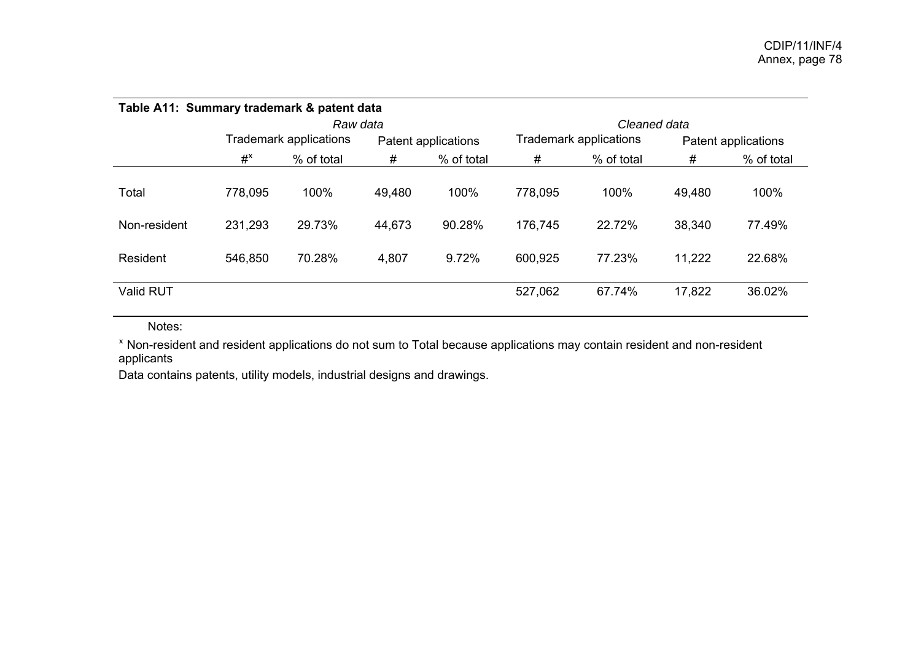| Table A11: Summary trademark & patent data |         |                               |        |                     |         |                        |        |                     |
|--------------------------------------------|---------|-------------------------------|--------|---------------------|---------|------------------------|--------|---------------------|
|                                            |         | Raw data                      |        |                     |         | Cleaned data           |        |                     |
|                                            |         | <b>Trademark applications</b> |        | Patent applications |         | Trademark applications |        | Patent applications |
|                                            | $#^x$   | % of total                    | #      | % of total          | #       | % of total             | #      | % of total          |
| Total                                      | 778,095 | 100%                          | 49,480 | 100%                | 778,095 | 100%                   | 49,480 | 100%                |
| Non-resident                               | 231,293 | 29.73%                        | 44,673 | 90.28%              | 176,745 | 22.72%                 | 38,340 | 77.49%              |
| Resident                                   | 546,850 | 70.28%                        | 4,807  | 9.72%               | 600,925 | 77.23%                 | 11,222 | 22.68%              |
| Valid RUT                                  |         |                               |        |                     | 527,062 | 67.74%                 | 17,822 | 36.02%              |

Notes:

<sup>ˣ</sup> Non-resident and resident applications do not sum to Total because applications may contain resident and non-resident applicants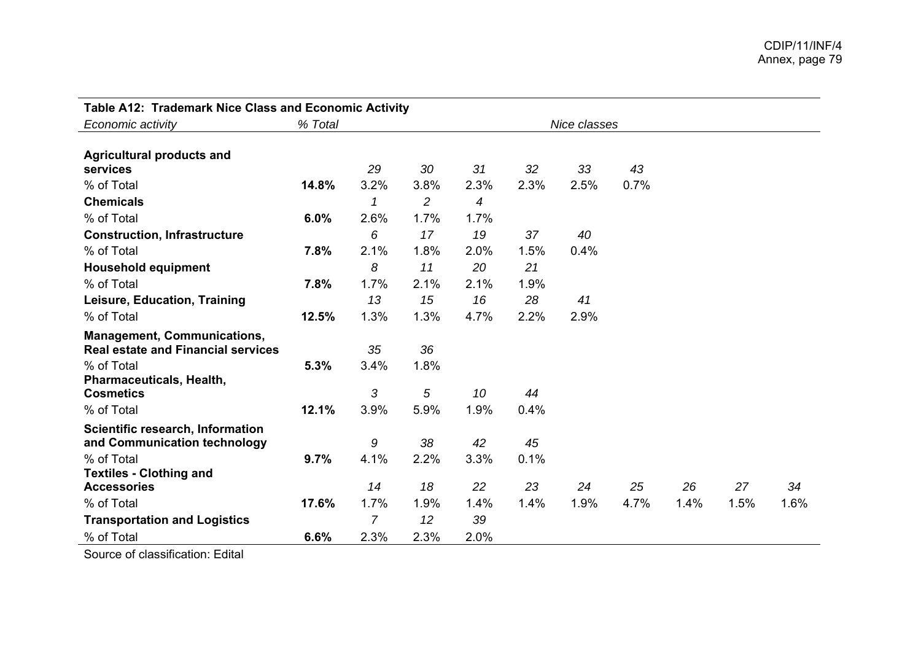| Table A12: Trademark Nice Class and Economic Activity |         |                |                |      |      |              |      |      |      |      |
|-------------------------------------------------------|---------|----------------|----------------|------|------|--------------|------|------|------|------|
| Economic activity                                     | % Total |                |                |      |      | Nice classes |      |      |      |      |
|                                                       |         |                |                |      |      |              |      |      |      |      |
| <b>Agricultural products and</b>                      |         |                |                |      |      |              |      |      |      |      |
| services                                              |         | 29             | 30             | 31   | 32   | 33           | 43   |      |      |      |
| % of Total                                            | 14.8%   | 3.2%           | 3.8%           | 2.3% | 2.3% | 2.5%         | 0.7% |      |      |      |
| <b>Chemicals</b>                                      |         | 1              | $\overline{c}$ | 4    |      |              |      |      |      |      |
| % of Total                                            | 6.0%    | 2.6%           | 1.7%           | 1.7% |      |              |      |      |      |      |
| <b>Construction, Infrastructure</b>                   |         | 6              | 17             | 19   | 37   | 40           |      |      |      |      |
| % of Total                                            | 7.8%    | 2.1%           | 1.8%           | 2.0% | 1.5% | 0.4%         |      |      |      |      |
| <b>Household equipment</b>                            |         | 8              | 11             | 20   | 21   |              |      |      |      |      |
| % of Total                                            | 7.8%    | 1.7%           | 2.1%           | 2.1% | 1.9% |              |      |      |      |      |
| Leisure, Education, Training                          |         | 13             | 15             | 16   | 28   | 41           |      |      |      |      |
| % of Total                                            | 12.5%   | 1.3%           | 1.3%           | 4.7% | 2.2% | 2.9%         |      |      |      |      |
| <b>Management, Communications,</b>                    |         |                |                |      |      |              |      |      |      |      |
| <b>Real estate and Financial services</b>             |         | 35             | 36             |      |      |              |      |      |      |      |
| % of Total                                            | 5.3%    | 3.4%           | 1.8%           |      |      |              |      |      |      |      |
| Pharmaceuticals, Health,                              |         |                |                |      |      |              |      |      |      |      |
| <b>Cosmetics</b>                                      |         | 3              | 5              | 10   | 44   |              |      |      |      |      |
| % of Total                                            | 12.1%   | 3.9%           | 5.9%           | 1.9% | 0.4% |              |      |      |      |      |
| Scientific research, Information                      |         |                |                |      |      |              |      |      |      |      |
| and Communication technology                          |         | 9              | 38             | 42   | 45   |              |      |      |      |      |
| % of Total                                            | 9.7%    | 4.1%           | 2.2%           | 3.3% | 0.1% |              |      |      |      |      |
| <b>Textiles - Clothing and</b>                        |         |                |                |      |      |              |      |      |      |      |
| <b>Accessories</b>                                    |         | 14             | 18             | 22   | 23   | 24           | 25   | 26   | 27   | 34   |
| % of Total                                            | 17.6%   | 1.7%           | 1.9%           | 1.4% | 1.4% | 1.9%         | 4.7% | 1.4% | 1.5% | 1.6% |
| <b>Transportation and Logistics</b>                   |         | $\overline{7}$ | 12             | 39   |      |              |      |      |      |      |
| % of Total                                            | 6.6%    | 2.3%           | 2.3%           | 2.0% |      |              |      |      |      |      |

Source of classification: Edital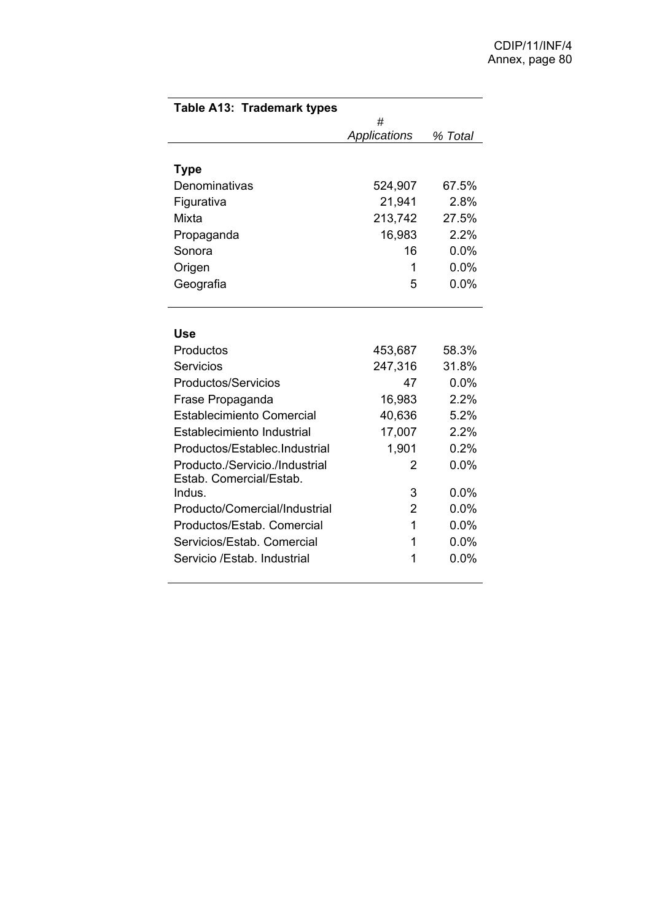| Table A13: Trademark types       |                |         |
|----------------------------------|----------------|---------|
|                                  | #              |         |
|                                  | Applications   | % Total |
|                                  |                |         |
| <b>Type</b><br>Denominativas     | 524,907        | 67.5%   |
|                                  | 21,941         | 2.8%    |
| Figurativa<br>Mixta              |                | 27.5%   |
|                                  | 213,742        |         |
| Propaganda                       | 16,983         | 2.2%    |
| Sonora                           | 16             | 0.0%    |
| Origen                           | 1              | 0.0%    |
| Geografia                        | 5              | 0.0%    |
|                                  |                |         |
| Use                              |                |         |
| Productos                        | 453,687        | 58.3%   |
| Servicios                        | 247,316        | 31.8%   |
| <b>Productos/Servicios</b>       | 47             | 0.0%    |
| Frase Propaganda                 | 16,983         | 2.2%    |
| <b>Establecimiento Comercial</b> | 40,636         | 5.2%    |
| Establecimiento Industrial       | 17,007         | 2.2%    |
| Productos/Establec.Industrial    | 1,901          | 0.2%    |
| Producto./Servicio./Industrial   | 2              | 0.0%    |
| Estab. Comercial/Estab.          |                |         |
| Indus.                           | 3              | $0.0\%$ |
| Producto/Comercial/Industrial    | $\overline{2}$ | 0.0%    |
| Productos/Estab, Comercial       | 1              | 0.0%    |
| Servicios/Estab, Comercial       | 1              | 0.0%    |
| Servicio /Estab. Industrial      | 1              | 0.0%    |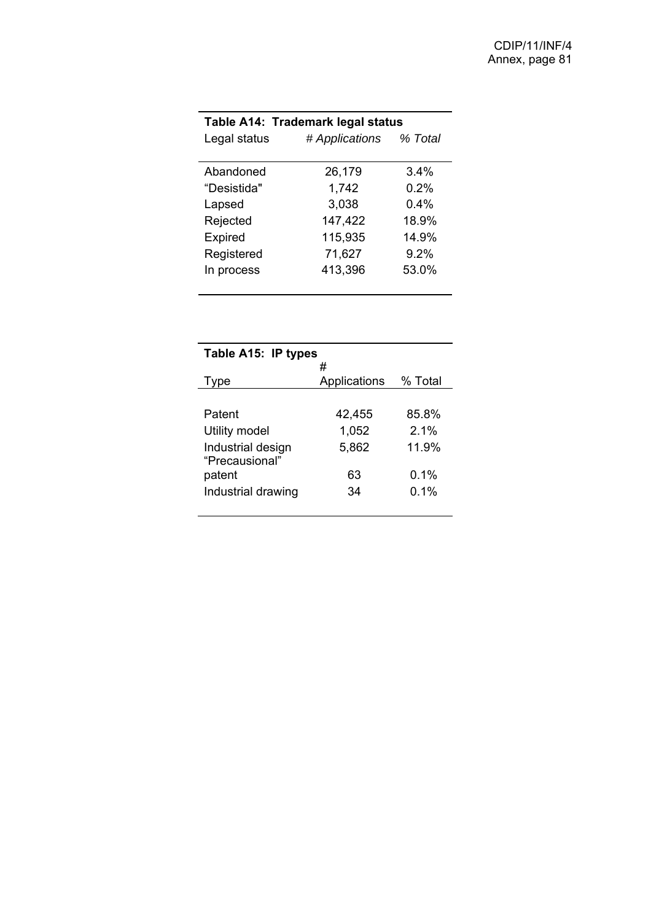| Table A14: Trademark legal status |                |         |  |  |
|-----------------------------------|----------------|---------|--|--|
| Legal status                      | # Applications | % Total |  |  |
|                                   |                |         |  |  |
| Abandoned                         | 26,179         | 3.4%    |  |  |
| "Desistida"                       | 1,742          | 0.2%    |  |  |
| Lapsed                            | 3,038          | $0.4\%$ |  |  |
| Rejected                          | 147,422        | 18.9%   |  |  |
| <b>Expired</b>                    | 115,935        | 14.9%   |  |  |
| Registered                        | 71,627         | 9.2%    |  |  |
| In process                        | 413,396        | 53.0%   |  |  |
|                                   |                |         |  |  |

|                    | Table A15: IP types |         |  |  |  |
|--------------------|---------------------|---------|--|--|--|
|                    | #                   |         |  |  |  |
| vpe                | Applications        | % Total |  |  |  |
|                    |                     |         |  |  |  |
| Patent             | 42,455              | 85.8%   |  |  |  |
| Utility model      | 1,052               | $2.1\%$ |  |  |  |
| Industrial design  | 5,862               | 11.9%   |  |  |  |
| "Precausional"     |                     |         |  |  |  |
| patent             | 63                  | $0.1\%$ |  |  |  |
| Industrial drawing | 34                  | 0.1%    |  |  |  |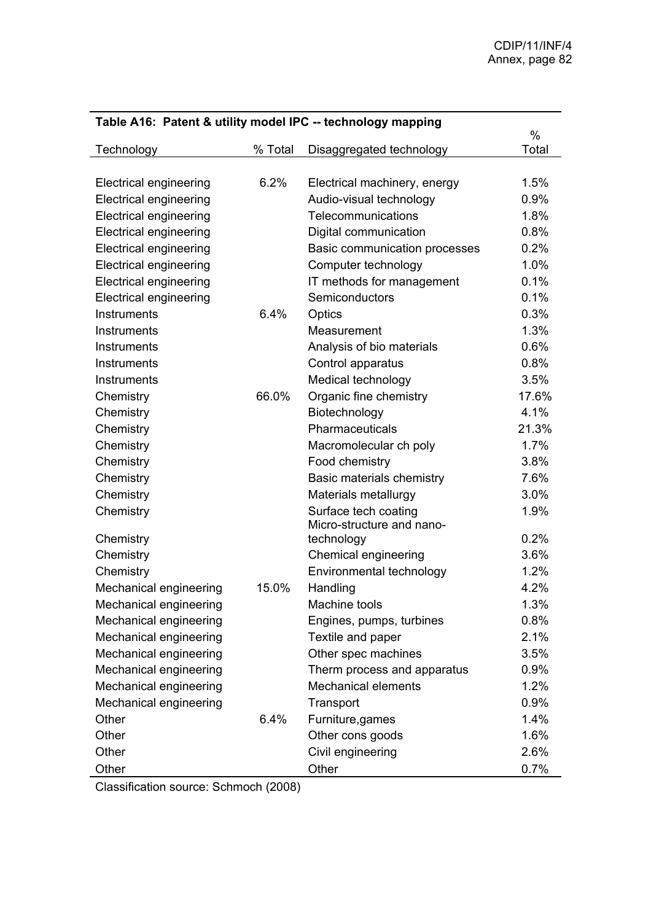| Table A16: Patent & utility model IPC -- technology mapping |         |                               |       |  |  |  |  |  |  |
|-------------------------------------------------------------|---------|-------------------------------|-------|--|--|--|--|--|--|
|                                                             |         |                               | $\%$  |  |  |  |  |  |  |
| Technology                                                  | % Total | Disaggregated technology      | Total |  |  |  |  |  |  |
| <b>Electrical engineering</b>                               | 6.2%    | Electrical machinery, energy  | 1.5%  |  |  |  |  |  |  |
| <b>Electrical engineering</b>                               |         | Audio-visual technology       | 0.9%  |  |  |  |  |  |  |
|                                                             |         | Telecommunications            | 1.8%  |  |  |  |  |  |  |
| <b>Electrical engineering</b>                               |         |                               |       |  |  |  |  |  |  |
| <b>Electrical engineering</b>                               |         | Digital communication         | 0.8%  |  |  |  |  |  |  |
| <b>Electrical engineering</b>                               |         | Basic communication processes | 0.2%  |  |  |  |  |  |  |
| <b>Electrical engineering</b>                               |         | Computer technology           | 1.0%  |  |  |  |  |  |  |
| <b>Electrical engineering</b>                               |         | IT methods for management     | 0.1%  |  |  |  |  |  |  |
| <b>Electrical engineering</b>                               |         | Semiconductors                | 0.1%  |  |  |  |  |  |  |
| Instruments                                                 | 6.4%    | Optics                        | 0.3%  |  |  |  |  |  |  |
| Instruments                                                 |         | Measurement                   | 1.3%  |  |  |  |  |  |  |
| <b>Instruments</b>                                          |         | Analysis of bio materials     | 0.6%  |  |  |  |  |  |  |
| Instruments                                                 |         | Control apparatus             | 0.8%  |  |  |  |  |  |  |
| Instruments                                                 |         | Medical technology            | 3.5%  |  |  |  |  |  |  |
| Chemistry                                                   | 66.0%   | Organic fine chemistry        | 17.6% |  |  |  |  |  |  |
| Chemistry                                                   |         | Biotechnology                 | 4.1%  |  |  |  |  |  |  |
| Chemistry                                                   |         | Pharmaceuticals               | 21.3% |  |  |  |  |  |  |
| Chemistry                                                   |         | Macromolecular ch poly        | 1.7%  |  |  |  |  |  |  |
| Chemistry                                                   |         | Food chemistry                | 3.8%  |  |  |  |  |  |  |
| Chemistry                                                   |         | Basic materials chemistry     | 7.6%  |  |  |  |  |  |  |
| Chemistry                                                   |         | Materials metallurgy          | 3.0%  |  |  |  |  |  |  |
| Chemistry                                                   |         | Surface tech coating          | 1.9%  |  |  |  |  |  |  |
|                                                             |         | Micro-structure and nano-     |       |  |  |  |  |  |  |
| Chemistry                                                   |         | technology                    | 0.2%  |  |  |  |  |  |  |
| Chemistry                                                   |         | Chemical engineering          | 3.6%  |  |  |  |  |  |  |
| Chemistry                                                   |         | Environmental technology      | 1.2%  |  |  |  |  |  |  |
| Mechanical engineering                                      | 15.0%   | Handling                      | 4.2%  |  |  |  |  |  |  |
| Mechanical engineering                                      |         | Machine tools                 | 1.3%  |  |  |  |  |  |  |
| Mechanical engineering                                      |         | Engines, pumps, turbines      | 0.8%  |  |  |  |  |  |  |
| Mechanical engineering                                      |         | Textile and paper             | 2.1%  |  |  |  |  |  |  |
| Mechanical engineering                                      |         | Other spec machines           | 3.5%  |  |  |  |  |  |  |
| Mechanical engineering                                      |         | Therm process and apparatus   | 0.9%  |  |  |  |  |  |  |
| Mechanical engineering                                      |         | <b>Mechanical elements</b>    | 1.2%  |  |  |  |  |  |  |
| Mechanical engineering                                      |         | Transport                     | 0.9%  |  |  |  |  |  |  |
| Other                                                       | 6.4%    | Furniture, games              | 1.4%  |  |  |  |  |  |  |
| Other                                                       |         | Other cons goods              | 1.6%  |  |  |  |  |  |  |
| Other                                                       |         | Civil engineering             | 2.6%  |  |  |  |  |  |  |
| Other                                                       |         | Other                         | 0.7%  |  |  |  |  |  |  |

Classification source: Schmoch (2008)